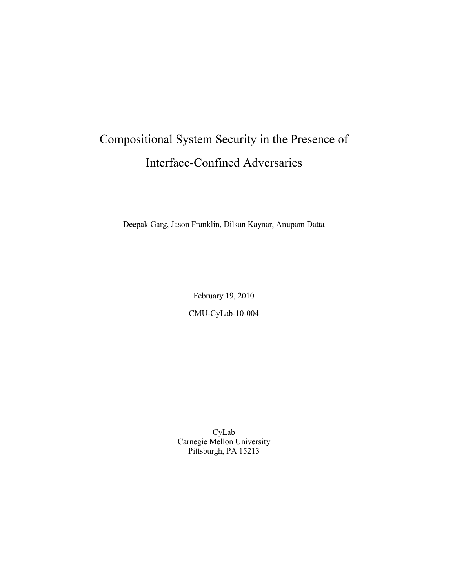# Compositional System Security in the Presence of Interface-Confined Adversaries

Deepak Garg, Jason Franklin, Dilsun Kaynar, Anupam Datta

February 19, 2010

CMU-CyLab-10-004

CyLab Carnegie Mellon University Pittsburgh, PA 15213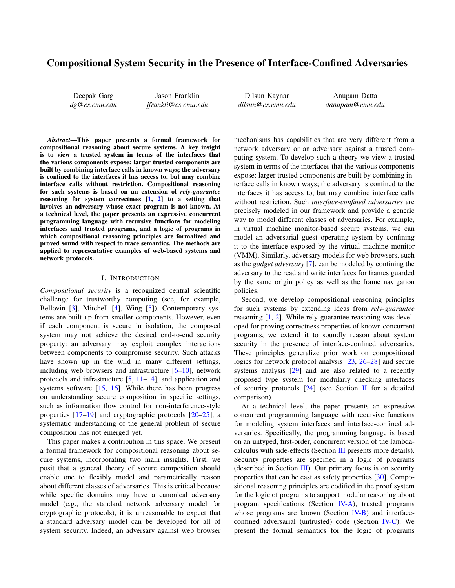# Compositional System Security in the Presence of Interface-Confined Adversaries

Deepak Garg *dg@cs.cmu.edu*

Jason Franklin *jfrankli@cs.cmu.edu*

Dilsun Kaynar *dilsun@cs.cmu.edu*

Anupam Datta *danupam@cmu.edu*

*Abstract*—This paper presents a formal framework for compositional reasoning about secure systems. A key insight is to view a trusted system in terms of the interfaces that the various components expose: larger trusted components are built by combining interface calls in known ways; the adversary is confined to the interfaces it has access to, but may combine interface calls without restriction. Compositional reasoning for such systems is based on an extension of *rely-guarantee* reasoning for system correctness [1, 2] to a setting that involves an adversary whose exact program is not known. At a technical level, the paper presents an expressive concurrent programming language with recursive functions for modeling interfaces and trusted programs, and a logic of programs in which compositional reasoning principles are formalized and proved sound with respect to trace semantics. The methods are applied to representative examples of web-based systems and network protocols.

# I. INTRODUCTION

*Compositional security* is a recognized central scientific challenge for trustworthy computing (see, for example, Bellovin [3], Mitchell [4], Wing [5]). Contemporary systems are built up from smaller components. However, even if each component is secure in isolation, the composed system may not achieve the desired end-to-end security property: an adversary may exploit complex interactions between components to compromise security. Such attacks have shown up in the wild in many different settings, including web browsers and infrastructure [6–10], network protocols and infrastructure [5, 11–14], and application and systems software [15, 16]. While there has been progress on understanding secure composition in specific settings, such as information flow control for non-interference-style properties [17–19] and cryptographic protocols [20–25], a systematic understanding of the general problem of secure composition has not emerged yet.

This paper makes a contribution in this space. We present a formal framework for compositional reasoning about secure systems, incorporating two main insights. First, we posit that a general theory of secure composition should enable one to flexibly model and parametrically reason about different classes of adversaries. This is critical because while specific domains may have a canonical adversary model (e.g., the standard network adversary model for cryptographic protocols), it is unreasonable to expect that a standard adversary model can be developed for all of system security. Indeed, an adversary against web browser

mechanisms has capabilities that are very different from a network adversary or an adversary against a trusted computing system. To develop such a theory we view a trusted system in terms of the interfaces that the various components expose: larger trusted components are built by combining interface calls in known ways; the adversary is confined to the interfaces it has access to, but may combine interface calls without restriction. Such *interface-confined adversaries* are precisely modeled in our framework and provide a generic way to model different classes of adversaries. For example, in virtual machine monitor-based secure systems, we can model an adversarial guest operating system by confining it to the interface exposed by the virtual machine monitor (VMM). Similarly, adversary models for web browsers, such as the *gadget adversary* [7], can be modeled by confining the adversary to the read and write interfaces for frames guarded by the same origin policy as well as the frame navigation policies.

Second, we develop compositional reasoning principles for such systems by extending ideas from *rely-guarantee* reasoning [1, 2]. While rely-guarantee reasoning was developed for proving correctness properties of known concurrent programs, we extend it to soundly reason about system security in the presence of interface-confined adversaries. These principles generalize prior work on compositional logics for network protocol analysis [23, 26–28] and secure systems analysis [29] and are also related to a recently proposed type system for modularly checking interfaces of security protocols  $[24]$  (see Section II for a detailed comparison).

At a technical level, the paper presents an expressive concurrent programming language with recursive functions for modeling system interfaces and interface-confined adversaries. Specifically, the programming language is based on an untyped, first-order, concurrent version of the lambdacalculus with side-effects (Section III presents more details). Security properties are specified in a logic of programs (described in Section III). Our primary focus is on security properties that can be cast as safety properties [30]. Compositional reasoning principles are codified in the proof system for the logic of programs to support modular reasoning about program specifications (Section IV-A), trusted programs whose programs are known (Section IV-B) and interfaceconfined adversarial (untrusted) code (Section IV-C). We present the formal semantics for the logic of programs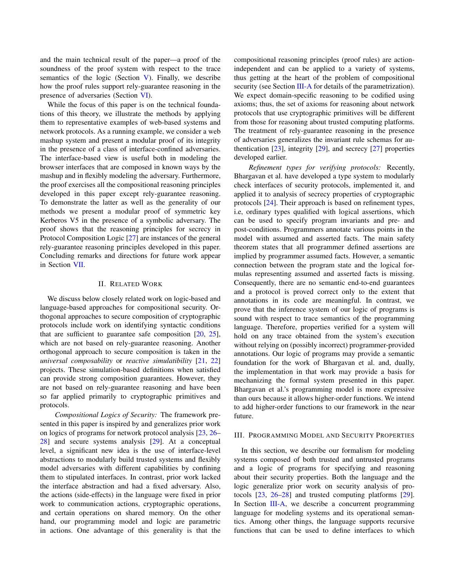and the main technical result of the paper—a proof of the soundness of the proof system with respect to the trace semantics of the logic (Section V). Finally, we describe how the proof rules support rely-guarantee reasoning in the presence of adversaries (Section VI).

While the focus of this paper is on the technical foundations of this theory, we illustrate the methods by applying them to representative examples of web-based systems and network protocols. As a running example, we consider a web mashup system and present a modular proof of its integrity in the presence of a class of interface-confined adversaries. The interface-based view is useful both in modeling the browser interfaces that are composed in known ways by the mashup and in flexibly modeling the adversary. Furthermore, the proof exercises all the compositional reasoning principles developed in this paper except rely-guarantee reasoning. To demonstrate the latter as well as the generality of our methods we present a modular proof of symmetric key Kerberos V5 in the presence of a symbolic adversary. The proof shows that the reasoning principles for secrecy in Protocol Composition Logic [27] are instances of the general rely-guarantee reasoning principles developed in this paper. Concluding remarks and directions for future work appear in Section VII.

#### II. RELATED WORK

We discuss below closely related work on logic-based and language-based approaches for compositional security. Orthogonal approaches to secure composition of cryptographic protocols include work on identifying syntactic conditions that are sufficient to guarantee safe composition  $[20, 25]$ , which are not based on rely-guarantee reasoning. Another orthogonal approach to secure composition is taken in the *universal composability* or *reactive simulatibility* [21, 22] projects. These simulation-based definitions when satisfied can provide strong composition guarantees. However, they are not based on rely-guarantee reasoning and have been so far applied primarily to cryptographic primitives and protocols.

*Compositional Logics of Security:* The framework presented in this paper is inspired by and generalizes prior work on logics of programs for network protocol analysis [23, 26– 28] and secure systems analysis [29]. At a conceptual level, a significant new idea is the use of interface-level abstractions to modularly build trusted systems and flexibly model adversaries with different capabilities by confining them to stipulated interfaces. In contrast, prior work lacked the interface abstraction and had a fixed adversary. Also, the actions (side-effects) in the language were fixed in prior work to communication actions, cryptographic operations, and certain operations on shared memory. On the other hand, our programming model and logic are parametric in actions. One advantage of this generality is that the compositional reasoning principles (proof rules) are actionindependent and can be applied to a variety of systems, thus getting at the heart of the problem of compositional security (see Section III-A for details of the parametrization). We expect domain-specific reasoning to be codified using axioms; thus, the set of axioms for reasoning about network protocols that use cryptographic primitives will be different from those for reasoning about trusted computing platforms. The treatment of rely-guarantee reasoning in the presence of adversaries generalizes the invariant rule schemas for authentication  $[23]$ , integrity  $[29]$ , and secrecy  $[27]$  properties developed earlier.

*Refinement types for verifying protocols:* Recently, Bhargavan et al. have developed a type system to modularly check interfaces of security protocols, implemented it, and applied it to analysis of secrecy properties of cryptographic protocols [24]. Their approach is based on refinement types, i.e, ordinary types qualified with logical assertions, which can be used to specify program invariants and pre- and post-conditions. Programmers annotate various points in the model with assumed and asserted facts. The main safety theorem states that all programmer defined assertions are implied by programmer assumed facts. However, a semantic connection between the program state and the logical formulas representing assumed and asserted facts is missing. Consequently, there are no semantic end-to-end guarantees and a protocol is proved correct only to the extent that annotations in its code are meaningful. In contrast, we prove that the inference system of our logic of programs is sound with respect to trace semantics of the programming language. Therefore, properties verified for a system will hold on any trace obtained from the system's execution without relying on (possibly incorrect) programmer-provided annotations. Our logic of programs may provide a semantic foundation for the work of Bhargavan et al. and, dually, the implementation in that work may provide a basis for mechanizing the formal system presented in this paper. Bhargavan et al.'s programming model is more expressive than ours because it allows higher-order functions. We intend to add higher-order functions to our framework in the near future.

# III. PROGRAMMING MODEL AND SECURITY PROPERTIES

In this section, we describe our formalism for modeling systems composed of both trusted and untrusted programs and a logic of programs for specifying and reasoning about their security properties. Both the language and the logic generalize prior work on security analysis of protocols [23, 26–28] and trusted computing platforms [29]. In Section  $III-A$ , we describe a concurrent programming language for modeling systems and its operational semantics. Among other things, the language supports recursive functions that can be used to define interfaces to which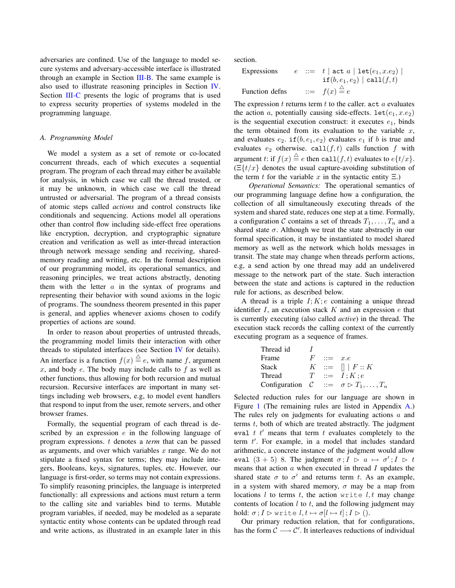adversaries are confined. Use of the language to model secure systems and adversary-accessible interface is illustrated through an example in Section III-B. The same example is also used to illustrate reasoning principles in Section IV. Section III-C presents the logic of programs that is used to express security properties of systems modeled in the programming language.

# *A. Programming Model*

We model a system as a set of remote or co-located concurrent threads, each of which executes a sequential program. The program of each thread may either be available for analysis, in which case we call the thread trusted, or it may be unknown, in which case we call the thread untrusted or adversarial. The program of a thread consists of atomic steps called *actions* and control constructs like conditionals and sequencing. Actions model all operations other than control flow including side-effect free operations like encryption, decryption, and cryptographic signature creation and verification as well as inter-thread interaction through network message sending and receiving, sharedmemory reading and writing, etc. In the formal description of our programming model, its operational semantics, and reasoning principles, we treat actions abstractly, denoting them with the letter  $a$  in the syntax of programs and representing their behavior with sound axioms in the logic of programs. The soundness theorem presented in this paper is general, and applies whenever axioms chosen to codify properties of actions are sound.

In order to reason about properties of untrusted threads, the programming model limits their interaction with other threads to stipulated interfaces (see Section IV for details). An interface is a function  $f(x) \stackrel{\triangle}{=} e$ , with name f, argument x, and body  $e$ . The body may include calls to  $f$  as well as other functions, thus allowing for both recursion and mutual recursion. Recursive interfaces are important in many settings including web browsers, e.g, to model event handlers that respond to input from the user, remote servers, and other browser frames.

Formally, the sequential program of each thread is described by an expression  $e$  in the following language of program expressions. t denotes a *term* that can be passed as arguments, and over which variables  $x$  range. We do not stipulate a fixed syntax for terms; they may include integers, Booleans, keys, signatures, tuples, etc. However, our language is first-order, so terms may not contain expressions. To simplify reasoning principles, the language is interpreted functionally: all expressions and actions must return a term to the calling site and variables bind to terms. Mutable program variables, if needed, may be modeled as a separate syntactic entity whose contents can be updated through read and write actions, as illustrated in an example later in this section.

| Expressions    |  | $e$ : $t   \text{act } a   \text{let}(e_1, x.e_2)  $ |
|----------------|--|------------------------------------------------------|
|                |  | $\texttt{if}(b, e_1, e_2) \mid \texttt{call}(f, t)$  |
| Function defns |  | $\therefore = f(x) \stackrel{\triangle}{=} e$        |

The expression  $t$  returns term  $t$  to the caller. act  $a$  evaluates the action a, potentially causing side-effects.  $let(e_1, x.e_2)$ is the sequential execution construct: it executes  $e_1$ , binds the term obtained from its evaluation to the variable  $x$ , and evaluates  $e_2$ . if  $(b, e_1, e_2)$  evaluates  $e_1$  if b is true and evaluates  $e_2$  otherwise. call  $(f, t)$  calls function f with argument t: if  $f(x) \stackrel{\triangle}{=} e$  then call $(f, t)$  evaluates to  $e\{t/x\}$ .  $\left(\frac{\Xi\{t/x\}}{\Xi\}\right)$  denotes the usual capture-avoiding substitution of the term t for the variable x in the syntactic entity  $\Xi$ .)

*Operational Semantics:* The operational semantics of our programming language define how a configuration, the collection of all simultaneously executing threads of the system and shared state, reduces one step at a time. Formally, a configuration C contains a set of threads  $T_1, \ldots, T_n$  and a shared state  $\sigma$ . Although we treat the state abstractly in our formal specification, it may be instantiated to model shared memory as well as the network which holds messages in transit. The state may change when threads perform actions, e.g, a send action by one thread may add an undelivered message to the network part of the state. Such interaction between the state and actions is captured in the reduction rule for actions, as described below.

A thread is a triple  $I; K; e$  containing a unique thread identifier  $I$ , an execution stack  $K$  and an expression  $e$  that is currently executing (also called *active*) in the thread. The execution stack records the calling context of the currently executing program as a sequence of frames.

| Thread id |   |              |                                                             |
|-----------|---|--------------|-------------------------------------------------------------|
| Frame     | F | $ ::=$ $x.e$ |                                                             |
| Stack     |   |              | $K \ ::= \ \blacksquare \ \, \vert \, F :: K$               |
| Thread    |   |              | $T \ ::= \ I:K:e$                                           |
|           |   |              | Configuration $C := \sigma \triangleright T_1, \ldots, T_n$ |

Selected reduction rules for our language are shown in Figure 1 (The remaining rules are listed in Appendix A.) The rules rely on judgments for evaluating actions a and terms t, both of which are treated abstractly. The judgment eval  $t \, t'$  means that term  $t$  evaluates completely to the term  $t'$ . For example, in a model that includes standard arithmetic, a concrete instance of the judgment would allow eval  $(3+5)$  8. The judgment  $\sigma$ ;  $I \rhd a \mapsto \sigma'$ ;  $I \rhd t$ means that action  $a$  when executed in thread  $I$  updates the shared state  $\sigma$  to  $\sigma'$  and returns term t. As an example, in a system with shared memory,  $\sigma$  may be a map from locations l to terms t, the action write  $l, t$  may change contents of location  $l$  to  $t$ , and the following judgment may hold:  $\sigma$ ;  $I \rhd$  write  $l, t \mapsto \sigma[l \mapsto t]$ ;  $I \rhd ($ ).

Our primary reduction relation, that for configurations, has the form  $\mathcal{C} \longrightarrow \mathcal{C}'$ . It interleaves reductions of individual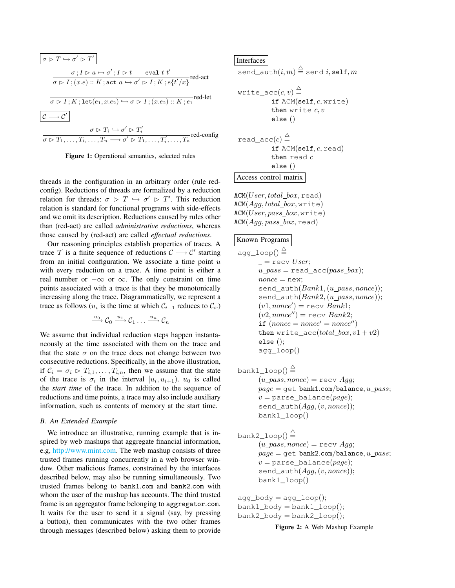$$
\boxed{\sigma \rhd T \hookrightarrow \sigma' \rhd T'}
$$
\n
$$
\sigma; I \rhd a \mapsto \sigma'; I \rhd t \qquad \text{eval } t \ t'}
$$
\n
$$
\overline{\sigma \rhd I; (x.e) :: K; \text{act } a \hookrightarrow \sigma' \rhd I; K; e\{t'/x\}} \text{red-act}
$$
\n
$$
\overline{\sigma \rhd I; K; \text{let}(e_1, x.e_2) \hookrightarrow \sigma \rhd I; (x.e_2) :: K; e_1} \text{red-let}
$$
\n
$$
\boxed{C \longrightarrow C'}
$$
\n
$$
\sigma \rhd T_i \hookrightarrow \sigma' \rhd T'_i
$$
\n
$$
\overline{\sigma \rhd T_1, \dots, T_i, \dots, T_n \longrightarrow \sigma' \rhd T_1, \dots, T'_i, \dots, T_n} \text{red-config}
$$



threads in the configuration in an arbitrary order (rule redconfig). Reductions of threads are formalized by a reduction relation for threads:  $\sigma \triangleright T \hookrightarrow \sigma' \triangleright T'$ . This reduction relation is standard for functional programs with side-effects and we omit its description. Reductions caused by rules other than (red-act) are called *administrative reductions*, whereas those caused by (red-act) are called *effectual reductions*.

Our reasoning principles establish properties of traces. A trace T is a finite sequence of reductions  $\mathcal{C} \longrightarrow \mathcal{C}'$  starting from an initial configuration. We associate a time point  $u$ with every reduction on a trace. A time point is either a real number or  $-\infty$  or  $\infty$ . The only constraint on time points associated with a trace is that they be monotonically increasing along the trace. Diagrammatically, we represent a trace as follows ( $u_i$  is the time at which  $\mathcal{C}_{i-1}$  reduces to  $\mathcal{C}_i$ .)

$$
\xrightarrow{u_0} \mathcal{C}_0 \xrightarrow{u_1} \mathcal{C}_1 \dots \xrightarrow{u_n} \mathcal{C}_n
$$

We assume that individual reduction steps happen instantaneously at the time associated with them on the trace and that the state  $\sigma$  on the trace does not change between two consecutive reductions. Specifically, in the above illustration, if  $C_i = \sigma_i \triangleright T_{i,1}, \ldots, T_{i,n}$ , then we assume that the state of the trace is  $\sigma_i$  in the interval  $[u_i, u_{i+1})$ .  $u_0$  is called the *start time* of the trace. In addition to the sequence of reductions and time points, a trace may also include auxiliary information, such as contents of memory at the start time.

# *B. An Extended Example*

We introduce an illustrative, running example that is inspired by web mashups that aggregate financial information, e.g, http://www.mint.com. The web mashup consists of three trusted frames running concurrently in a web browser window. Other malicious frames, constrained by the interfaces described below, may also be running simultaneously. Two trusted frames belong to bank1.com and bank2.com with whom the user of the mashup has accounts. The third trusted frame is an aggregator frame belonging to aggregator.com. It waits for the user to send it a signal (say, by pressing a button), then communicates with the two other frames through messages (described below) asking them to provide

# Interfaces

send\_auth $(i, m) \stackrel{\triangle}{=}$  send  $i,$  self,  $m$ 

$$
\begin{array}{ll}\texttt{write\_acc}(c, v) \stackrel{\triangle}{=} & \texttt{if ACM(self, c, write)}\\ \texttt{then write } c, v & \texttt{else } ()\\ \texttt{else } () & \texttt{read\_acc}(c) \stackrel{\triangle}{=} & \texttt{if ACM(self, c, read)}\\ \texttt{then read } c & \texttt{else } ()\\ \texttt{Access control matrix} & \end{array}
$$

 $ACM(User, total\_box, read)$  $ACM(Agg, total\_box, write)$  $ACM(User, pass box, write)$  $ACM(Agg, pass\_box, read)$ 

# Known Programs

$$
\begin{array}{l} \texttt{agg\_loop}() \stackrel{\triangle}{=} \\ \!\!\! \begin{array}{l} \texttt{--} \texttt{recv } User; \\ \texttt{u\_pass = read\_acc}(pass\_box); \\ \texttt{none} = \texttt{new}; \\ \texttt{send\_auth}(Bank1, (u\_pass, nonce)); \\ \texttt{send\_auth}(Bank2, (u\_pass, nonce)); \\ (v1, nonce') = \texttt{recv } Bank1; \\ (v2, nonce'') = \texttt{recv } Bank2; \\ \texttt{if } (none = nonce' = nonce') \\ \texttt{then write\_acc}(total\_box, v1 + v2) \\ \texttt{else }(); \\ \texttt{agg\_loop}() \end{array}
$$

$$
\begin{array}{l} \texttt{bank1\_loop()} \stackrel{\triangle}{=} \\ (u\_pass, nonce) = \texttt{recv} \; Agg; \\ page = \texttt{get bank1.com/balance}, u\_pass; \\ v = \texttt{parse\_balance}(page); \\ \texttt{send\_auth}(Agg, (v, nonce)); \\ \texttt{bank1\_loop()} \end{array}
$$

$$
\begin{array}{ll}\n\text{bank2\_loop()} & \stackrel{\triangle}{=} \\
(u\_pass, nonce) = \text{recv } Agg; \\
page = \text{get bank2.com/balance}, u\_pass; \\
v = \text{parse_balance}(page); \\
\text{send\_auth}(Agg, (v, nonce)); \\
\text{bank1\_loop()}\n\end{array}
$$

 $agg\_body = agg\_loop();$  $bank1\_body = bank1\_loop();$  $bank2\_body = bank2\_loop();$ 

Figure 2: A Web Mashup Example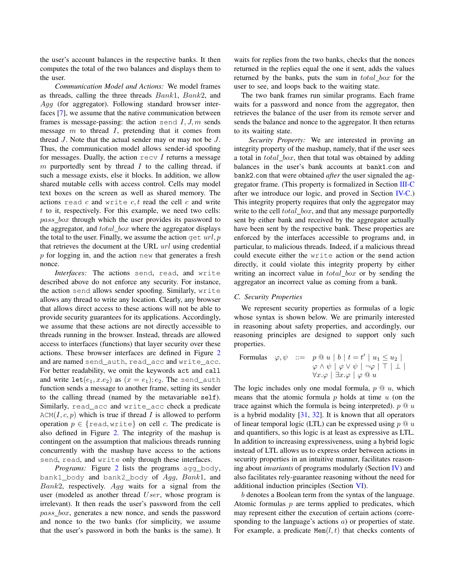the user's account balances in the respective banks. It then computes the total of the two balances and displays them to the user.

*Communication Model and Actions:* We model frames as threads, calling the three threads Bank1, Bank2, and Agg (for aggregator). Following standard browser interfaces [7], we assume that the native communication between frames is message-passing: the action send  $I, J, m$  sends message  $m$  to thread  $I$ , pretending that it comes from thread J. Note that the actual sender may or may not be J. Thus, the communication model allows sender-id spoofing for messages. Dually, the action  $\text{recv } I$  returns a message m purportedly sent by thread  $I$  to the calling thread, if such a message exists, else it blocks. In addition, we allow shared mutable cells with access control. Cells may model text boxes on the screen as well as shared memory. The actions read  $c$  and write  $c, t$  read the cell  $c$  and write t to it, respectively. For this example, we need two cells: pass\_box through which the user provides its password to the aggregator, and  $total\_box$  where the aggregator displays the total to the user. Finally, we assume the action  $\det url$ , p that retrieves the document at the URL url using credential  $p$  for logging in, and the action new that generates a fresh nonce.

*Interfaces:* The actions send, read, and write described above do not enforce any security. For instance, the action send allows sender spoofing. Similarly, write allows any thread to write any location. Clearly, any browser that allows direct access to these actions will not be able to provide security guarantees for its applications. Accordingly, we assume that these actions are not directly accessible to threads running in the browser. Instead, threads are allowed access to interfaces (functions) that layer security over these actions. These browser interfaces are defined in Figure 2 and are named send\_auth, read\_acc and write\_acc. For better readability, we omit the keywords act and call and write  $\text{let}(e_1, x.e_2)$  as  $(x = e_1); e_2$ . The send\_auth function sends a message to another frame, setting its sender to the calling thread (named by the metavariable self). Similarly, read\_acc and write\_acc check a predicate  $ACM(I, c, p)$  which is true if thread I is allowed to perform operation  $p \in \{$ read, write $\}$  on cell c. The predicate is also defined in Figure 2. The integrity of the mashup is contingent on the assumption that malicious threads running concurrently with the mashup have access to the actions send, read, and write only through these interfaces.

*Programs:* Figure 2 lists the programs agg body, bank1\_body and bank2\_body of Agg, Bank1, and Bank2, respectively. Agg waits for a signal from the user (modeled as another thread User, whose program is irrelevant). It then reads the user's password from the cell pass box, generates a new nonce, and sends the password and nonce to the two banks (for simplicity, we assume that the user's password in both the banks is the same). It waits for replies from the two banks, checks that the nonces returned in the replies equal the one it sent, adds the values returned by the banks, puts the sum in  $total\_box$  for the user to see, and loops back to the waiting state.

The two bank frames run similar programs. Each frame waits for a password and nonce from the aggregator, then retrieves the balance of the user from its remote server and sends the balance and nonce to the aggregator. It then returns to its waiting state.

*Security Property:* We are interested in proving an integrity property of the mashup, namely, that if the user sees a total in  $total\_box$ , then that total was obtained by adding balances in the user's bank accounts at bank1.com and bank2.com that were obtained *after* the user signaled the aggregator frame. (This property is formalized in Section III-C after we introduce our logic, and proved in Section IV-C.) This integrity property requires that only the aggregator may write to the cell  $total\_box$ , and that any message purportedly sent by either bank and received by the aggregator actually have been sent by the respective bank. These properties are enforced by the interfaces accessible to programs and, in particular, to malicious threads. Indeed, if a malicious thread could execute either the write action or the send action directly, it could violate this integrity property by either writing an incorrect value in  $total\_box$  or by sending the aggregator an incorrect value as coming from a bank.

# *C. Security Properties*

We represent security properties as formulas of a logic whose syntax is shown below. We are primarily interested in reasoning about safety properties, and accordingly, our reasoning principles are designed to support only such properties.

Formulas 
$$
\varphi, \psi ::= p \circledcirc u \mid b \mid t = t' \mid u_1 \le u_2 \mid
$$
  
\n $\varphi \land \psi \mid \varphi \lor \psi \mid \neg \varphi \mid \top \mid \bot \mid$   
\n $\forall x. \varphi \mid \exists x. \varphi \mid \varphi \circledcirc u$ 

The logic includes only one modal formula,  $p \mathcal{Q} u$ , which means that the atomic formula  $p$  holds at time  $u$  (on the trace against which the formula is being interpreted).  $p \mathcal{Q} u$ is a hybrid modality [31, 32]. It is known that all operators of linear temporal logic (LTL) can be expressed using  $p \t Q u$ and quantifiers, so this logic is at least as expressive as LTL. In addition to increasing expressiveness, using a hybrid logic instead of LTL allows us to express order between actions in security properties in an intuitive manner, facilitates reasoning about *invariants* of programs modularly (Section IV) and also facilitates rely-guarantee reasoning without the need for additional induction principles (Section VI).

b denotes a Boolean term from the syntax of the language. Atomic formulas  $p$  are terms applied to predicates, which may represent either the execution of certain actions (corresponding to the language's actions  $a$ ) or properties of state. For example, a predicate  $Mem(l, t)$  that checks contents of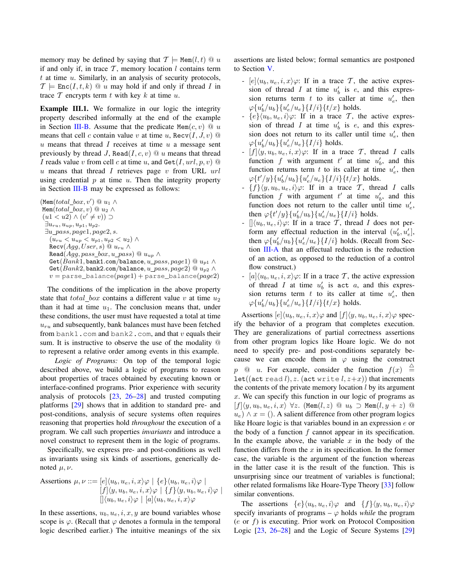memory may be defined by saying that  $\mathcal{T} \models \text{Mem}(l, t) \otimes u$ if and only if, in trace  $T$ , memory location  $l$  contains term  $t$  at time  $u$ . Similarly, in an analysis of security protocols,  $\mathcal{T} \models \text{Enc}(I, t, k) \; @\; u \text{ may hold if and only if thread } I \text{ in}$ trace  $\mathcal T$  encrypts term  $t$  with key  $k$  at time  $u$ .

Example III.1. We formalize in our logic the integrity property described informally at the end of the example in Section III-B. Assume that the predicate Mem $(c, v) \ @\ u$ means that cell c contain value v at time u,  $\text{Recv}(I, J, v)$   $\textcircled{a}$  $u$  means that thread  $I$  receives at time  $u$  a message sent previously by thread J, Read $(I, c, v) \t\t@ u$  means that thread I reads value v from cell c at time u, and  $\text{Get}(I, url, p, v)$   $\textcircled{a}$  $u$  means that thread  $I$  retrieves page  $v$  from URL  $url$ using credential  $p$  at time  $u$ . Then the integrity property in Section III-B may be expressed as follows:

 $(\texttt{Mem}(total\_box, v') \ @ \ u_1 \wedge$ Mem(total\_box, v)  $@ u_2 \wedge$  $(u1 < u2) \wedge (v' \neq v)) \supset$  $\exists u_{ru}, u_{up}, u_{p1}, u_{p2}.$  $\exists u\_pass, page1, page2, s.$  $(u_{ru} < u_{up} < u_{p1}, u_{p2} < u_2) \wedge$  $\texttt{Recv}(Agg, User, s) \ @ \ u_{ru} \wedge$ Read $(Agg, pass\_box, u\_pass) \ @ \ u_{up} \wedge$ Get $(Bank1,$ bank1.com/balance, u\_pass, page1) @  $u_{p1} \wedge$ Get(Bank2, bank2.com/balance, u\_pass, page2)  $@ u_{p2} \wedge$  $v =$  parse\_balance( $page1$ ) + parse\_balance( $page2$ )

The conditions of the implication in the above property state that  $total\_box$  contains a different value v at time  $u_2$ than it had at time  $u_1$ . The conclusion means that, under these conditions, the user must have requested a total at time  $u_{ru}$  and subsequently, bank balances must have been fetched from bank1.com and bank2.com, and that  $v$  equals their sum. It is instructive to observe the use of the modality @ to represent a relative order among events in this example.

*Logic of Programs:* On top of the temporal logic described above, we build a logic of programs to reason about properties of traces obtained by executing known or interface-confined programs. Prior experience with security analysis of protocols [23, 26–28] and trusted computing platforms [29] shows that in addition to standard pre- and post-conditions, analysis of secure systems often requires reasoning that properties hold *throughout* the execution of a program. We call such properties *invariants* and introduce a novel construct to represent them in the logic of programs.

Specifically, we express pre- and post-conditions as well as invariants using six kinds of assertions, generically denoted  $\mu, \nu$ .

Assertions 
$$
\mu, \nu ::= [e] \langle u_b, u_e, i, x \rangle \varphi \mid \{e\} \langle u_b, u_e, i \rangle \varphi \mid
$$
  
\n
$$
[f] \langle y, u_b, u_e, i, x \rangle \varphi \mid \{f\} \langle y, u_b, u_e, i \rangle \varphi \mid
$$
  
\n
$$
[ ] \langle u_b, u_e, i \rangle \varphi \mid [a] \langle u_b, u_e, i, x \rangle \varphi
$$

In these assertions,  $u_b, u_e, i, x, y$  are bound variables whose scope is  $\varphi$ . (Recall that  $\varphi$  denotes a formula in the temporal logic described earlier.) The intuitive meanings of the six assertions are listed below; formal semantics are postponed to Section V.

- $[e]\langle u_b, u_e, i, x \rangle \varphi$ : If in a trace T, the active expression of thread I at time  $u'_b$  is e, and this expression returns term t to its caller at time  $u'_e$ , then  $\varphi\{u'_b/u_b\}\{u'_e/u_e\}\{I/i\}\{t/x\}$  holds.
- ${e}$  $\{u_b, u_e, i\varphi$ : If in a trace T, the active expression of thread I at time  $u'_b$  is e, and this expression does not return to its caller until time  $u'_e$ , then  $\varphi\{u_b^\prime/u_b\}\{u_e^\prime/u_e\}\{I/i\}$  holds.
- $[f](y, u_b, u_e, i, x) \varphi$ : If in a trace T, thread I calls function f with argument  $t'$  at time  $u'_b$ , and this function returns term t to its caller at time  $u'_e$ , then  $\varphi\{t'/y\}\{u'_b/u_b\}\{u'_e/u_e\}\{I/i\}\{t/x\}$  holds.
- ${f}\y, u_b, u_e, i\varphi$ : If in a trace T, thread I calls function f with argument  $t'$  at time  $u'_b$ , and this function does not return to the caller until time  $u'_e$ , then  $\varphi\{t'/y\}\{u'_b/u_b\}\{u'_e/u_e\}\{I/i\}$  holds.
- $\langle u_b, u_e, i \rangle \varphi$ : If in a trace T, thread I does not perform any effectual reduction in the interval  $(u'_b, u'_e]$ , then  $\varphi\{u_b'/u_b\}\{u_e'/u_e\}\{I/i\}$  holds. (Recall from Section III-A that an effectual reduction is the reduction of an action, as opposed to the reduction of a control flow construct.)
- $[a]\langle u_b, u_e, i, x\rangle\varphi$ : If in a trace T, the active expression of thread I at time  $u'_b$  is act a, and this expression returns term t to its caller at time  $u'_e$ , then  $\varphi\{u'_{b}/u_{b}\}\{u'_{e}/u_{e}\}\{I/i\}\{t/x\}$  holds.

Assertions  $[e]\langle u_b, u_e, i, x \rangle \varphi$  and  $[f]\langle y, u_b, u_e, i, x \rangle \varphi$  specify the behavior of a program that completes execution. They are generalizations of partial correctness assertions from other program logics like Hoare logic. We do not need to specify pre- and post-conditions separately because we can encode them in  $\varphi$  using the construct  $p \quad \textcircled{a} \quad u.$  For example, consider the function  $f(x) \quad \triangleq$ let((act read l), z. (act write  $l, z+x$ )) that increments the contents of the private memory location  $l$  by its argument  $x$ . We can specify this function in our logic of programs as  $[f](y, u_b, u_e, i, x) \ \forall z$ . (Mem $(l, z) \ @ \ u_b \supset \text{Mem}(l, y + z) \ @$  $u_e$ )  $\wedge x =$  (). A salient difference from other program logics like Hoare logic is that variables bound in an expression e or the body of a function  $f$  cannot appear in its specification. In the example above, the variable  $x$  in the body of the function differs from the  $x$  in its specification. In the former case, the variable is the argument of the function whereas in the latter case it is the result of the function. This is unsurprising since our treatment of variables is functional; other related formalisms like Hoare-Type Theory [33] follow similar conventions.

The assertions  $\{e\}\langle u_b, u_e, i\rangle \varphi$  and  $\{f\}\langle y, u_b, u_e, i\rangle \varphi$ specify invariants of programs –  $\varphi$  holds *while* the program  $(e \text{ or } f)$  is executing. Prior work on Protocol Composition Logic [23, 26–28] and the Logic of Secure Systems [29]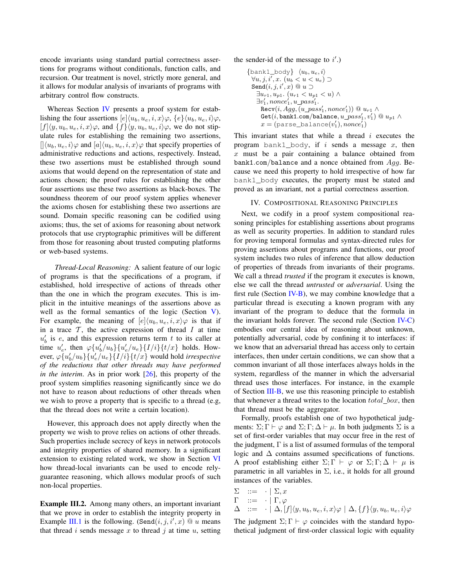encode invariants using standard partial correctness assertions for programs without conditionals, function calls, and recursion. Our treatment is novel, strictly more general, and it allows for modular analysis of invariants of programs with arbitrary control flow constructs.

Whereas Section IV presents a proof system for establishing the four assertions  $[e]\langle u_b, u_e, i, x \rangle \varphi, \{e\}\langle u_b, u_e, i \rangle \varphi,$  $[f](y, u_b, u_e, i, x)\varphi$ , and  $\{f\}\langle y, u_b, u_e, i\rangle\varphi$ , we do not stipulate rules for establishing the remaining two assertions,  $\langle \langle u_b, u_e, i \rangle \varphi \rangle$  and  $\langle a \rangle \langle u_b, u_e, i, x \rangle \varphi$  that specify properties of administrative reductions and actions, respectively. Instead, these two assertions must be established through sound axioms that would depend on the representation of state and actions chosen; the proof rules for establishing the other four assertions use these two assertions as black-boxes. The soundness theorem of our proof system applies whenever the axioms chosen for establishing these two assertions are sound. Domain specific reasoning can be codified using axioms; thus, the set of axioms for reasoning about network protocols that use cryptographic primitives will be different from those for reasoning about trusted computing platforms or web-based systems.

*Thread-Local Reasoning:* A salient feature of our logic of programs is that the specifications of a program, if established, hold irrespective of actions of threads other than the one in which the program executes. This is implicit in the intuitive meanings of the assertions above as well as the formal semantics of the logic (Section V). For example, the meaning of  $[e](u_b, u_e, i, x) \varphi$  is that if in a trace  $T$ , the active expression of thread  $I$  at time  $u'_b$  is e, and this expression returns term t to its caller at time  $u'_e$ , then  $\varphi\{u'_b/u_b\}\{u'_e/u_e\}\{I/i\}\{t/x\}$  holds. However,  $\varphi\{u_b'/u_b\}\{u_e'/u_e\}\{I/i\}\{t/x\}$  would hold *irrespective of the reductions that other threads may have performed in the interim.* As in prior work [26], this property of the proof system simplifies reasoning significantly since we do not have to reason about reductions of other threads when we wish to prove a property that is specific to a thread (e.g, that the thread does not write a certain location).

However, this approach does not apply directly when the property we wish to prove relies on actions of other threads. Such properties include secrecy of keys in network protocols and integrity properties of shared memory. In a significant extension to existing related work, we show in Section VI how thread-local invariants can be used to encode relyguarantee reasoning, which allows modular proofs of such non-local properties.

Example III.2. Among many others, an important invariant that we prove in order to establish the integrity property in Example III.1 is the following. (Send $(i, j, i', x) \otimes u$  means that thread i sends message x to thread j at time  $u$ , setting the sender-id of the message to  $i'$ .)

```
\{bank1\_body\} \langle u_b, u_e, i \rangle\forall u, j, i', x. \ (u_b < u < u_e) \supsetSend(i,j,i',x) \ @ \ u \supset\exists u_{r1}, u_{p1}. (u_{r1} < u_{p1} < u) \wedge\exists v_1', nonce_1', u\_pass_1'.\texttt{Recv}(i, Agg, (u\_pass_1', nonce_1')) @ \textit{$u_{r1} \wedge\mathtt{Get}(i, \mathtt{bank1}.\mathtt{com}/\mathtt{balance}, u\_pass'_1, v'_1) \ @\ u_{p1} \wedgex = (parse_balance(v_1'),nonce_1')
```
This invariant states that while a thread  $i$  executes the program bank1 body, if i sends a message x, then  $x$  must be a pair containing a balance obtained from bank1.com/balance and a nonce obtained from  $A_{qq}$ . Because we need this property to hold irrespective of how far bank1\_body executes, the property must be stated and proved as an invariant, not a partial correctness assertion.

# IV. COMPOSITIONAL REASONING PRINCIPLES

Next, we codify in a proof system compositional reasoning principles for establishing assertions about programs as well as security properties. In addition to standard rules for proving temporal formulas and syntax-directed rules for proving assertions about programs and functions, our proof system includes two rules of inference that allow deduction of properties of threads from invariants of their programs. We call a thread *trusted* if the program it executes is known, else we call the thread *untrusted* or *adversarial*. Using the first rule (Section IV-B), we may combine knowledge that a particular thread is executing a known program with any invariant of the program to deduce that the formula in the invariant holds forever. The second rule (Section IV-C) embodies our central idea of reasoning about unknown, potentially adversarial, code by confining it to interfaces: if we know that an adversarial thread has access only to certain interfaces, then under certain conditions, we can show that a common invariant of all those interfaces always holds in the system, regardless of the manner in which the adversarial thread uses those interfaces. For instance, in the example of Section III-B, we use this reasoning principle to establish that whenever a thread writes to the location  $total\_box$ , then that thread must be the aggregator.

Formally, proofs establish one of two hypothetical judgments:  $\Sigma$ ;  $\Gamma \vdash \varphi$  and  $\Sigma$ ;  $\Gamma$ ;  $\Delta \vdash \mu$ . In both judgments  $\Sigma$  is a set of first-order variables that may occur free in the rest of the judgment,  $\Gamma$  is a list of assumed formulas of the temporal logic and ∆ contains assumed specifications of functions. A proof establishing either  $\Sigma$ ;  $\Gamma \vdash \varphi$  or  $\Sigma$ ;  $\Gamma$ ;  $\Delta \vdash \mu$  is parametric in all variables in  $\Sigma$ , i.e., it holds for all ground instances of the variables.

$$
\Sigma := \langle \Sigma, x \rangle
$$
  
\n
$$
\Gamma := \langle \Gamma, \varphi \rangle
$$
  
\n
$$
\Delta := \langle \Delta, [f] \langle y, u_b, u_e, i, x \rangle \varphi \mid \Delta, \{f\} \langle y, u_b, u_e, i \rangle \varphi \rangle
$$

The judgment  $\Sigma$ ;  $\Gamma \vdash \varphi$  coincides with the standard hypothetical judgment of first-order classical logic with equality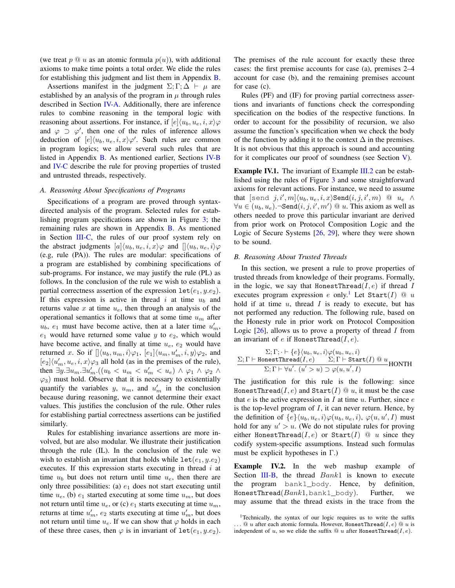(we treat  $p \tQ u$  as an atomic formula  $p(u)$ ), with additional axioms to make time points a total order. We elide the rules for establishing this judgment and list them in Appendix B.

Assertions manifest in the judgment  $\Sigma$ ; Γ;  $\Delta \vdash \mu$  are established by an analysis of the program in  $\mu$  through rules described in Section IV-A. Additionally, there are inference rules to combine reasoning in the temporal logic with reasoning about assertions. For instance, if  $[e](u_b, u_e, i, x)\varphi$ and  $\varphi \supset \varphi'$ , then one of the rules of inference allows deduction of  $[e](u_b, u_e, i, x) \varphi'$ . Such rules are common in program logics; we allow several such rules that are listed in Appendix B. As mentioned earlier, Sections IV-B and IV-C describe the rule for proving properties of trusted and untrusted threads, respectively.

#### *A. Reasoning About Specifications of Programs*

Specifications of a program are proved through syntaxdirected analysis of the program. Selected rules for establishing program specifications are shown in Figure 3; the remaining rules are shown in Appendix B. As mentioned in Section  $III-C$ , the rules of our proof system rely on the abstract judgments  $[a]\langle u_b, u_e, i, x \rangle \varphi$  and  $[\langle u_b, u_e, i \rangle \varphi]$ (e.g, rule (PA)). The rules are modular: specifications of a program are established by combining specifications of sub-programs. For instance, we may justify the rule (PL) as follows. In the conclusion of the rule we wish to establish a partial correctness assertion of the expression  $\text{let}(e_1, y.e_2)$ . If this expression is active in thread i at time  $u<sub>b</sub>$  and returns value  $x$  at time  $u_e$ , then through an analysis of the operational semantics it follows that at some time  $u_m$  after  $u_b$ ,  $e_1$  must have become active, then at a later time  $u'_m$ ,  $e_1$  would have returned some value y to  $e_2$ , which would have become active, and finally at time  $u_e$ ,  $e_2$  would have returned x. So if  $[\langle u_b, u_m, i \rangle \varphi_1, [e_1] \langle u_m, u'_m, i, y \rangle \varphi_2$ , and  $[e_2] \langle u'_m, u_e, i, x \rangle \varphi_3$  all hold (as in the premises of the rule), then  $\exists y . \exists u_m . \exists u'_m . ((u_b < u_m < u'_m < u_e) \land \varphi_1 \land \varphi_2 \land \varphi_3)$  $\varphi_3$ ) must hold. Observe that it is necessary to existentially quantify the variables y,  $u_m$ , and  $u'_m$  in the conclusion because during reasoning, we cannot determine their exact values. This justifies the conclusion of the rule. Other rules for establishing partial correctness assertions can be justified similarly.

Rules for establishing invariance assertions are more involved, but are also modular. We illustrate their justification through the rule (IL). In the conclusion of the rule we wish to establish an invariant that holds while  $\text{let}(e_1, y.e_2)$ executes. If this expression starts executing in thread  $i$  at time  $u_b$  but does not return until time  $u_e$ , then there are only three possibilities: (a)  $e_1$  does not start executing until time  $u_e$ , (b)  $e_1$  started executing at some time  $u_m$ , but does not return until time  $u_e$ , or (c)  $e_1$  starts executing at time  $u_m$ , returns at time  $u'_m$ ,  $e_2$  starts executing at time  $u'_m$ , but does not return until time  $u_e$ . If we can show that  $\varphi$  holds in each of these three cases, then  $\varphi$  is in invariant of  $\text{let}(e_1, y.e_2)$ . The premises of the rule account for exactly these three cases: the first premise accounts for case (a), premises 2–4 account for case (b), and the remaining premises account for case (c).

Rules (PF) and (IF) for proving partial correctness assertions and invariants of functions check the corresponding specification on the bodies of the respective functions. In order to account for the possibility of recursion, we also assume the function's specification when we check the body of the function by adding it to the context  $\Delta$  in the premises. It is not obvious that this approach is sound and accounting for it complicates our proof of soundness (see Section V).

Example IV.1. The invariant of Example III.2 can be established using the rules of Figure 3 and some straightforward axioms for relevant actions. For instance, we need to assume that [send  $j, i', m]\langle u_b, u_e, i, x\rangle$ Send $(i, j, i', m)$  @  $u_e$   $\wedge$  $\forall u \in (u_b, u_e)$ .¬Send $(i, j, i', m')$  @ u. This axiom as well as others needed to prove this particular invariant are derived from prior work on Protocol Composition Logic and the Logic of Secure Systems [26, 29], where they were shown to be sound.

# *B. Reasoning About Trusted Threads*

In this section, we present a rule to prove properties of trusted threads from knowledge of their programs. Formally, in the logic, we say that HonestThread( $I, e$ ) if thread  $I$ executes program expression e only.<sup>1</sup> Let Start(I)  $\textcircled{u}$  u hold if at time  $u$ , thread  $I$  is ready to execute, but has not performed any reduction. The following rule, based on the Honesty rule in prior work on Protocol Composition Logic  $[26]$ , allows us to prove a property of thread I from an invariant of e if HonestThread $(I, e)$ .

$$
\frac{\Sigma; \Gamma; \cdot \vdash \{e\} \langle u_b, u_e, i \rangle \varphi(u_b, u_e, i)}{\Sigma; \Gamma \vdash \texttt{HonestThread}(I, e)} \frac{\Sigma; \Gamma \vdash \texttt{Start}(I) @ u}{\Sigma; \Gamma \vdash \forall u'. (u' > u) \supset \varphi(u, u', I)} \texttt{HONTH}
$$

The justification for this rule is the following: since HonestThread( $I, e$ ) and Start( $I$ )  $@$   $u$ , it must be the case that  $e$  is the active expression in  $I$  at time  $u$ . Further, since  $e$ is the top-level program of  $I$ , it can never return. Hence, by the definition of  $\{e\}\langle u_b, u_e, i\rangle \varphi(u_b, u_e, i)$ ,  $\varphi(u, u', I)$  must hold for any  $u' > u$ . (We do not stipulate rules for proving either HonestThread( $I, e$ ) or Start( $I$ )  $\textcircled{u}$  since they codify system-specific assumptions. Instead such formulas must be explicit hypotheses in Γ.)

Example IV.2. In the web mashup example of Section III-B, the thread  $Bank1$  is known to execute the program bank1\_body. Hence, by definition, HonestThread(Bank1, bank1\_body). Further, we may assume that the thread exists in the trace from the

<sup>1</sup>Technically, the syntax of our logic requires us to write the suffix  $\ldots @~u$  after each atomic formula. However, HonestThread $(I,e) @~u$  is independent of u, so we elide the suffix  $@$  u after HonestThread(I,e).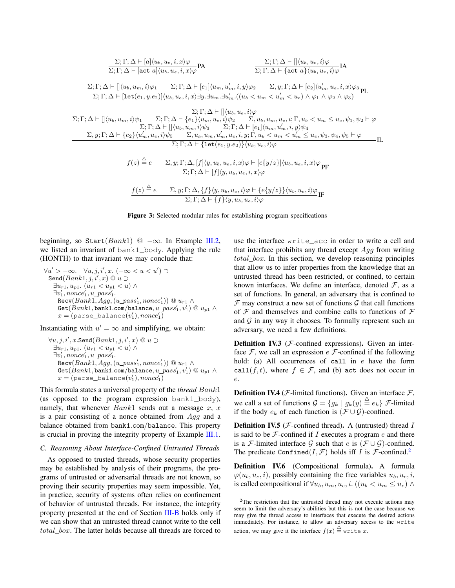$$
\sum_{i} \Gamma_{i} \Delta \vdash [a] \langle u_{b}, u_{e}, i, x \rangle \varphi
$$
\n
$$
\sum_{i} \Gamma_{i} \Delta \vdash [a] \langle u_{b}, u_{e}, i, x \rangle \varphi
$$
\n
$$
\sum_{i} \Gamma_{i} \Delta \vdash [a] \langle u_{b}, u_{e}, i, x \rangle \varphi
$$
\n
$$
\sum_{i} \Gamma_{i} \Delta \vdash [a] \langle u_{b}, u_{e}, i, x \rangle \varphi
$$
\n
$$
\sum_{i} \Gamma_{i} \Delta \vdash [a] \langle u_{b}, u_{e}, i, x \rangle \varphi
$$
\n
$$
\sum_{i} \Gamma_{i} \Delta \vdash [a] \langle u_{b}, u_{e}, i, x \rangle \varphi
$$
\n
$$
\sum_{i} \Gamma_{i} \Delta \vdash [a] \langle u_{b}, u_{e}, i, x \rangle \varphi
$$
\n
$$
\sum_{i} \Gamma_{i} \Delta \vdash [a] \langle u_{b}, u_{e}, i, x \rangle \varphi
$$
\n
$$
\sum_{i} \Gamma_{i} \Delta \vdash [a] \langle u_{b}, u_{e}, i, x \rangle \varphi
$$
\n
$$
\sum_{i} \Gamma_{i} \Delta \vdash [a] \langle u_{b}, u_{e}, i, x \rangle \varphi
$$
\n
$$
\sum_{i} \Gamma_{i} \Delta \vdash [a] \langle u_{b}, u_{e}, i, x \rangle \varphi
$$
\n
$$
\sum_{i} \Gamma_{i} \Delta \vdash [a] \langle u_{b}, u_{e}, i, x \rangle \varphi
$$
\n
$$
\sum_{i} \Gamma_{i} \Delta \vdash [a] \langle u_{b}, u_{e}, i, x \rangle \varphi
$$
\n
$$
\sum_{i} \Gamma_{i} \Delta \vdash [a] \langle u_{b}, u_{e}, i, x \rangle \varphi
$$
\n
$$
\sum_{i} \Gamma_{i} \Delta \vdash [a] \langle u_{b}, u_{e}, i, x \rangle \varphi
$$
\n
$$
\sum_{i} \Gamma_{i} \Delta \vdash [a] \langle u_{b}, u_{e}, i, x \rangle \varphi
$$
\n
$$
\sum_{i} \Gamma_{i} \Delta \vdash [a] \langle u_{b}, u_{e}, i, x \rangle \varphi
$$
\n

Figure 3: Selected modular rules for establishing program specifications

beginning, so Start( $Bank1$ ) @  $-\infty$ . In Example III.2, we listed an invariant of bank1 body. Applying the rule (HONTH) to that invariant we may conclude that:

$$
\forall u' > -\infty. \quad \forall u, j, i', x. (-\infty < u < u') \supset
$$
  
\nSend(Bank1, j, i', x) @ u \supset  
\n
$$
\exists u_{r1}, u_{p1}. (u_{r1} < u_{p1} < u) \land
$$
  
\n
$$
\exists v'_1, nonce'_1, u\_pass'_1.
$$
  
\nRecv(Bank1, Agg, (u\\_pass'\_1, nonce'\_1)) @ u\_{r1} \land  
\nGet(Bank1, bank1.com/balance, u\\_pass'\_1, v'\_1) @ u\_{p1} \land  
\n x = (parse\_balance(v'\_1), nonce'\_1)

Instantiating with  $u' = \infty$  and simplifying, we obtain:

$$
\forall u, j, i', x.\texttt{Send}(Bank1, j, i', x) @ u \supset \\ \exists u_{r1}, u_{p1}. (u_{r1} < u_{p1} < u) \land \\ \exists v'_1, nonce'_1, u\_pass'_1. \\ \texttt{Recv}(Bank1, Agg, (u\_pass'_1, nonce'_1)) @ u_{r1} \land \\ \texttt{Get}(Bank1, bank1.com/balance, u\_pass'_1, v'_1) @ u_{p1} \land \\ x = (parse\_balance(v'_1), nonce'_1)
$$

This formula states a universal property of the *thread* Bank1 (as opposed to the program expression bank1\_body), namely, that whenever  $Bank1$  sends out a message  $x, x$ is a pair consisting of a nonce obtained from Agg and a balance obtained from bank1.com/balance. This property is crucial in proving the integrity property of Example III.1.

# *C. Reasoning About Interface-Confined Untrusted Threads*

As opposed to trusted threads, whose security properties may be established by analysis of their programs, the programs of untrusted or adversarial threads are not known, so proving their security properties may seem impossible. Yet, in practice, security of systems often relies on confinement of behavior of untrusted threads. For instance, the integrity property presented at the end of Section III-B holds only if we can show that an untrusted thread cannot write to the cell total\_box. The latter holds because all threads are forced to use the interface write acc in order to write a cell and that interface prohibits any thread except  $A_{qq}$  from writing total box. In this section, we develop reasoning principles that allow us to infer properties from the knowledge that an untrusted thread has been restricted, or confined, to certain known interfaces. We define an interface, denoted  $\mathcal{F}$ , as a set of functions. In general, an adversary that is confined to  $\mathcal F$  may construct a new set of functions  $\mathcal G$  that call functions of  $\mathcal F$  and themselves and combine calls to functions of  $\mathcal F$ and  $G$  in any way it chooses. To formally represent such an adversary, we need a few definitions.

**Definition IV.3** ( $F$ -confined expressions). Given an interface  $\mathcal F$ , we call an expression  $e \mathcal F$ -confined if the following hold: (a) All occurrences of call in e have the form call $(f, t)$ , where  $f \in \mathcal{F}$ , and (b) act does not occur in e.

**Definition IV.4** ( $F$ -limited functions). Given an interface  $F$ , we call a set of functions  $\mathcal{G} = \{g_k \mid g_k(y) \stackrel{\triangle}{=} e_k\}$  *F*-limited if the body  $e_k$  of each function is  $(\mathcal{F} \cup \mathcal{G})$ -confined.

**Definition IV.5** ( $F$ -confined thread). A (untrusted) thread  $I$ is said to be  $\mathcal F$ -confined if I executes a program  $e$  and there is a *F*-limited interface G such that e is  $(\mathcal{F} \cup \mathcal{G})$ -confined. The predicate Confined $(I, \mathcal{F})$  holds iff I is F-confined.<sup>2</sup>

Definition IV.6 (Compositional formula). A formula  $\varphi(u_h, u_e, i)$ , possibly containing the free variables  $u_h, u_e, i$ , is called compositional if  $\forall u_b, u_m, u_e, i$ .  $((u_b < u_m \leq u_e) \land$ 

 $2$ The restriction that the untrusted thread may not execute actions may seem to limit the adversary's abilities but this is not the case because we may give the thread access to interfaces that execute the desired actions immediately. For instance, to allow an adversary access to the write action, we may give it the interface  $f(x) \stackrel{\triangle}{=}$  write x.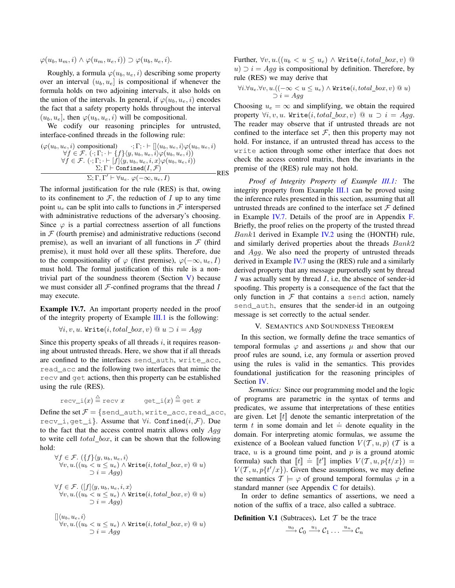$\varphi(u_b, u_m, i) \wedge \varphi(u_m, u_e, i)) \supset \varphi(u_b, u_e, i).$ 

Roughly, a formula  $\varphi(u_b, u_e, i)$  describing some property over an interval  $(u_b, u_e)$  is compositional if whenever the formula holds on two adjoining intervals, it also holds on the union of the intervals. In general, if  $\varphi(u_h, u_e, i)$  encodes the fact that a safety property holds throughout the interval  $(u_b, u_e]$ , then  $\varphi(u_b, u_e, i)$  will be compositional.

We codify our reasoning principles for untrusted, interface-confined threads in the following rule:

$$
(\varphi(u_b, u_e, i) \text{ compositional}) \qquad \qquad \vdots \Gamma; \qquad \Gamma; \qquad \qquad [\langle u_b, u_e, i \rangle \varphi(u_b, u_e, i) \qquad \qquad \forall f \in \mathcal{F}. \ (\cdot; \Gamma; \cdot \vdash \{f\} \langle y, u_b, u_e, i \rangle \varphi(u_b, u_e, i))
$$
\n
$$
\qquad \qquad \forall f \in \mathcal{F}. \ (\cdot; \Gamma; \cdot \vdash [f] \langle y, u_b, u_e, i, x \rangle \varphi(u_b, u_e, i))
$$
\n
$$
\qquad \qquad \Sigma; \Gamma \vdash \text{Confined}(I, \mathcal{F})
$$
\n
$$
\qquad \qquad \Sigma; \Gamma, \Gamma' \vdash \forall u_e. \ \varphi(-\infty, u_e, I)
$$
\nRES

The informal justification for the rule (RES) is that, owing to its confinement to  $\mathcal{F}$ , the reduction of  $I$  up to any time point  $u_e$  can be split into calls to functions in  $\mathcal F$  interspersed with administrative reductions of the adversary's choosing. Since  $\varphi$  is a partial correctness assertion of all functions in  $F$  (fourth premise) and administrative reductions (second premise), as well an invariant of all functions in  $\mathcal F$  (third premise), it must hold over all these splits. Therefore, due to the compositionality of  $\varphi$  (first premise),  $\varphi(-\infty, u_e, I)$ must hold. The formal justification of this rule is a nontrivial part of the soundness theorem (Section  $V$ ) because we must consider all  $F$ -confined programs that the thread  $I$ may execute.

Example IV.7. An important property needed in the proof of the integrity property of Example  $III.1$  is the following:

$$
\forall i, v, u. \ \mathtt{Write}(i, total\_box, v) \ @ \ u \supset i = Agg
$$

Since this property speaks of all threads  $i$ , it requires reasoning about untrusted threads. Here, we show that if all threads are confined to the interfaces send\_auth, write\_acc, read\_acc and the following two interfaces that mimic the recv and get actions, then this property can be established using the rule (RES).

$$
\texttt{recv\_i}(x) \stackrel{\triangle}{=} \texttt{recv } x \qquad \texttt{get\_i}(x) \stackrel{\triangle}{=} \texttt{get } x
$$

Define the set  $F = \{send\_auth, write\_acc, read\_acc,$ recv\_i, get\_i}. Assume that  $\forall i$ . Confined $(i, \mathcal{F})$ . Due to the fact that the access control matrix allows only  $Agg$ to write cell  $total\_box$ , it can be shown that the following hold:

$$
\forall f \in \mathcal{F}. (\{f\}\langle y, u_b, u_e, i\rangle
$$
  

$$
\forall v, u. ((u_b < u \le u_e) \land \text{Write}(i, total\_box, v) \text{ @ } u)
$$
  

$$
\supset i = Agg)
$$
  

$$
\forall f \in \mathcal{F}. ([f]\langle y, u_b, u_e, i, x\rangle
$$
  

$$
\forall v, u. ((u_b < u \le u_e) \land \text{Write}(i, total\_box, v) \text{ @ } u)
$$
  

$$
\supset i = Agg)
$$
  

$$
[] \langle u_b, u_e, i\rangle
$$
  

$$
\forall v, u. ((u_b < u \le u_e) \land \text{Write}(i, total\_box, v) \text{ @ } u)
$$
  

$$
\supset i = Agg
$$

Further,  $\forall v, u. ((u_b < u \leq u_e) \land \text{Write}(i, total\_box, v) \ @$  $u) \supset i = Agg$  is compositional by definition. Therefore, by rule (RES) we may derive that

$$
\forall i. \forall u_e. \forall v, u. ((-\infty < u \leq u_e) \land \text{Write}(i, total\_box, v) \text{ @ } u)
$$
  

$$
\supset i = Agg
$$

Choosing  $u_e = \infty$  and simplifying, we obtain the required property  $\forall i, v, u$ . Write $(i, total\_box, v) \ @ \ u \supset i = Aqq$ . The reader may observe that if untrusted threads are not confined to the interface set  $\mathcal F$ , then this property may not hold. For instance, if an untrusted thread has access to the write action through some other interface that does not check the access control matrix, then the invariants in the premise of the (RES) rule may not hold.

*Proof of Integrity Property of Example III.1:* The integrity property from Example III.1 can be proved using the inference rules presented in this section, assuming that all untrusted threads are confined to the interface set  $\mathcal F$  defined in Example IV.7. Details of the proof are in Appendix F. Briefly, the proof relies on the property of the trusted thread  $Bank1$  derived in Example IV.2 using the (HONTH) rule, and similarly derived properties about the threads Bank2 and Agg. We also need the property of untrusted threads derived in Example IV.7 using the (RES) rule and a similarly derived property that any message purportedly sent by thread I was actually sent by thread  $I$ , i.e, the absence of sender-id spoofing. This property is a consequence of the fact that the only function in  $F$  that contains a send action, namely send auth, ensures that the sender-id in an outgoing message is set correctly to the actual sender.

#### V. SEMANTICS AND SOUNDNESS THEOREM

In this section, we formally define the trace semantics of temporal formulas  $\varphi$  and assertions  $\mu$  and show that our proof rules are sound, i.e, any formula or assertion proved using the rules is valid in the semantics. This provides foundational justification for the reasoning principles of Section IV.

*Semantics:* Since our programming model and the logic of programs are parametric in the syntax of terms and predicates, we assume that interpretations of these entities are given. Let  $\llbracket t \rrbracket$  denote the semantic interpretation of the term t in some domain and let  $\dot{=}$  denote equality in the domain. For interpreting atomic formulas, we assume the existence of a Boolean valued function  $V(T, u, p)$  (T is a trace,  $u$  is a ground time point, and  $p$  is a ground atomic formula) such that  $[[t]] \doteq [[t']]$  implies  $V(T, u, p\{t/x\}) =$  $V(\mathcal{T}, u, p\{t'/x\})$ . Given these assumptions, we may define the semantics  $T \models \varphi$  of ground temporal formulas  $\varphi$  in a standard manner (see Appendix C for details).

In order to define semantics of assertions, we need a notion of the suffix of a trace, also called a subtrace.

**Definition V.1** (Subtraces). Let  $T$  be the trace

$$
\xrightarrow{u_0} \mathcal{C}_0 \xrightarrow{u_1} \mathcal{C}_1 \dots \xrightarrow{u_n} \mathcal{C}_n
$$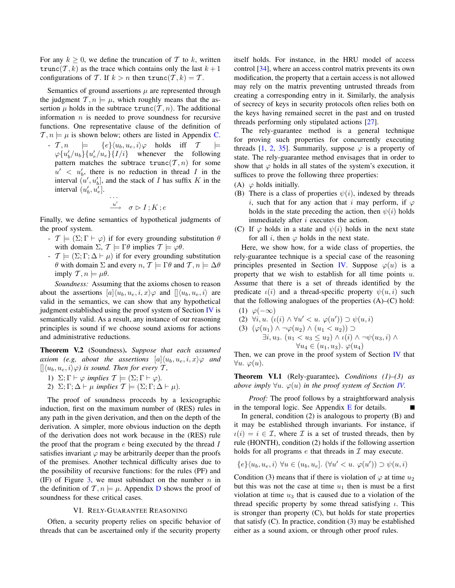For any  $k \geq 0$ , we define the truncation of T to k, written trunc(T, k) as the trace which contains only the last  $k+1$ configurations of T. If  $k > n$  then  $\text{trunc}(T, k) = T$ .

Semantics of ground assertions  $\mu$  are represented through the judgment  $\mathcal{T}, n \models \mu$ , which roughly means that the assertion  $\mu$  holds in the subtrace  $\text{trunc}(\mathcal{T}, n)$ . The additional information  $n$  is needed to prove soundness for recursive functions. One representative clause of the definition of  $\mathcal{T}, n \models \mu$  is shown below; others are listed in Appendix C. -  $\mathcal{T}, n \models \{e\} \langle u_b, u_e, i \rangle \varphi$  holds iff  $\mathcal{T}$  $\varphi \{u'_b/u_b\} \{u'_e/u_e\} \{I/i\}$  whenever the following

pattern matches the subtrace  $trunc(T, n)$  for some  $u' < u'_b$ , there is no reduction in thread I in the interval  $(u', u'_b]$ , and the stack of I has suffix K in the interval  $(u'_b, u'_e]$ .

$$
\cdots
$$
  

$$
\stackrel{u'}{\longrightarrow} \quad \sigma \triangleright I \ ; K \ ; e
$$

Finally, we define semantics of hypothetical judgments of the proof system.

- $\mathcal{T} \models (\Sigma; \Gamma \vdash \varphi)$  if for every grounding substitution  $\theta$ with domain  $\Sigma$ ,  $\mathcal{T} \models \Gamma \theta$  implies  $\mathcal{T} \models \varphi \theta$ .
- $\mathcal{T} \models (\Sigma; \Gamma; \Delta \vdash \mu)$  if for every grounding substitution  $θ$  with domain Σ and every *n*,  $T \models Γθ$  and  $T, n \models Δθ$ imply  $\mathcal{T}, n \models \mu \theta$ .

*Soundness:* Assuming that the axioms chosen to reason about the assertions  $[a](u_b, u_e, i, x)\varphi$  and  $\langle (u_b, u_e, i \rangle)$  are valid in the semantics, we can show that any hypothetical judgment established using the proof system of Section IV is semantically valid. As a result, any instance of our reasoning principles is sound if we choose sound axioms for actions and administrative reductions.

Theorem V.2 (Soundness). *Suppose that each assumed axiom (e.g, about the assertions*  $[a] \langle u_b, u_e, i, x \rangle \varphi$  *and*  $\langle \phi | \langle u_b, u_e, i \rangle \varphi \rangle$  *is sound. Then for every*  $\mathcal{T}$ *,* 

- 1)  $\Sigma: \Gamma \vdash \varphi$  *implies*  $\mathcal{T} \models (\Sigma: \Gamma \vdash \varphi)$ *.*
- 2)  $\Sigma$ ;  $\Gamma$ ;  $\Delta \vdash \mu$  *implies*  $\mathcal{T} \models (\Sigma; \Gamma; \Delta \vdash \mu)$ *.*

The proof of soundness proceeds by a lexicographic induction, first on the maximum number of (RES) rules in any path in the given derivation, and then on the depth of the derivation. A simpler, more obvious induction on the depth of the derivation does not work because in the (RES) rule the proof that the program  $e$  being executed by the thread  $I$ satisfies invariant  $\varphi$  may be arbitrarily deeper than the proofs of the premises. Another technical difficulty arises due to the possibility of recursive functions: for the rules (PF) and (IF) of Figure 3, we must subinduct on the number  $n$  in the definition of  $\mathcal{T}, n \models \mu$ . Appendix D shows the proof of soundness for these critical cases.

# VI. RELY-GUARANTEE REASONING

Often, a security property relies on specific behavior of threads that can be ascertained only if the security property itself holds. For instance, in the HRU model of access control [34], where an access control matrix prevents its own modification, the property that a certain access is not allowed may rely on the matrix preventing untrusted threads from creating a corresponding entry in it. Similarly, the analysis of secrecy of keys in security protocols often relies both on the keys having remained secret in the past and on trusted threads performing only stipulated actions [27].

The rely-guarantee method is a general technique for proving such properties for concurrently executing threads [1, 2, 35]. Summarily, suppose  $\varphi$  is a property of state. The rely-guarantee method envisages that in order to show that  $\varphi$  holds in all states of the system's execution, it suffices to prove the following three properties:

- (A)  $\varphi$  holds initially.
- (B) There is a class of properties  $\psi(i)$ , indexed by threads i, such that for any action that i may perform, if  $\varphi$ holds in the state preceding the action, then  $\psi(i)$  holds immediately after i executes the action.
- (C) If  $\varphi$  holds in a state and  $\psi(i)$  holds in the next state for all i, then  $\varphi$  holds in the next state.

Here, we show how, for a wide class of properties, the rely-guarantee technique is a special case of the reasoning principles presented in Section IV. Suppose  $\varphi(u)$  is a property that we wish to establish for all time points  $u$ . Assume that there is a set of threads identified by the predicate  $\iota(i)$  and a thread-specific property  $\psi(u, i)$  such that the following analogues of the properties  $(A)$ – $(C)$  hold:

$$
(1) \varphi(-\infty)
$$

(2)  $\forall i, u. \ (\iota(i) \wedge \forall u' < u. \ \varphi(u')) \supset \psi(u, i)$ 

(3) 
$$
(\varphi(u_1) \land \neg \varphi(u_2) \land (u_1 < u_2)) \supset
$$
  
\n $\exists i, u_3. (u_1 < u_3 \le u_2) \land \iota(i) \land \neg \psi(u_3, i) \land$   
\n $\forall u_4 \in (u_1, u_3). \varphi(u_4)$ 

Then, we can prove in the proof system of Section IV that  $\forall u. \varphi(u).$ 

Theorem VI.1 (Rely-guarantee). *Conditions (1)–(3) as above imply*  $\forall u$ .  $\varphi(u)$  *in the proof system of Section IV.* 

*Proof:* The proof follows by a straightforward analysis in the temporal logic. See Appendix  $E$  for details.

In general, condition (2) is analogous to property (B) and it may be established through invariants. For instance, if  $u(i) = i \in \mathcal{I}$ , where  $\mathcal{I}$  is a set of trusted threads, then by rule (HONTH), condition (2) holds if the following assertion holds for all programs  $e$  that threads in  $\mathcal I$  may execute.

$$
\{e\}\langle u_b, u_e, i\rangle \ \forall u \in (u_b, u_e]. \ (\forall u' < u. \ \varphi(u')) \supset \psi(u, i)
$$

Condition (3) means that if there is violation of  $\varphi$  at time  $u_2$ but this was not the case at time  $u_1$  then is must be a first violation at time  $u_3$  that is caused due to a violation of the thread specific property by some thread satisfying  $\iota$ . This is stronger than property (C), but holds for state properties that satisfy (C). In practice, condition (3) may be established either as a sound axiom, or through other proof rules.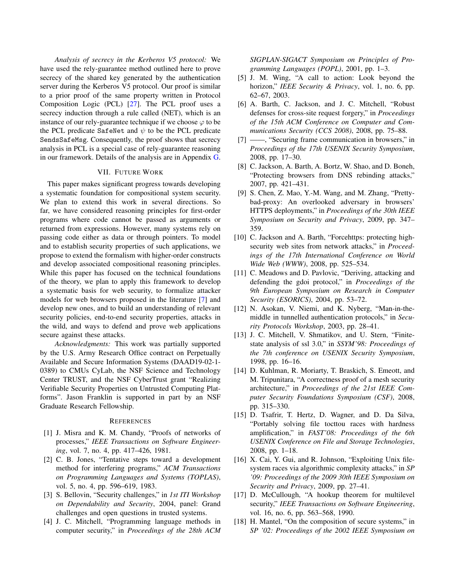*Analysis of secrecy in the Kerberos V5 protocol:* We have used the rely-guarantee method outlined here to prove secrecy of the shared key generated by the authentication server during the Kerberos V5 protocol. Our proof is similar to a prior proof of the same property written in Protocol Composition Logic (PCL) [27]. The PCL proof uses a secrecy induction through a rule called (NET), which is an instance of our rely-guarantee technique if we choose  $\varphi$  to be the PCL predicate SafeNet and  $\psi$  to be the PCL predicate SendsSafeMsg. Consequently, the proof shows that secrecy analysis in PCL is a special case of rely-guarantee reasoning in our framework. Details of the analysis are in Appendix G.

# VII. FUTURE WORK

This paper makes significant progress towards developing a systematic foundation for compositional system security. We plan to extend this work in several directions. So far, we have considered reasoning principles for first-order programs where code cannot be passed as arguments or returned from expressions. However, many systems rely on passing code either as data or through pointers. To model and to establish security properties of such applications, we propose to extend the formalism with higher-order constructs and develop associated compositional reasoning principles. While this paper has focused on the technical foundations of the theory, we plan to apply this framework to develop a systematic basis for web security, to formalize attacker models for web browsers proposed in the literature [7] and develop new ones, and to build an understanding of relevant security policies, end-to-end security properties, attacks in the wild, and ways to defend and prove web applications secure against these attacks.

*Acknowledgments:* This work was partially supported by the U.S. Army Research Office contract on Perpetually Available and Secure Information Systems (DAAD19-02-1- 0389) to CMUs CyLab, the NSF Science and Technology Center TRUST, and the NSF CyberTrust grant "Realizing Verifiable Security Properties on Untrusted Computing Platforms". Jason Franklin is supported in part by an NSF Graduate Research Fellowship.

# **REFERENCES**

- [1] J. Misra and K. M. Chandy, "Proofs of networks of processes," *IEEE Transactions on Software Engineering*, vol. 7, no. 4, pp. 417–426, 1981.
- [2] C. B. Jones, "Tentative steps toward a development method for interfering programs," *ACM Transactions on Programming Languages and Systems (TOPLAS)*, vol. 5, no. 4, pp. 596–619, 1983.
- [3] S. Bellovin, "Security challenges," in *1st ITI Workshop on Dependability and Security*, 2004, panel: Grand challenges and open questions in trusted systems.
- [4] J. C. Mitchell, "Programming language methods in computer security," in *Proceedings of the 28th ACM*

*SIGPLAN-SIGACT Symposium on Principles of Programming Languages (POPL)*, 2001, pp. 1–3.

- [5] J. M. Wing, "A call to action: Look beyond the horizon," *IEEE Security & Privacy*, vol. 1, no. 6, pp. 62–67, 2003.
- [6] A. Barth, C. Jackson, and J. C. Mitchell, "Robust" defenses for cross-site request forgery," in *Proceedings of the 15th ACM Conference on Computer and Communications Security (CCS 2008)*, 2008, pp. 75–88.
- [7] ——, "Securing frame communication in browsers," in *Proceedings of the 17th USENIX Security Symposium*, 2008, pp. 17–30.
- [8] C. Jackson, A. Barth, A. Bortz, W. Shao, and D. Boneh, "Protecting browsers from DNS rebinding attacks," 2007, pp. 421–431.
- [9] S. Chen, Z. Mao, Y.-M. Wang, and M. Zhang, "Prettybad-proxy: An overlooked adversary in browsers' HTTPS deployments," in *Proceedings of the 30th IEEE Symposium on Security and Privacy*, 2009, pp. 347– 359.
- [10] C. Jackson and A. Barth, "Forcehttps: protecting highsecurity web sites from network attacks," in *Proceedings of the 17th International Conference on World Wide Web (WWW)*, 2008, pp. 525–534.
- [11] C. Meadows and D. Pavlovic, "Deriving, attacking and defending the gdoi protocol," in *Proceedings of the 9th European Symposium on Research in Computer Security (ESORICS)*, 2004, pp. 53–72.
- [12] N. Asokan, V. Niemi, and K. Nyberg, "Man-in-themiddle in tunnelled authentication protocols," in *Security Protocols Workshop*, 2003, pp. 28–41.
- [13] J. C. Mitchell, V. Shmatikov, and U. Stern, "Finitestate analysis of ssl 3.0," in *SSYM'98: Proceedings of the 7th conference on USENIX Security Symposium*, 1998, pp. 16–16.
- [14] D. Kuhlman, R. Moriarty, T. Braskich, S. Emeott, and M. Tripunitara, "A correctness proof of a mesh security architecture," in *Proceedings of the 21st IEEE Computer Security Foundations Symposium (CSF)*, 2008, pp. 315–330.
- [15] D. Tsafrir, T. Hertz, D. Wagner, and D. Da Silva, "Portably solving file tocttou races with hardness amplification," in *FAST'08: Proceedings of the 6th USENIX Conference on File and Storage Technologies*, 2008, pp. 1–18.
- [16] X. Cai, Y. Gui, and R. Johnson, "Exploiting Unix filesystem races via algorithmic complexity attacks," in *SP '09: Proceedings of the 2009 30th IEEE Symposium on Security and Privacy*, 2009, pp. 27–41.
- [17] D. McCullough, "A hookup theorem for multilevel security," *IEEE Transactions on Software Engineering*, vol. 16, no. 6, pp. 563–568, 1990.
- [18] H. Mantel, "On the composition of secure systems," in *SP '02: Proceedings of the 2002 IEEE Symposium on*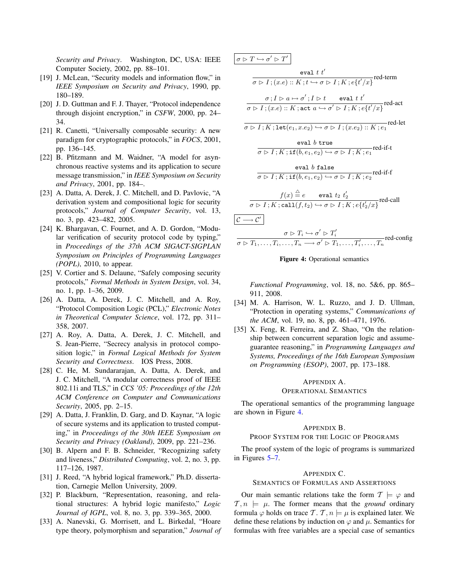*Security and Privacy*. Washington, DC, USA: IEEE Computer Society, 2002, pp. 88–101.

- [19] J. McLean, "Security models and information flow," in *IEEE Symposium on Security and Privacy*, 1990, pp. 180–189.
- [20] J. D. Guttman and F. J. Thayer, "Protocol independence" through disjoint encryption," in *CSFW*, 2000, pp. 24– 34.
- [21] R. Canetti, "Universally composable security: A new paradigm for cryptographic protocols," in *FOCS*, 2001, pp. 136–145.
- [22] B. Pfitzmann and M. Waidner, "A model for asynchronous reactive systems and its application to secure message transmission," in *IEEE Symposium on Security and Privacy*, 2001, pp. 184–.
- [23] A. Datta, A. Derek, J. C. Mitchell, and D. Pavlovic, "A derivation system and compositional logic for security protocols," *Journal of Computer Security*, vol. 13, no. 3, pp. 423–482, 2005.
- [24] K. Bhargavan, C. Fournet, and A. D. Gordon, "Modular verification of security protocol code by typing," in *Proceedings of the 37th ACM SIGACT-SIGPLAN Symposium on Principles of Programming Languages (POPL)*, 2010, to appear.
- [25] V. Cortier and S. Delaune, "Safely composing security protocols," *Formal Methods in System Design*, vol. 34, no. 1, pp. 1–36, 2009.
- [26] A. Datta, A. Derek, J. C. Mitchell, and A. Roy, "Protocol Composition Logic (PCL)," *Electronic Notes in Theoretical Computer Science*, vol. 172, pp. 311– 358, 2007.
- [27] A. Roy, A. Datta, A. Derek, J. C. Mitchell, and S. Jean-Pierre, "Secrecy analysis in protocol composition logic," in *Formal Logical Methods for System Security and Correctness*. IOS Press, 2008.
- [28] C. He, M. Sundararajan, A. Datta, A. Derek, and J. C. Mitchell, "A modular correctness proof of IEEE 802.11i and TLS," in *CCS '05: Proceedings of the 12th ACM Conference on Computer and Communications Security*, 2005, pp. 2–15.
- [29] A. Datta, J. Franklin, D. Garg, and D. Kaynar, "A logic of secure systems and its application to trusted computing," in *Proceedings of the 30th IEEE Symposium on Security and Privacy (Oakland)*, 2009, pp. 221–236.
- [30] B. Alpern and F. B. Schneider, "Recognizing safety and liveness," *Distributed Computing*, vol. 2, no. 3, pp. 117–126, 1987.
- [31] J. Reed, "A hybrid logical framework," Ph.D. dissertation, Carnegie Mellon University, 2009.
- [32] P. Blackburn, "Representation, reasoning, and relational structures: A hybrid logic manifesto," *Logic Journal of IGPL*, vol. 8, no. 3, pp. 339–365, 2000.
- [33] A. Nanevski, G. Morrisett, and L. Birkedal, "Hoare type theory, polymorphism and separation," *Journal of*





*Functional Programming*, vol. 18, no. 5&6, pp. 865– 911, 2008.

- [34] M. A. Harrison, W. L. Ruzzo, and J. D. Ullman, "Protection in operating systems," *Communications of the ACM*, vol. 19, no. 8, pp. 461–471, 1976.
- [35] X. Feng, R. Ferreira, and Z. Shao, "On the relationship between concurrent separation logic and assumeguarantee reasoning," in *Programming Languages and Systems, Proceedings of the 16th European Symposium on Programming (ESOP)*, 2007, pp. 173–188.

# APPENDIX A.

# OPERATIONAL SEMANTICS

The operational semantics of the programming language are shown in Figure 4.

#### APPENDIX B.

PROOF SYSTEM FOR THE LOGIC OF PROGRAMS

The proof system of the logic of programs is summarized in Figures 5–7.

#### APPENDIX C.

#### SEMANTICS OF FORMULAS AND ASSERTIONS

Our main semantic relations take the form  $\mathcal{T} \models \varphi$  and  $\mathcal{T}, n \models \mu$ . The former means that the *ground* ordinary formula  $\varphi$  holds on trace T. T,  $n \models \mu$  is explained later. We define these relations by induction on  $\varphi$  and  $\mu$ . Semantics for formulas with free variables are a special case of semantics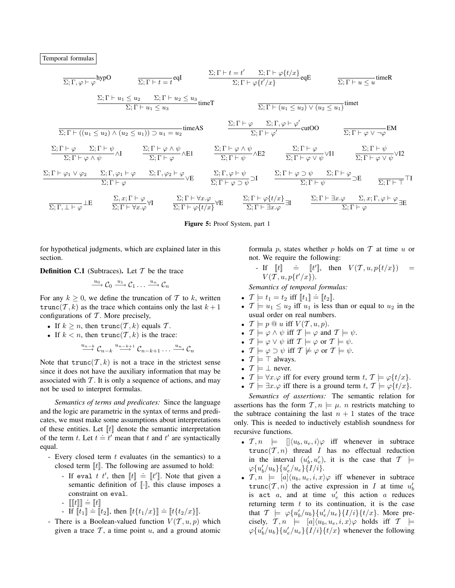Temporal formulas

$$
\frac{\overline{\Sigma}; \Gamma, \varphi \vdash \varphi} \text{hypO} \qquad \frac{\Sigma; \Gamma \vdash t = t' \qquad \Sigma; \Gamma \vdash \varphi \{t/x\}}{\Sigma; \Gamma \vdash u_1 \le u_2 \qquad \Sigma; \Gamma \vdash u_2 \le u_3} \text{timeT}
$$
\n
$$
\frac{\Sigma; \Gamma \vdash u_1 \le u_2 \qquad \Sigma; \Gamma \vdash u_2 \le u_3}{\Sigma; \Gamma \vdash u_1 \le u_3} \text{timeT}
$$
\n
$$
\frac{\Sigma; \Gamma \vdash u_1 \le u_2 \qquad \Sigma; \Gamma \vdash u_2 \le u_3}{\Sigma; \Gamma \vdash (u_1 \le u_2) \land (u_2 \le u_1)) \supset u_1 = u_2} \text{timeAS}
$$
\n
$$
\frac{\Sigma; \Gamma \vdash \varphi \qquad \Sigma; \Gamma, \varphi \vdash \varphi'}{\Sigma; \Gamma \vdash \varphi'} \text{cutOO} \qquad \frac{\Sigma; \Gamma \vdash \varphi \qquad \Sigma; \Gamma, \varphi \vdash \varphi'}{\Sigma; \Gamma \vdash \varphi \land \psi} \text{ML}
$$
\n
$$
\frac{\Sigma; \Gamma \vdash \varphi \qquad \Sigma; \Gamma \vdash \varphi \land \psi}{\Sigma; \Gamma \vdash \varphi \land \psi} \text{ML}
$$
\n
$$
\frac{\Sigma; \Gamma \vdash \varphi \qquad \Sigma; \Gamma \vdash \varphi \land \psi}{\Sigma; \Gamma \vdash \varphi \land \psi} \text{ML}
$$
\n
$$
\frac{\Sigma; \Gamma \vdash \varphi \land \psi}{\Sigma; \Gamma \vdash \varphi \land \psi} \text{ML}
$$
\n
$$
\frac{\Sigma; \Gamma \vdash \varphi \land \psi}{\Sigma; \Gamma \vdash \varphi \land \psi} \text{ML}
$$
\n
$$
\frac{\Sigma; \Gamma \vdash \varphi \land \psi}{\Sigma; \Gamma \vdash \varphi \land \psi} \text{ML}
$$
\n
$$
\frac{\Sigma; \Gamma \vdash \varphi \land \psi}{\Sigma; \Gamma \vdash \varphi \land \psi} \text{ML}
$$
\n
$$
\frac{\Sigma; \Gamma \vdash \varphi \land \psi}{\Sigma; \Gamma \vdash \varphi \land \psi} \text{ML}
$$
\n
$$
\frac{\Sigma; \Gamma \vdash \varphi
$$

Figure 5: Proof System, part 1

for hypothetical judgments, which are explained later in this section.

**Definition C.1** (Subtraces). Let  $T$  be the trace

$$
\xrightarrow{u_0} \mathcal{C}_0 \xrightarrow{u_1} \mathcal{C}_1 \dots \xrightarrow{u_n} \mathcal{C}_n
$$

For any  $k \geq 0$ , we define the truncation of T to k, written trunc(T, k) as the trace which contains only the last  $k + 1$ configurations of  $T$ . More precisely,

- If  $k \geq n$ , then  $\text{trunc}(\mathcal{T}, k)$  equals  $\mathcal{T}$ .
- If  $k < n$ , then  $\text{trunc}(\mathcal{T}, k)$  is the trace:

 $\stackrel{u_{n-k}}{\longrightarrow} \mathcal{C}_{n-k} \stackrel{u_{n-k+1}}{\longrightarrow} \mathcal{C}_{n-k+1} \ldots \stackrel{u_n}{\longrightarrow} \mathcal{C}_n$ 

Note that  $trunc(T, k)$  is not a trace in the strictest sense since it does not have the auxiliary information that may be associated with  $T$ . It is only a sequence of actions, and may not be used to interpret formulas.

*Semantics of terms and predicates:* Since the language and the logic are parametric in the syntax of terms and predicates, we must make some assumptions about interpretations of these entities. Let  $\llbracket t \rrbracket$  denote the semantic interpretation of the term t. Let  $t = t'$  mean that t and t' are syntactically equal.

- Every closed term  $t$  evaluates (in the semantics) to a closed term  $\llbracket t \rrbracket$ . The following are assumed to hold:
	- If eval t t', then  $[[t]] \doteq [[t']]$ . Note that given a semantic definition of  $\lbrack \cdot \rbrack$ , this clause imposes a constraint on eval.
	- $\llbracket \llbracket t \rrbracket \rrbracket = \llbracket t \rrbracket$
	- If  $[[t_1]] \doteq [[t_2]]$ , then  $[[t_1/x]] \doteq [[t_1/x]]$ .
- There is a Boolean-valued function  $V(T, u, p)$  which given a trace  $\mathcal T$ , a time point  $u$ , and a ground atomic

formula p, states whether p holds on  $T$  at time u or not. We require the following:

- If  $[[t]] \doteq [t'],$  then  $V(\mathcal{T}, u, p\{t/x\}) =$  $V(\mathcal{T}, u, p\{t'/x\}).$ 

*Semantics of temporal formulas:*

- $\mathcal{T} \models t_1 = t_2 \text{ iff } [t_1] \doteq [t_2]$ .
- $\mathcal{T} \models u_1 \leq u_2$  iff  $u_1$  is less than or equal to  $u_2$  in the usual order on real numbers.
- $\mathcal{T} \models p \mathcal{Q} u$  iff  $V(\mathcal{T}, u, p)$ .
- $\mathcal{T} \models \varphi \land \psi$  iff  $\mathcal{T} \models \varphi$  and  $\mathcal{T} \models \psi$ .
- $\mathcal{T} \models \varphi \lor \psi$  iff  $\mathcal{T} \models \varphi$  or  $\mathcal{T} \models \psi$ .
- $\mathcal{T} \models \varphi \supset \psi$  iff  $\mathcal{T} \not\models \varphi$  or  $\mathcal{T} \models \psi$ .
- $\mathcal{T} \models \top$  always.
- $\mathcal{T} \models \bot$  never.
- $\mathcal{T} \models \forall x \cdot \varphi$  iff for every ground term  $t, \mathcal{T} \models \varphi\{t/x\}.$
- $\mathcal{T} \models \exists x.\varphi$  iff there is a ground term  $t, \mathcal{T} \models \varphi\{t/x\}.$

*Semantics of assertions:* The semantic relation for assertions has the form  $\mathcal{T}, n \models \mu$ . *n* restricts matching to the subtrace containing the last  $n + 1$  states of the trace only. This is needed to inductively establish soundness for recursive functions.

- $\mathcal{T}, n \models \left[ \left| \langle u_b, u_e, i \rangle \varphi \right| \right]$  iff whenever in subtrace  $trunc(T, n)$  thread I has no effectual reduction in the interval  $(u'_b, u'_e)$ , it is the case that  $\mathcal{T} \models$  $\varphi\{u'_b/u_b\}\{u'_e/u_e\}\{I/i\}.$
- $\mathcal{T}, n \models [a] \langle u_b, u_e, i, x \rangle \varphi$  iff whenever in subtrace trunc $(T, n)$  the active expression in I at time  $u'_b$ is act a, and at time  $u'_e$  this action a reduces returning term  $t$  to its continuation, it is the case that  $\mathcal{T} \models \varphi \{u'_b/u_b\} \{u'_e/u_e\} \{I/i\} \{t/x\}$ . More precisely,  $\mathcal{T}, n \models [a] \langle u_b, u_e, i, x \rangle \varphi$  holds iff  $\mathcal{T} \models$  $\varphi\{u'_b/u_b\}\{u'_e/u_e\}\{I/i\}\{t/x\}$  whenever the following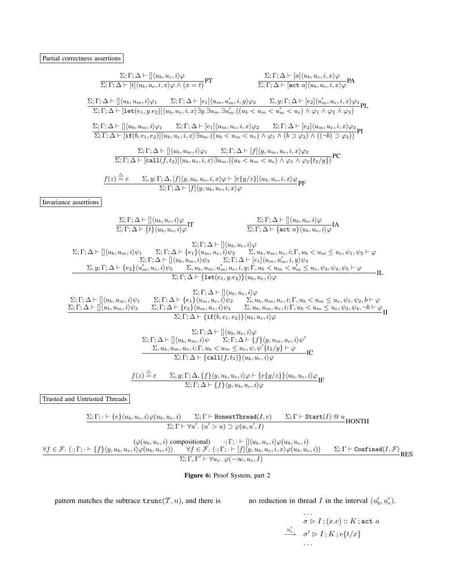| $\frac{\Sigma; \Gamma; \Delta \vdash [](u_b, u_e, i) \varphi}{\Sigma; \Gamma; \Delta \vdash [t](u_b, u_e, i, x) \varphi \wedge (x = t)} \text{PT}$<br>$\frac{\Sigma; \Gamma; \Delta \vdash [a] \langle u_b, u_e, i, x \rangle \varphi}{\Sigma; \Gamma; \Delta \vdash [\texttt{act } a] \langle u_b, u_e, i, x \rangle \varphi} \mathsf{PA}$                                                                                                                                                                                                                                                                                                                                    |  |  |  |  |  |
|--------------------------------------------------------------------------------------------------------------------------------------------------------------------------------------------------------------------------------------------------------------------------------------------------------------------------------------------------------------------------------------------------------------------------------------------------------------------------------------------------------------------------------------------------------------------------------------------------------------------------------------------------------------------------------|--|--|--|--|--|
| $\frac{\Sigma; \Gamma; \Delta \vdash [\langle u_b, u_m, i \rangle \varphi_1 \qquad \Sigma; \Gamma; \Delta \vdash [e_1] \langle u_m, u'_m, i, y \rangle \varphi_2 \qquad \Sigma, y; \Gamma; \Delta \vdash [e_2] \langle u'_m, u_e, i, x \rangle \varphi_3}{\Sigma; \Gamma; \Delta \vdash [\texttt{let}(e_1, y.e_2)] \langle u_b, u_e, i, x \rangle \exists y. \exists u_m. \exists u'_m. ((u_b < u_m < u'_m < u_e) \land \varphi_1 \land \varphi_2 \land \varphi_3)}\text{PL}$                                                                                                                                                                                                  |  |  |  |  |  |
| $\frac{\Sigma;\Gamma;\Delta\vdash[\langle u_b,u_m,i\rangle\varphi_1\qquad \Sigma;\Gamma;\Delta\vdash [e_1]\langle u_m,u_e,i,x\rangle\varphi_2\qquad \Sigma;\Gamma;\Delta\vdash [e_2]\langle u_m,u_e,i,x\rangle\varphi_3}{\Sigma;\Gamma;\Delta\vdash[\mathbf{if}(b,e_1,e_2)]\langle u_b,u_e,i,x\rangle\exists u_m.((u_b < u_m < u_e) \wedge \varphi_1\wedge(b\supset\varphi_2)\wedge((\neg b)\supset\varphi_3))} \mathbf{PI}$                                                                                                                                                                                                                                                   |  |  |  |  |  |
| $\frac{\Sigma; \Gamma; \Delta \vdash [\hspace{-0.04cm}[ \langle u_b, u_m, i \rangle \varphi_1 \quad \Sigma; \Gamma; \Delta \vdash [f] \langle y, u_m, u_e, i, x \rangle \varphi_2 \qquad \  \, \\ \overline{\Sigma; \Gamma; \Delta \vdash [ \text{call}(f, t_2)] \langle u_b, u_e, i, x \rangle \exists u_m . ((u_b < u_m < u_e) \land \varphi_1 \land \varphi_2 \{ t_2/u \} )} \text{PC}$                                                                                                                                                                                                                                                                                     |  |  |  |  |  |
| $\frac{f(z) \stackrel{\triangle}{=} e \qquad \Sigma, y; \Gamma; \Delta, [f](y, u_b, u_e, i, x) \varphi \vdash [e\{y/z\}]\langle u_b, u_e, i, x \rangle \varphi}{\Sigma; \Gamma; \Delta \vdash [f](y, u_b, u_e, i, x) \varphi} \text{PF}$                                                                                                                                                                                                                                                                                                                                                                                                                                       |  |  |  |  |  |
| Invariance assertions                                                                                                                                                                                                                                                                                                                                                                                                                                                                                                                                                                                                                                                          |  |  |  |  |  |
| $\frac{\Sigma; \Gamma; \Delta \vdash [] \langle u_b, u_e, i \rangle \varphi}{\Sigma; \Gamma; \Delta \vdash \{t\} \langle u_b, u_e, i \rangle \varphi} \Pi$<br>$\frac{\Sigma; \Gamma; \Delta \vdash [\langle u_b, u_e, i \rangle \varphi]}{\Sigma; \Gamma; \Delta \vdash \{\texttt{act } a\} \langle u_b, u_e, i \rangle \varphi} \text{IA}$                                                                                                                                                                                                                                                                                                                                    |  |  |  |  |  |
| $\Sigma; \Gamma; \Delta \vdash    \langle u_b, u_e, i \rangle \varphi$<br>$\Sigma; \Gamma; \Delta \vdash [\langle u_b, u_m, i \rangle \psi_1 \sum; \Gamma; \Delta \vdash \{e_1\} \langle u_m, u_e, i \rangle \psi_2 \sum; u_b, u_m, u_e, i; \Gamma, u_b < u_m \leq u_e, \psi_1, \psi_2 \vdash \varphi_2]$<br>$\Sigma; \Gamma; \Delta \vdash [\langle u_b, u_m, i \rangle \psi_3 \sum; \Gamma; \Delta \vdash [e_1] \langle u_m, u'_m, i, y \rangle \psi_4$<br>$\Sigma, y; \Gamma; \Delta \vdash \{e_2\} \langle u'_m, u_e, i \rangle \psi_5 \sum; u_b, u_m, u'_$<br>$-\Pi$ .<br>$\Sigma; \Gamma; \Delta \vdash \{\texttt{let}(e_1, y.e_2)\}\langle u_b, u_e, i \rangle \varphi$ |  |  |  |  |  |
| $\Sigma; \Gamma; \Delta \vdash    \langle u_b, u_e, i \rangle \varphi$<br>$\Sigma; \Gamma; \Delta \vdash \{e_1\} \langle u_m, u_e, i \rangle \psi_2 \sum_{\Sigma, u_b, u_m, u_e, i; \Gamma, u_b < u_m \le u_e, \psi_1, \psi_2, b \vdash \varphi_2, \Gamma; \Delta \vdash \{e_2\} \langle u_m, u_e, i \rangle \psi_4 \sum_{\Sigma, u_b, u_m, u_e, i; \Gamma, u_b < u_m \le u_e, \psi_3, \psi_4, \neg b \vdash \varphi_2, \Gamma; \Delta \vdash \{\textbf{i} \textbf{f}(b, e_1, e_2)\} \langle u_b, u_e, i \rangle \varphi$<br>$\Sigma; \Gamma; \Delta \vdash [\langle u_b, u_m, i \rangle \psi_1]$<br>$\Sigma; \Gamma; \Delta \vdash [\](u_b, u_m, i)\psi_3$                    |  |  |  |  |  |
| $\Sigma; \Gamma; \Delta \vdash [\](u_b, u_e, i)\varphi$<br>$\Sigma$ ; $\Gamma$ ; $\Delta \vdash [\langle u_b, u_m, i \rangle \psi \qquad \Sigma$ ; $\Gamma$ ; $\Delta \vdash \{f\} \langle y, u_m, u_e, i \rangle \psi'$<br>$\frac{\sum_{i} u_b, u_m, u_e, i; \Gamma, u_b < u_m \leq u_e, \psi, \psi'\{t_2/y\} \vdash \varphi'}{\sum_i \Gamma; \Delta \vdash \{\texttt{call}(f, t_2)\} \langle u_b, u_e, i \rangle \varphi} \text{IC}$                                                                                                                                                                                                                                         |  |  |  |  |  |
| $\frac{f(z) \stackrel{\triangle}{=} e \qquad \Sigma, y; \Gamma; \Delta, \{f\} \langle y, u_b, u_e, i \rangle \varphi \vdash \{e\{y/z\}\} \langle u_b, u_e, i \rangle \varphi}{\Sigma; \Gamma; \Delta \vdash \{f\} \langle y, u_b, u_e, i \rangle \varphi} \text{IF}$                                                                                                                                                                                                                                                                                                                                                                                                           |  |  |  |  |  |
| Trusted and Untrusted Threads                                                                                                                                                                                                                                                                                                                                                                                                                                                                                                                                                                                                                                                  |  |  |  |  |  |
| $\Sigma; \Gamma; \cdot \vdash \{e\} \langle u_b, u_e, i \rangle \varphi(u_b, u_e, i) \qquad \Sigma; \Gamma \vdash {\tt HonestThread}(I, e) \qquad \Sigma; \Gamma \vdash {\tt Start}(I) @ u \\ {\tt HONTH}$                                                                                                                                                                                                                                                                                                                                                                                                                                                                     |  |  |  |  |  |

 $(\varphi(u_b, u_e, i) \text{ compositional}) \qquad ; \Gamma; \cdot \vdash [\,](u_b, u_e, i) \varphi(u_b, u_e, i)]$  $\forall f \in \mathcal{F}. \ (\cdot ; \Gamma; \cdot \vdash \{f\} \langle y, u_b, u_e, i \rangle \varphi(u_b, u_e, i)) \qquad \forall f \in \mathcal{F}. \ (\cdot ; \Gamma; \cdot \vdash [f]\langle y, u_b, u_e, i, x \rangle \varphi(u_b, u_e, i)) \qquad \Sigma; \Gamma \vdash \textsf{Confined}(I, \mathcal{F})$  $\Sigma; \Gamma, \Gamma' \vdash \forall u_e. \ \varphi(-\infty, u_e, I)$ <br>RES

 $\Sigma; \Gamma \vdash \forall u'. (u' > u) \supset \varphi(u, u', I)$ 

Figure 6: Proof System, part 2

pattern matches the subtrace  $\text{trunc}(\mathcal{T}, n)$ , and there is

 $'_{b}, u'_{e}$ ).

$$
\begin{array}{ccc}\n&\cdots\\ \n\sigma \rhd I; (x.e) :: K; \mathtt{act}\ a\\ \n\stackrel{u'_e}{\longrightarrow} & \sigma' \rhd I; K; e\{t/x\}\\ \n\cdots\n\end{array}
$$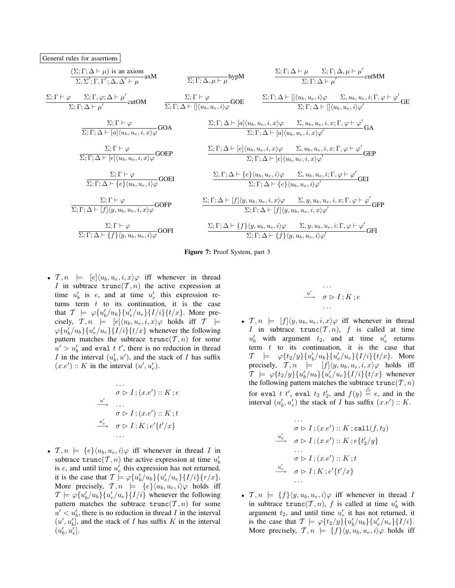# General rules for assertions





•  $\mathcal{T}, n \models [e](u_b, u_e, i, x) \varphi$  iff whenever in thread I in subtrace  $trunc(T, n)$  the active expression at time  $u'_b$  is e, and at time  $u'_e$  this expression returns term  $t$  to its continuation, it is the case that  $\mathcal{T} \models \varphi \{u'_b/u_b\} \{u'_e/u_e\} \{I/i\} \{t/x\}$ . More precisely,  $\mathcal{T}, n \models [e]\langle u_b, u_e, i, x\rangle \varphi$  holds iff  $\mathcal{T} \models$  $\varphi\{u'_b/u_b\}\{u'_e/u_e\}\{I/i\}\{t/x\}$  whenever the following pattern matches the subtrace  $trunc(T, n)$  for some  $u' > u'_b$  and eval t t', there is no reduction in thread I in the interval  $(u'_b, u')$ , and the stack of I has suffix  $(x.e') :: K$  in the interval  $(u', u'_e)$ .

$$
\begin{array}{c}\n\cdots \\
\sigma \triangleright I; (x.e'): K; e \\
\downarrow \omega' \\
\sigma \triangleright I; (x.e'): K; t \\
\downarrow \omega'_{e} \\
\sigma \triangleright I; K; e'\{t'/x\} \\
\cdots\n\end{array}
$$

•  $\mathcal{T}, n \models \{e\} \langle u_b, u_e, i \rangle \varphi$  iff whenever in thread I in subtrace  $\text{trunc}(\mathcal{T}, n)$  the active expression at time  $u'_b$ is  $e$ , and until time  $u'_e$  this expression has not returned, it is the case that  $\mathcal{T} \models \varphi \{u_b'/u_b\} \{u_e'/u_e\} \{I/i\} \{r/x\}.$ More precisely,  $\mathcal{T}, n \models \{e\} \langle u_b, u_e, i \rangle \varphi$  holds iff  $\mathcal{T} \models \varphi \{u'_b/u_b\} \{u'_e/u_e\} \{I/i\}$  whenever the following pattern matches the subtrace  $trunc(T, n)$  for some  $u' < u'_{b}$ , there is no reduction in thread I in the interval  $(u', u'_b]$ , and the stack of I has suffix K in the interval  $(u'_b, u'_e]$ .

$$
\begin{array}{c}\n \cdots \\
 \stackrel{u'}{\longrightarrow} \quad \sigma \triangleright I \, ; K \, ; e \\
 \cdots\n \end{array}
$$

•  $\mathcal{T}, n \models [f](y, u_b, u_e, i, x) \varphi$  iff whenever in thread I in subtrace  $trunc(T, n)$ , f is called at time  $u'_b$  with argument  $t_2$ , and at time  $u'_e$  returns term  $t$  to its continuation, it is the case that  $\mathcal{T}$   $\models \varphi \{t_2/y\} \{u'_b/u_b\} \{u'_e/u_e\} \{I/i\} \{t/x\}$ . More precisely,  $\mathcal{T}, n \models [f](y, u_b, u_e, i, x) \varphi$  holds iff  $\mathcal{T} \models \varphi \{t_2/y\} \{u'_b/u_b\} \{u'_e/u_e\} \{I/i\} \{t/x\}$  whenever the following pattern matches the subtrace  $\text{trunc}(\mathcal{T}, n)$ for eval  $t$ ,  $t'$ , eval  $t_2$ ,  $t'_2$ , and  $f(y) \stackrel{\triangle}{=} e$ , and in the interval  $(u'_b, u'_e)$  the stack of *I* has suffix  $(x.e') :: K$ .

$$
\cdots
$$
\n
$$
\sigma \triangleright I; (x.e') :: K; \text{call}(f, t_2)
$$
\n
$$
\cdots
$$
\n
$$
\sigma \triangleright I; (x.e') :: K; e\{t'_2/y\}
$$
\n
$$
\cdots
$$
\n
$$
\sigma \triangleright I; (x.e') :: K; t
$$
\n
$$
\stackrel{u'_e}{\longrightarrow} \sigma \triangleright I; K; e'\{t'/x\}
$$

•  $\mathcal{T}, n \models \{f\} \langle y, u_b, u_e, i \rangle \varphi$  iff whenever in thread I in subtrace  $\text{trunc}(\mathcal{T}, n)$ , f is called at time  $u'_b$  with argument  $t_2$ , and until time  $u'_e$  it has not returned, it is the case that  $\mathcal{T} \models \varphi \{ t_2/y \} \{ u'_b/u_b \} \{ u'_e/u_e \} \{ I/i \}.$ More precisely,  $\mathcal{T}, n \models \{f\} \langle y, u_b, u_e, i \rangle \varphi$  holds iff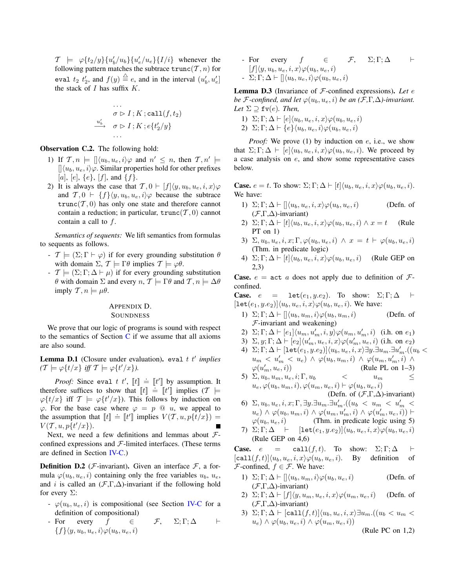$\mathcal{T}$   $\models \varphi \{t_2/y\} \{u_b'/u_b\} \{u_e'/u_e\} \{I/i\}$  whenever the following pattern matches the subtrace  $\text{trunc}(\mathcal{T}, n)$  for eval  $t_2$   $t'_2$ , and  $f(y) \stackrel{\triangle}{=} e$ , and in the interval  $(u'_b, u'_e)$ the stack of  $I$  has suffix  $K$ .

$$
\cdots
$$
\n
$$
\sigma \triangleright I; K; \text{call}(f, t_2)
$$
\n
$$
\xrightarrow{u'_b} \sigma \triangleright I; K; e\{t'_2/y\}
$$
\n
$$
\cdots
$$

Observation C.2. The following hold:

- 1) If  $\mathcal{T}, n \models [\langle u_b, u_e, i \rangle \varphi \text{ and } n' \leq n, \text{ then } \mathcal{T}, n' \models$  $\left[\left\langle u_b, u_e, i\right\rangle \varphi$ . Similar properties hold for other prefixes  $[a], [e], \{e\}, [f],$  and  $\{f\}.$
- 2) It is always the case that  $\mathcal{T}, 0 \vdash [f](y, u_b, u_e, i, x) \varphi$ and  $\mathcal{T}, 0 \vdash \{f\} \langle y, u_b, u_e, i \rangle \varphi$  because the subtrace  $trunc(T, 0)$  has only one state and therefore cannot contain a reduction; in particular,  $trunc(T, 0)$  cannot contain a call to f.

*Semantics of sequents:* We lift semantics from formulas to sequents as follows.

- $\mathcal{T} \models (\Sigma; \Gamma \vdash \varphi)$  if for every grounding substitution  $\theta$ with domain  $\Sigma$ ,  $\mathcal{T} \models \Gamma \theta$  implies  $\mathcal{T} \models \varphi \theta$ .
- $\mathcal{T} \models (\Sigma; \Gamma; \Delta \vdash \mu)$  if for every grounding substitution  $θ$  with domain Σ and every *n*,  $T \models Γθ$  and  $T, n \models Δθ$ imply  $T, n \models \mu \theta$ .

# APPENDIX D. **SOUNDNESS**

We prove that our logic of programs is sound with respect to the semantics of Section  $C$  if we assume that all axioms are also sound.

**Lemma D.1** (Closure under evaluation). eval t t' implies  $(T \models \varphi\{t/x\}$  *iff*  $T \models \varphi\{t'/x\}$ *).* 

*Proof:* Since eval  $t$   $t'$ ,  $[t] \doteq [t']$  by assumption. It therefore suffices to show that  $[t] \doteq [t']$  implies  $(T \models$  $\varphi\{t/x\}$  iff  $\mathcal{T} \models \varphi\{t'/x\}$ . This follows by induction on  $\varphi$ . For the base case where  $\varphi = p \otimes u$ , we appeal to the assumption that  $[[t]] \doteq [[t]]$  implies  $V(T, u, p\{t/x\}) =$  $V(\mathcal{T}, u, p\{t'/x\}).$  $\blacksquare$ 

Next, we need a few definitions and lemmas about  $\mathcal{F}$ confined expressions and  $F$ -limited interfaces. (These terms are defined in Section IV-C.)

**Definition D.2** (*F*-invariant). Given an interface  $\mathcal{F}$ , a formula  $\varphi(u_b, u_e, i)$  containing only the free variables  $u_b, u_e,$ and *i* is called an  $(\mathcal{F}, \Gamma, \Delta)$ -invariant if the following hold for every  $\Sigma$ :

- $\varphi(u_b, u_e, i)$  is compositional (see Section IV-C for a definition of compositional)
- For every  $f \in \mathcal{F}, \Sigma; \Gamma; \Delta \vdash$  ${f}\$  $\langle y, u_b, u_e, i \rangle \varphi(u_b, u_e, i)$

- For every  $f \in \mathcal{F}, \Sigma; \Gamma; \Delta \vdash$  $[f]\langle y, u_b, u_e, i, x\rangle \varphi(u_b, u_e, i)$  $\Sigma: \Gamma; \Delta \vdash [\langle u_b, u_e, i \rangle \varphi(u_b, u_e, i)]$ 

Lemma D.3 (Invariance of F-confined expressions). *Let* e *be F*-confined, and let  $\varphi(u_b, u_e, i)$  *be an*  $(F, \Gamma, \Delta)$ -invariant. *Let*  $\Sigma \supseteq \texttt{fv}(e)$ *. Then,* 

1)  $\Sigma; \Gamma; \Delta \vdash [e] \langle u_b, u_e, i, x \rangle \varphi(u_b, u_e, i)$ 2)  $\Sigma: \Gamma: \Delta \vdash \{e\} \langle u_h, u_e, i \rangle \varphi(u_h, u_e, i)$ 

*Proof:* We prove (1) by induction on e, i.e., we show that  $\Sigma$ ;  $\Gamma$ ;  $\Delta \vdash [e] \langle u_b, u_e, i, x \rangle \varphi(u_b, u_e, i)$ . We proceed by a case analysis on e, and show some representative cases below.

**Case.**  $e = t$ . To show:  $\Sigma$ ;  $\Gamma$ ;  $\Delta \vdash |t| \langle u_b, u_e, i, x \rangle \varphi(u_b, u_e, i)$ . We have:

- 1)  $\Sigma; \Gamma; \Delta \vdash [\langle u_b, u_e, i, x \rangle \varphi(u_b, u_e, i)]$  (Defn. of  $(\mathcal{F}, \Gamma, \Delta)$ -invariant)
- 2)  $\Sigma$ ;  $\Gamma$ ;  $\Delta \vdash [t] \langle u_b, u_e, i, x \rangle \varphi(u_b, u_e, i) \wedge x = t$  (Rule PT on 1)
- 3)  $\Sigma, u_b, u_e, i, x; \Gamma, \varphi(u_b, u_e, i) \wedge x = t \vdash \varphi(u_b, u_e, i)$ (Thm. in predicate logic)
- 4)  $\Sigma; \Gamma; \Delta \vdash [t] \langle u_b, u_e, i, x \rangle \varphi(u_b, u_e, i)$  (Rule GEP on 2,3)

**Case.**  $e = \text{act } a$  does not apply due to definition of  $\mathcal{F}$ confined.

**Case.**  $e = \text{let}(e_1, y.e_2)$ . To show:  $\Sigma; \Gamma; \Delta \vdash$  $[\text{let}(e_1, y.e_2)]\langle u_b, u_e, i, x\rangle \varphi(u_b, u_e, i)$ . We have:

- 1)  $\Sigma; \Gamma; \Delta \vdash [\langle u_b, u_m, i \rangle \varphi(u_b, u_m, i)]$  (Defn. of  $F$ -invariant and weakening)
- 2)  $\Sigma; \Gamma; \Delta \vdash [e_1] \langle u_m, u'_m, i, y \rangle \varphi(u_m, u'_m, i)$  (i.h. on  $e_1$ )
- 3)  $\Sigma, y; \Gamma; \Delta \vdash [e_2] \langle u'_m, u_e, i, x \rangle \varphi(u'_m, u_e, i)$  (i.h. on  $e_2$ )
- 4)  $\Sigma; \Gamma; \Delta \vdash [\texttt{let}(e_1, y.e_2)] \langle u_b, u_e, i, x \rangle \exists y. \exists u_m. \exists u'_m. ((u_b <$  $u_m < u'_m < u_e$ )  $\wedge \varphi(u_b, u_m, i) \wedge \varphi(u_m, u'_m, i) \wedge$  $\varphi(u'_{i}$ (Rule PL on  $1-3$ )
- 5)  $\Sigma, u_b, u_m, u_e, i; \Gamma, u_b$  <  $u_m$   $\leq$  $u_e, \varphi(u_b, u_m, i), \varphi(u_m, u_e, i) \vdash \varphi(u_b, u_e, i)$ (Defn. of  $(\mathcal{F}, \Gamma, \Delta)$ -invariant)
- 6)  $\Sigma, u_b, u_e, i, x; \Gamma, \exists y. \exists u_m. \exists u'_m. ((u_b < u_m < u'_m <$  $(u_e) \wedge \varphi(u_b, u_m, i) \wedge \varphi(u_m, u'_m, i) \wedge \varphi(u'_m, u_e, i)) \vdash$  $\varphi(u_b, u_e, i)$  (Thm. in predicate logic using 5)
- 7)  $\Sigma; \Gamma; \Delta \vdash [\texttt{let}(e_1, y.e_2)]\langle u_b, u_e, i, x\rangle \varphi(u_b, u_e, i)$ (Rule GEP on 4,6)

**Case.**  $e = \text{call}(f, t)$ . To show:  $\Sigma; \Gamma; \Delta \vdash$  $\lbrack \texttt{call}(f, t)] \langle u_b, u_e, i, x \rangle \varphi(u_b, u_e, i)$ . By definition of  $\mathcal{F}$ -confined,  $f \in \mathcal{F}$ . We have:

- 1)  $\Sigma; \Gamma; \Delta \vdash \left[ \left| \langle u_b, u_m, i \rangle \varphi(u_b, u_e, i) \right| \right]$  (Defn. of  $(\mathcal{F}, \Gamma, \Delta)$ -invariant)
- 2)  $\Sigma: \Gamma; \Delta \vdash [f](y, u_m, u_e, i, x) \varphi(u_m, u_e, i)$  (Defn. of  $(F,\Gamma,\Delta)$ -invariant)
- 3)  $\Sigma; \Gamma; \Delta \vdash [\text{call}(f, t)]\langle u_b, u_e, i, x\rangle \exists u_m.((u_b < u_m <$  $u_e) \wedge \varphi(u_b, u_e, i) \wedge \varphi(u_m, u_e, i))$

(Rule PC on 1,2)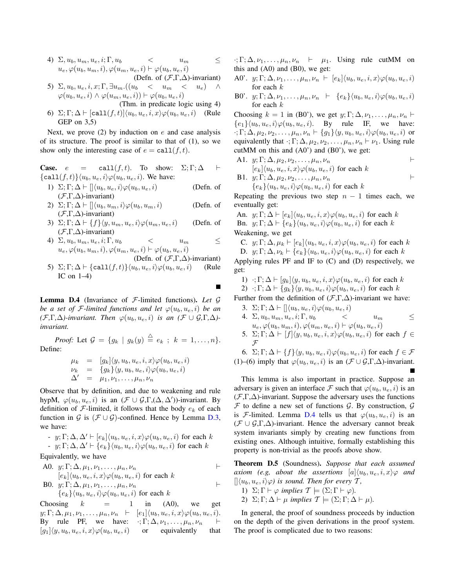- 4)  $\Sigma, u_b, u_m, u_e, i; \Gamma, u_b \leq u_m$   $\leq$  $u_e, \varphi(u_b, u_m, i), \varphi(u_m, u_e, i) \vdash \varphi(u_b, u_e, i)$ (Defn. of  $(\mathcal{F}, \Gamma, \Delta)$ -invariant)
- 5)  $\Sigma, u_b, u_e, i, x; \Gamma, \exists u_m \cdot ((u_b \lt u_m \lt u_e) \wedge$  $\varphi(u_b, u_e, i) \wedge \varphi(u_m, u_e, i)) \vdash \varphi(u_b, u_e, i)$
- (Thm. in predicate logic using 4) 6)  $\Sigma: \Gamma: \Delta \vdash [\text{call}(f, t)]\langle u_b, u_e, i, x\rangle \varphi(u_b, u_e, i)]$  (Rule GEP on 3,5)

Next, we prove  $(2)$  by induction on e and case analysis of its structure. The proof is similar to that of (1), so we show only the interesting case of  $e = \text{call}(f, t)$ .

**Case.**  $e = \text{call}(f, t)$ . To show:  $\Sigma; \Gamma; \Delta \vdash$  $\{\text{call}(f, t)\}\langle u_b, u_e, i\rangle \varphi(u_b, u_e, i)$ . We have:

- 1)  $\Sigma; \Gamma; \Delta \vdash \left[ \left( u_b, u_e, i \right) \varphi(u_b, u_e, i) \right]$  (Defn. of  $(\mathcal{F}, \Gamma, \Delta)$ -invariant)
- 2)  $\Sigma; \Gamma; \Delta \vdash \left[ \langle u_b, u_m, i \rangle \varphi(u_b, u_m, i) \right]$  (Defn. of  $(\mathcal{F}, \Gamma, \Delta)$ -invariant)
- 3)  $\Sigma: \Gamma: \Delta \vdash \{f\} \langle y, u_m, u_e, i \rangle \varphi(u_m, u_e, i)$  (Defn. of (F,Γ,∆)-invariant)
- 4)  $\Sigma, u_b, u_m, u_e, i; \Gamma, u_b \leq u_m$   $\leq$  $u_e, \varphi(u_b, u_m, i), \varphi(u_m, u_e, i) \vdash \varphi(u_b, u_e, i)$
- (Defn. of  $(F, \Gamma, \Delta)$ -invariant) 5)  $\Sigma$ ;  $\Gamma$ ;  $\Delta \vdash \{\text{call}(f, t)\}\langle u_b, u_e, i\rangle\varphi(u_b, u_e, i)$  (Rule IC on  $1-4$ )

Lemma D.4 (Invariance of F-limited functions). *Let* G *be a set of*  $\mathcal{F}$ *-limited functions and let*  $\varphi(u_b, u_e, i)$  *be an*  $(\mathcal{F}, \Gamma, \Delta)$ -invariant. Then  $\varphi(u_b, u_e, i)$  *is an*  $(\mathcal{F} \cup \mathcal{G}, \Gamma, \Delta)$ *invariant.*

*Proof:* Let  $\mathcal{G} = \{g_k \mid g_k(y) \stackrel{\triangle}{=} e_k \; ; \; k = 1, \ldots, n\}.$ Define:

$$
\mu_k = [g_k] \langle y, u_b, u_e, i, x \rangle \varphi(u_b, u_e, i)
$$
  
\n
$$
\nu_k = \{g_k\} \langle y, u_b, u_e, i \rangle \varphi(u_b, u_e, i)
$$
  
\n
$$
\Delta' = \mu_1, \nu_1, \dots, \mu_n, \nu_n
$$

Observe that by definition, and due to weakening and rule hypM,  $\varphi(u_b, u_e, i)$  is an  $(\mathcal{F} \cup \mathcal{G}, \Gamma, (\Delta, \Delta'))$ -invariant. By definition of  $\mathcal F$ -limited, it follows that the body  $e_k$  of each function in G is  $(F \cup G)$ -confined. Hence by Lemma D.3, we have:

- 
$$
y; \Gamma; \Delta, \Delta' \vdash [e_k] \langle u_b, u_e, i, x \rangle \varphi(u_b, u_e, i)
$$
 for each  $k$   
-  $y; \Gamma; \Delta, \Delta' \vdash \{e_k\} \langle u_b, u_e, i \rangle \varphi(u_b, u_e, i)$  for each  $k$ 

Equivalently, we have

A0. 
$$
y; \Gamma; \Delta, \mu_1, \nu_1, \ldots, \mu_n, \nu_n
$$
  
\n
$$
[e_k] \langle u_b, u_e, i, x \rangle \varphi(u_b, u_e, i) \text{ for each } k
$$
\nB0.  $y; \Gamma; \Delta, \mu_1, \nu_1, \ldots, \mu_n, \nu_n$   
\n
$$
\{e_k\} \langle u_b, u_e, i \rangle \varphi(u_b, u_e, i) \text{ for each } k
$$

Choosing  $k = 1$  in  $(A0)$ , we get  $y; \Gamma; \Delta, \mu_1, \nu_1, \ldots, \mu_n, \nu_n \vdash [e_1] \langle u_b, u_e, i, x \rangle \varphi(u_b, u_e, i).$ By rule PF, we have:  $\cdot; \Gamma; \Delta, \nu_1, \ldots, \mu_n, \nu_n \vdash$  $[g_1](y, u_b, u_e, i, x) \varphi(u_b, u_e, i)$  or equivalently that  $\cdot; \Gamma; \Delta, \nu_1, \ldots, \mu_n, \nu_n \vdash \mu_1$ . Using rule cutMM on this and  $(A0)$  and  $(B0)$ , we get:

- A0'.  $y; \Gamma; \Delta, \nu_1, \ldots, \mu_n, \nu_n \vdash [e_k]\langle u_b, u_e, i, x \rangle \varphi(u_b, u_e, i)$ for each  $k$
- B0'.  $y; \Gamma; \Delta, \nu_1, \ldots, \mu_n, \nu_n \vdash \{e_k\} \langle u_b, u_e, i \rangle \varphi(u_b, u_e, i)$ for each  $k$

Choosing  $k = 1$  in (B0'), we get  $y; \Gamma; \Delta, \nu_1, \ldots, \mu_n, \nu_n \vdash$  ${e_1}\langle u_b, u_e, i \rangle \varphi(u_b, u_e, i)$ . By rule IF, we have:  $\cdot; \Gamma; \Delta, \mu_2, \nu_2, \ldots, \mu_n, \nu_n \vdash \{g_1\} \langle y, u_b, u_e, i \rangle \varphi(u_b, u_e, i)$  or equivalently that  $\cdot; \Gamma; \Delta, \mu_2, \nu_2, \ldots, \mu_n, \nu_n \vdash \nu_1$ . Using rule cutMM on this and  $(A0')$  and  $(B0')$ , we get:

A1.  $y; \Gamma; \Delta, \mu_2, \nu_2, \ldots, \mu_n, \nu_n$  $[e_k]\langle u_b, u_e, i, x \rangle \varphi(u_b, u_e, i)$  for each k B1.  $y: \Gamma \cdot \Lambda$ ,  $y_2, y_3, \ldots, y_n$ 

**19.1.** 
$$
y_i, 1, \Delta, \mu_2, \nu_2, \ldots, \mu_n, \nu_n
$$
  
\n $\{e_k\} \langle u_b, u_e, i \rangle \varphi(u_b, u_e, i)$  for each k

Repeating the previous two step  $n - 1$  times each, we eventually get:

An.  $y; \Gamma; \Delta \vdash [e_k](u_b, u_e, i, x) \varphi(u_b, u_e, i)$  for each k Bn.  $y; \Gamma; \Delta \vdash \{e_k\}\langle u_b, u_e, i\rangle \varphi(u_b, u_e, i)$  for each k Weakening, we get

C.  $y; \Gamma; \Delta, \mu_k \vdash [e_k]\langle u_b, u_e, i, x\rangle \varphi(u_b, u_e, i)$  for each k D.  $y; \Gamma; \Delta, \nu_k \vdash \{e_k\} \langle u_b, u_e, i \rangle \varphi(u_b, u_e, i)$  for each k

Applying rules PF and IF to (C) and (D) respectively, we get:

1) 
$$
\cdot
$$
;  $\Gamma$ ;  $\Delta \vdash [g_k]\langle y, u_b, u_e, i, x \rangle \varphi(u_b, u_e, i)$  for each k

2)  $\cdot$ ; Γ;  $\Delta \vdash \{g_k\}\langle y, u_b, u_e, i\rangle\varphi(u_b, u_e, i)$  for each k

Further from the definition of  $(\mathcal{F}, \Gamma, \Delta)$ -invariant we have:

- 3.  $\Sigma; \Gamma; \Delta \vdash [\langle u_b, u_e, i \rangle \varphi(u_b, u_e, i)]$ 4.  $\Sigma, u_b, u_m, u_e, i; \Gamma, u_b \leq u_m$
- $u_e, \varphi(u_b, u_m, i), \varphi(u_m, u_e, i) \vdash \varphi(u_b, u_e, i)$ 5.  $\Sigma; \Gamma; \Delta \vdash [f](y, u_b, u_e, i, x) \varphi(u_b, u_e, i)$  for each  $f \in$

 ${\mathcal F}$ 6.  $\Sigma; \Gamma; \Delta \vdash \{f\} \langle y, u_b, u_e, i \rangle \varphi(u_b, u_e, i)$  for each  $f \in \mathcal{F}$ (1)–(6) imply that  $\varphi(u_b, u_e, i)$  is an  $(\mathcal{F} \cup \mathcal{G}, \Gamma, \Delta)$ -invariant.

This lemma is also important in practice. Suppose an adversary is given an interface  $\mathcal F$  such that  $\varphi(u_b, u_e, i)$  is an  $(F,\Gamma,\Delta)$ -invariant. Suppose the adversary uses the functions  $F$  to define a new set of functions  $G$ . By construction,  $G$ is F-limited. Lemma D.4 tells us that  $\varphi(u_b, u_e, i)$  is an  $({\mathcal{F}} \cup {\mathcal{G}}, \Gamma, \Delta)$ -invariant. Hence the adversary cannot break system invariants simply by creating new functions from existing ones. Although intuitive, formally establishing this property is non-trivial as the proofs above show.

Theorem D.5 (Soundness). *Suppose that each assumed axiom (e.g, about the assertions*  $[a] \langle u_b, u_e, i, x \rangle \varphi$  *and*  $\langle \phi | \langle u_b, u_e, i \rangle \varphi \rangle$  *is sound. Then for every*  $\mathcal{T}$ *,* 

- 1)  $\Sigma: \Gamma \vdash \varphi$  *implies*  $\mathcal{T} \models (\Sigma: \Gamma \vdash \varphi)$ *.*
- 2)  $\Sigma$ ;  $\Gamma$ ;  $\Delta \vdash \mu$  *implies*  $\mathcal{T} \models (\Sigma; \Gamma; \Delta \vdash \mu)$ *.*

In general, the proof of soundness proceeds by induction on the depth of the given derivations in the proof system. The proof is complicated due to two reasons: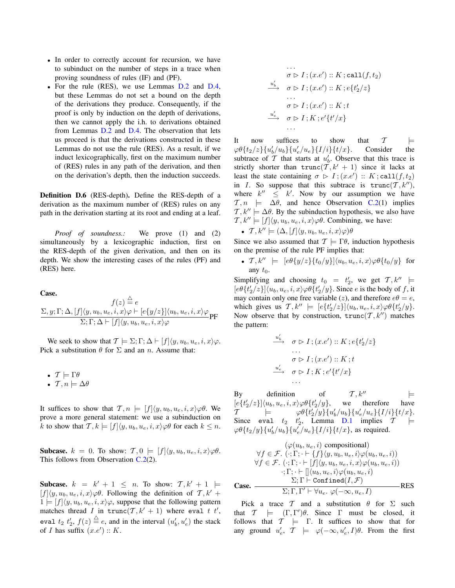- In order to correctly account for recursion, we have to subinduct on the number of steps in a trace when proving soundness of rules (IF) and (PF).
- For the rule (RES), we use Lemmas D.2 and D.4, but these Lemmas do not set a bound on the depth of the derivations they produce. Consequently, if the proof is only by induction on the depth of derivations, then we cannot apply the i.h. to derivations obtained from Lemmas D.2 and D.4. The observation that lets us proceed is that the derivations constructed in these Lemmas do not use the rule (RES). As a result, if we induct lexicographically, first on the maximum number of (RES) rules in any path of the derivation, and then on the derivation's depth, then the induction succeeds.

Definition D.6 (RES-depth). Define the RES-depth of a derivation as the maximum number of (RES) rules on any path in the derivation starting at its root and ending at a leaf.

*Proof of soundness.:* We prove (1) and (2) simultaneously by a lexicographic induction, first on the RES-depth of the given derivation, and then on its depth. We show the interesting cases of the rules (PF) and (RES) here.

Case.

$$
f(z) \stackrel{\triangle}{=} e
$$
  

$$
\frac{\Sigma, y; \Gamma; \Delta, [f] \langle y, u_b, u_e, i, x \rangle \varphi \vdash [e\{y/z\}] \langle u_b, u_e, i, x \rangle \varphi}{\Sigma; \Gamma; \Delta \vdash [f] \langle y, u_b, u_e, i, x \rangle \varphi} \mathbf{P} \mathbf{F}
$$

We seek to show that  $\mathcal{T} \models \Sigma; \Gamma; \Delta \vdash [f](y, u_b, u_e, i, x)\varphi$ . Pick a substitution  $\theta$  for  $\Sigma$  and an *n*. Assume that:

• 
$$
T \models \Gamma \theta
$$
  
•  $T, n \models \Delta \theta$ 

It suffices to show that  $\mathcal{T}, n \models [f](y, u_b, u_e, i, x) \varphi \theta$ . We prove a more general statement: we use a subinduction on k to show that  $\mathcal{T}, k \models [f](y, u_b, u_e, i, x) \varphi \theta$  for each  $k \leq n$ .

**Subcase.**  $k = 0$ . To show:  $\mathcal{T}, 0 \models [f](y, u_b, u_e, i, x) \varphi \theta$ . This follows from Observation  $C.2(2)$ .

**Subcase.**  $k = k' + 1 \leq n$ . To show:  $\mathcal{T}, k' + 1 \models$  $[f](y, u_b, u_e, i, x) \varphi \theta$ . Following the definition of  $\mathcal{T}, k' +$  $1 = [f](y, u_b, u_e, i, x)\varphi$ , suppose that the following pattern matches thread I in  $\text{trunc}(\mathcal{T}, k' + 1)$  where eval t t', eval  $t_2$   $t'_2$ ,  $f(z) \stackrel{\triangle}{=} e$ , and in the interval  $(u'_b, u'_e)$  the stack of *I* has suffix  $(x.e') :: K$ .

$$
\cdots
$$
\n
$$
\sigma \triangleright I; (x.e') :: K; \text{call}(f, t_2)
$$
\n
$$
\cdots
$$
\n
$$
\sigma \triangleright I; (x.e') :: K; e\{t'_2/z\}
$$
\n
$$
\cdots
$$
\n
$$
\sigma \triangleright I; (x.e') :: K; t
$$
\n
$$
\stackrel{u'_e}{\longrightarrow} \sigma \triangleright I; K; e'\{t'/x\}
$$

It now suffices to show that  $\mathcal{T}$   $\models$  $\varphi \theta \{t_2/z\} \{u'_b/u_b\} \{u'_e/u_e\} \{I/i\} \{t/x\}.$  Consider the subtrace of  $T$  that starts at  $u'_b$ . Observe that this trace is strictly shorter than  $trunc(\mathcal{T}, k' + 1)$  since it lacks at least the state containing  $\sigma \triangleright I$ ;  $(x.e') :: K$ ; call $(f, t_2)$ in I. So suppose that this subtrace is  $trunc(T, k'')$ , where  $k'' \leq k'$ . Now by our assumption we have  $\mathcal{T}, n \models \Delta\theta$ , and hence Observation C.2(1) implies  $\mathcal{T}, k'' \models \Delta \theta$ . By the subinduction hypothesis, we also have  $\mathcal{T}, k'' \models [f](y, u_b, u_e, i, x) \varphi \theta$ . Combining, we have:

• 
$$
T, k'' \models (\Delta, [f]\langle y, u_b, u_e, i, x \rangle \varphi)\theta
$$

Since we also assumed that  $\mathcal{T} \models \Gamma \theta$ , induction hypothesis on the premise of the rule PF implies that:

•  $\mathcal{T}, k'' \models [e\theta\{y/z\}\{t_0/y\}]\langle u_b, u_e, i, x\rangle \varphi \theta\{t_0/y\}$  for any  $t_0$ .

Simplifying and choosing  $t_0 = t'_2$ , we get  $\mathcal{T}, k'' \models$  $[e\theta\{t'_2/z\}]\langle u_b, u_e, i, x\rangle\varphi\theta\{t'_2/y\}$ . Since *e* is the body of *f*, it may contain only one free variable (z), and therefore  $e\theta = e$ , which gives us  $\mathcal{T}, k'' \models [e\{t'_2/z\}]\langle u_b, u_e, i, x\rangle \varphi \theta \{t'_2/y\}.$ Now observe that by construction,  $\text{trunc}(\mathcal{T}, k'')$  matches the pattern:

$$
\xrightarrow{u'_b} \quad \sigma \triangleright I; (x.e') :: K; e\{t'_2/z\}
$$
\n
$$
\xrightarrow{\sigma} \sigma \triangleright I; (x.e') :: K; t
$$
\n
$$
\xrightarrow{u'_e} \quad \sigma \triangleright I; K; e'\{t'/x\}
$$
\n
$$
\xrightarrow{\cdots}
$$

By definition of  $\mathcal{T}, k''$   $\models$  $[e\{t_2^\prime /z\}]\langle u_b,u_e,i,x\rangle \varphi\theta\{t_2^\prime$  $t'_2/y$ , we therefore have<br>  $t'_2/y$ }{ $u'_b/u_b$ }{ $u'_e/u_e$ }{ $I/i$ }{ $t/x$ }.  $\mathcal{T}$  =  $\varphi \theta \{ t$ Since eval  $t_2$   $t'_2$ , Lemma D.1 implies  $\mathcal{T} \models$  $\varphi\theta\{t_2/y\}\{u'_b/u_b\}\{u'_e/u_e\}\{I/i\}\{t/x\}$ , as required.

$$
(\varphi(u_b, u_e, i) \text{ compositional})
$$
  
\n
$$
\forall f \in \mathcal{F}. (\cdot; \Gamma; \cdot \vdash \{f\} \langle y, u_b, u_e, i \rangle \varphi(u_b, u_e, i))
$$
  
\n
$$
\forall f \in \mathcal{F}. (\cdot; \Gamma; \cdot \vdash [f] \langle y, u_b, u_e, i, x \rangle \varphi(u_b, u_e, i))
$$
  
\n
$$
\cdot; \Gamma; \cdot \vdash [ \langle u_b, u_e, i \rangle \varphi(u_b, u_e, i)
$$
  
\n
$$
\Sigma; \Gamma \vdash \text{Confined}(I, \mathcal{F})
$$
  
\n**Case.** 
$$
\Sigma; \Gamma, \Gamma' \vdash \forall u_e. \varphi(\neg \infty, u_e, I)
$$

Pick a trace T and a substitution  $\theta$  for  $\Sigma$  such that  $\mathcal{T} \models (\Gamma, \Gamma')\theta$ . Since  $\Gamma$  must be closed, it follows that  $T \models \Gamma$ . It suffices to show that for any ground  $u'_e$ ,  $\mathcal{T} \models \varphi(-\infty, u'_e, I)\theta$ . From the first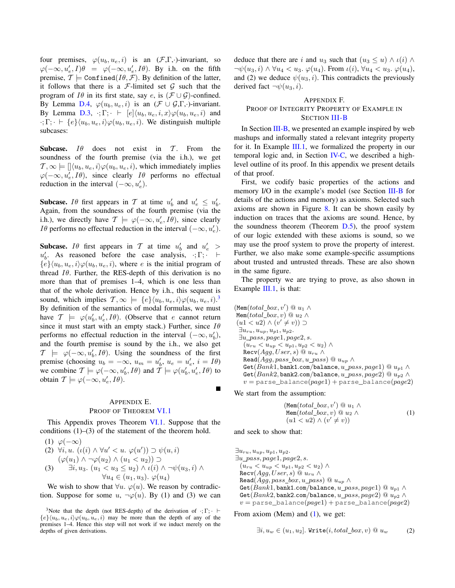four premises,  $\varphi(u_b, u_e, i)$  is an  $(\mathcal{F}, \Gamma, \cdot)$ -invariant, so  $\varphi(-\infty, u'_e, I)\theta = \varphi(-\infty, u'_e, I\theta)$ . By i.h. on the fifth premise,  $\mathcal{T} \models \text{Confined}(I\theta, \mathcal{F})$ . By definition of the latter, it follows that there is a  $\mathcal F$ -limited set  $\mathcal G$  such that the program of I $\theta$  in its first state, say e, is  $(\mathcal{F} \cup \mathcal{G})$ -confined. By Lemma D.4,  $\varphi(u_b, u_e, i)$  is an  $(\mathcal{F} \cup \mathcal{G}, \Gamma, \cdot)$ -invariant. By Lemma D.3, :; Γ;  $\vdash$   $[e]{\langle u_b, u_e, i, x \rangle} \varphi(u_b, u_e, i)$  and  $\cdot; \Gamma; \cdot \vdash \{e\} \langle u_b, u_e, i \rangle \varphi(u_b, u_e, i)$ . We distinguish multiple subcases:

Subcase.  $I\theta$  does not exist in  $T$ . From the soundness of the fourth premise (via the i.h.), we get  $\mathcal{T}, \infty \models [\langle u_b, u_e, i \rangle \varphi(u_b, u_e, i)]$ , which immediately implies  $\varphi(-\infty, u'_e, I\theta)$ , since clearly  $I\theta$  performs no effectual reduction in the interval  $(-\infty, u'_e)$ .

**Subcase.** I $\theta$  first appears in T at time  $u'_b$  and  $u'_e \leq u'_b$ . Again, from the soundness of the fourth premise (via the i.h.), we directly have  $\mathcal{T} \models \varphi(-\infty, u'_e, I\theta)$ , since clearly *Iθ* performs no effectual reduction in the interval  $(-\infty, u'_e)$ .

**Subcase.** If first appears in T at time  $u'_b$  and  $u'_e$  >  $u'_b$ . As reasoned before the case analysis,  $\cdot; \Gamma; \cdot \vdash$  ${e} {\langle u_h, u_e, i \rangle \varphi(u_h, u_e, i)}$ , where e is the initial program of thread  $I\theta$ . Further, the RES-depth of this derivation is no more than that of premises 1–4, which is one less than that of the whole derivation. Hence by i.h., this sequent is sound, which implies  $\mathcal{T}, \infty \models \{e\} \langle u_b, u_e, i \rangle \varphi(u_b, u_e, i)$ . By definition of the semantics of modal formulas, we must have  $\mathcal{T} \models \varphi(u'_b, u'_e, I\theta)$ . (Observe that e cannot return since it must start with an empty stack.) Further, since  $I\theta$ performs no effectual reduction in the interval  $(-\infty, u'_b)$ , and the fourth premise is sound by the i.h., we also get  $\mathcal{T} \models \varphi(-\infty, u'_b, I\theta)$ . Using the soundness of the first premise (choosing  $u_b = -\infty$ ,  $u_m = u'_b$ ,  $u_e = u'_e$ ,  $i = I\theta$ ) we combine  $\mathcal{T} \models \varphi(-\infty, u'_b, I\theta)$  and  $\mathcal{T} \models \varphi(u'_b, u'_e, I\theta)$  to obtain  $\mathcal{T} \models \varphi(-\infty, u'_e, I\theta)$ .

# APPENDIX E. PROOF OF THEOREM VI.1

This Appendix proves Theorem VI.1. Suppose that the conditions  $(1)$ – $(3)$  of the statement of the theorem hold.

$$
(1) \varphi(-\infty)
$$

(2) 
$$
\forall i, u. \ (i \infty) \land \forall u' < u. \ \varphi(u')) \supset \psi(u, i)
$$
  
\n
$$
(\varphi(u_1) \land \neg \varphi(u_2) \land (u_1 < u_2)) \supset
$$
\n(3)  $\exists i, u_3. \ (u_1 < u_3 \le u_2) \land \iota(i) \land \neg \psi(u_3, i) \land \forall u_4 \in (u_1, u_3). \ \varphi(u_4)$ 

We wish to show that  $\forall u$ .  $\varphi(u)$ . We reason by contradiction. Suppose for some  $u, \neg \varphi(u)$ . By (1) and (3) we can deduce that there are i and  $u_3$  such that  $(u_3 \le u) \wedge \iota(i) \wedge \iota(i)$  $\neg\psi(u_3,i) \wedge \forall u_4 < u_3. \varphi(u_4)$ . From  $\iota(i), \forall u_4 < u_3. \varphi(u_4)$ , and (2) we deduce  $\psi(u_3, i)$ . This contradicts the previously derived fact  $\neg\psi(u_3, i)$ .

# APPENDIX F. PROOF OF INTEGRITY PROPERTY OF EXAMPLE IN SECTION III-B

In Section III-B, we presented an example inspired by web mashups and informally stated a relevant integrity property for it. In Example III.1, we formalized the property in our temporal logic and, in Section IV-C, we described a highlevel outline of its proof. In this appendix we present details of that proof.

First, we codify basic properties of the actions and memory I/O in the example's model (see Section III-B for details of the actions and memory) as axioms. Selected such axioms are shown in Figure 8. It can be shown easily by induction on traces that the axioms are sound. Hence, by the soundness theorem (Theorem  $D.5$ ), the proof system of our logic extended with these axioms is sound, so we may use the proof system to prove the property of interest. Further, we also make some example-specific assumptions about trusted and untrusted threads. These are also shown in the same figure.

The property we are trying to prove, as also shown in Example III.1, is that:

 $(\texttt{Mem}(total\_box, v') \ @ \ u_1 \wedge$ Mem(total\_box, v)  $@ u_2 \wedge$  $(u1 < u2) \wedge (v' \neq v)) \supset$  $\exists u_{ru}, u_{up}, u_{p1}, u_{p2}.$  $\exists u\_pass, page1, page2, s.$  $(u_{ru} < u_{up} < u_{p1}, u_{p2} < u_2) \wedge$  $\texttt{Recv}(Agg, User, s) \ @ \ u_{ru} \ \wedge$ Read $(Agg, pass\_box, u\_pass) \ @ \ u_{up} \wedge$ Get( $Bank1$ , bank1.com/balance,  $u$ <sub>pass</sub>, page1) @  $u_{p1} \wedge$ Get( $Bank2$ , bank2.com/balance, u pass, page2)  $@u_{n2} \wedge$  $v =$  parse\_balance( $page1$ ) + parse\_balance( $page2$ )

We start from the assumption:

$$
(\text{Mem}(total\_box, v') \ @ \ u_1 \ \wedge \n\text{Mem}(total\_box, v) \ @ \ u_2 \ \wedge \n(u1 < u2) \ \wedge \ (v' \neq v))
$$
\n
$$
(1)
$$

and seek to show that:

 $\exists u_{ru}, u_{up}, u_{p1}, u_{p2}.$  $\exists u\_pass, page1, page2, s.$  $(u_{ru} < u_{up} < u_{p1}, u_{p2} < u_2) \wedge$  $\texttt{Recv}(Agg, User, s) @ u_{ru} \wedge$ Read $(Agg, pass\_box, u\_pass) \t\t@ u_{up} \wedge$ Get( $Bank1$ , bank1.com/balance,  $u\_pass, page1)$  @  $u_{p1} \wedge$ Get( $Bank2$ , bank2.com/balance,  $u\_pass, page2)$  @  $u_{p2} \wedge$  $v =$  parse\_balance( $page1$ ) + parse\_balance( $page2$ )

From axiom (Mem) and  $(1)$ , we get:

$$
\exists i, u_w \in (u_1, u_2]. \text{ Write}(i, total\_box, v) \ @ \ u_w \qquad (2)
$$

<sup>&</sup>lt;sup>3</sup>Note that the depth (not RES-depth) of the derivation of  $\cdot$ ; Γ; ·  $\vdash$  ${e}$  $\{u_b, u_e, i\}\varphi(u_b, u_e, i)$  may be more than the depth of any of the premises 1–4. Hence this step will not work if we induct merely on the depths of given derivations.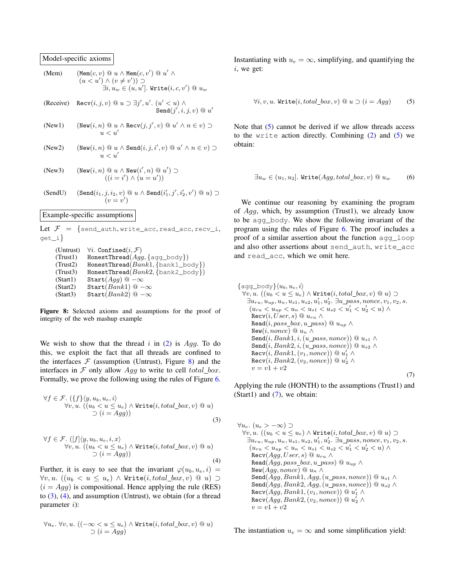Model-specific axioms

| (Mem)                                                                                                                                               | (Mem(c, v) @ u $\land$ Nem(c, v') @ u' $\land$                                |           |           |
|-----------------------------------------------------------------------------------------------------------------------------------------------------|-------------------------------------------------------------------------------|-----------|-----------|
| $(u < u') \land (v \neq v')$                                                                                                                        | $\supset$                                                                     |           |           |
| $\exists i, u_w \in (u, u']$ . Write(i, c, v') @ u_w                                                                                                |                                                                               |           |           |
| (Receive)                                                                                                                                           | Recv(i, j, v) @ u \ni j', u'. (u' < u) $\land$                                |           |           |
| (New1)                                                                                                                                              | $(\text{New}(i, n) @ u \land \text{Recv}(j, j', v) @ u' \land n \in v)$       | $\supset$ |           |
| (New2)                                                                                                                                              | $(\text{New}(i, n) @ u \land \text{New}(i, j, i', v) @ u' \land n \in v)$     | $\supset$ |           |
| (New2)                                                                                                                                              | $(\text{New}(i, n) @ u \land \text{Send}(i, j, i', v) @ u' \land n \in v)$    | $\supset$ |           |
| (New3)                                                                                                                                              | $(\text{New}(i, n) @ u \land \text{New}(i', n) @ u')$                         | $\supset$ |           |
| (New4)                                                                                                                                              | $(i = i') \land (u = u')$                                                     |           |           |
| (SendU)                                                                                                                                             | $(\text{Send}(i_1, j, i_2, v) @ u \land \text{Send}(i'_1, j', i'_2, v') @ u)$ | $\supset$ |           |
| (SendU)                                                                                                                                             | $(\text{Send}(i_1, j, i_2, v) @ u \land \text{Send}(i'_1, j', i'_2, v')$      | $\supset$ | $\supset$ |
| Example-specific assumptions                                                                                                                        |                                                                               |           |           |
| Let $\mathcal{F} = \{\text{send}\_\text{auth}, \text{write}\_\text{acc}, \text{read}\_\text{acc}, \text{recv}\_\text{i}, \text{grad}\_\text{rel}\}$ |                                                                               |           |           |
| (Untrust)                                                                                                                                           |                                                                               |           |           |

 $\supset$ 

(Trust1) HonestThread $(Agg, \{ \text{agg\_body} \})$ (Trust2) HonestThread( $Bank1, \{bank1, body\})$ (Trust3) HonestThread $(Bank2, \{bank2\_body\})$ (Start1) Start $(Agg)$  @  $-\infty$ (Start2) Start $(Bank1) @ -\infty$ <br>(Start3) Start $(Bank2) @ -\infty$ Start $(Bank2) @ -\infty$ 

Figure 8: Selected axioms and assumptions for the proof of integrity of the web mashup example

We wish to show that the thread  $i$  in (2) is Agg. To do this, we exploit the fact that all threads are confined to the interfaces  $\mathcal F$  (assumption (Untrust), Figure 8) and the interfaces in  $\mathcal F$  only allow  $A_{qq}$  to write to cell total box. Formally, we prove the following using the rules of Figure 6.

$$
\forall f \in \mathcal{F}. (\{f\}\langle y, u_b, u_e, i \rangle \n\forall v, u. ((u_b < u \le u_e) \land \text{Write}(i, total\_box, v) \text{ @ } u) \n\supset (i = Agg))
$$
\n(3)

$$
\forall f \in \mathcal{F}. ([f] \langle y, u_b, u_e, i, x \rangle \n\forall v, u. ((u_b < u \le u_e) \land \text{Write}(i, total\_box, v) @ u) \n\supset (i = Agg))
$$
\n(4)

Further, it is easy to see that the invariant  $\varphi(u_b, u_e, i)$  =  $\forall v, u. ((u<sub>b</sub> < u ≤ u<sub>e</sub>) ∧ Write(i, total\_box, v) @ u) \supset$  $(i = Agg)$  is compositional. Hence applying the rule (RES) to  $(3)$ ,  $(4)$ , and assumption (Untrust), we obtain (for a thread parameter  $i$ ):

$$
\forall u_e. \ \forall v, u. \ ((-\infty < u \leq u_e) \land \text{Write}(i, total\_box, v) \ @u)
$$

$$
\supset (i = Agg)
$$

Instantiating with  $u_e = \infty$ , simplifying, and quantifying the i, we get:

$$
\forall i, v, u. \text{ Write}(i, total\_box, v) \ @ \ u \supset (i = Agg) \tag{5}
$$

Note that (5) cannot be derived if we allow threads access to the write action directly. Combining (2) and (5) we obtain:

$$
\exists u_w \in (u_1, u_2]. \text{ Write}(Agg, total\_box, v) \ @ \ u_w \qquad (6)
$$

We continue our reasoning by examining the program of  $Agg$ , which, by assumption (Trust1), we already know to be agg\_body. We show the following invariant of the program using the rules of Figure 6. The proof includes a proof of a similar assertion about the function agg\_loop and also other assertions about send auth, write acc and read\_acc, which we omit here.

```
\{agg\_body\}\langle u_b, u_e, i\rangle\forall v, u. ((u_b < u \leq u_e) \land \text{Write}(i, total\_box, v) @ u) \supset\exists u_{ru}, u_{up}, u_n, u_{s1}, u_{s2}, u'_1, u'_2. \exists u\_pass, nonce, v_1, v_2, s.
      (u_{ru} < u_{up} < u_n < u_{s1} < u_{s2} < u'_1 < u'_2 < u) \wedge\texttt{Recv}(i, User, s) \ @ \ u_{ru} \wedgeRead(i, pass\_box, u\_pass) \t\t@ u_{up} \wedgeNew(i, nonce) \ @ \ u_n \wedgeSend(i, Bank1, i, (u\_pass, nonce)) \t@ u_{s1} \wedgeSend(i, Bank2, i, (u\_pass, nonce)) @ u_{s2} \wedge\texttt{Recv}(i, Bank1, (v_1, nonce)) @ \textit{u}_1' \wedge\texttt{Recv}(i, Bank2, (v_2, nonce)) @ \textit{u}_2' \wedgev = v_1 + v_2(7)
```
Applying the rule (HONTH) to the assumptions (Trust1) and (Start1) and  $(7)$ , we obtain:

$$
\forall u_e. (u_e > -\infty) \supset
$$
  
\n
$$
\forall v, u. ((u_b < u \le u_e) \land \text{Write}(i, total\_box, v) \text{ @ } u) \supset
$$
  
\n
$$
\exists u_{ru}, u_{up}, u_n, u_{s1}, u_{s2}, u'_1, u'_2. \exists u\_pass, none, v_1, v_2, s.
$$
  
\n
$$
(u_{ru} < u_{up} < u_n < u_{s1} < u_{s2} < u'_1 < u'_2 < u) \land
$$
  
\n
$$
\text{Recv}(Agg, User, s) \text{ @ } u_{ru} \land
$$
  
\n
$$
\text{Read}(Agg, pass\_box, u\_pass) \text{ @ } u_{up} \land
$$
  
\n
$$
\text{New}(Agg, none) \text{ @ } u_n \land
$$
  
\n
$$
\text{Send}(Agg, Bank1, Agg, (u\_pass, none)) \text{ @ } u_{s1} \land
$$
  
\n
$$
\text{Send}(Agg, Bank2, Agg, (u\_pass, none)) \text{ @ } u_{s2} \land
$$
  
\n
$$
\text{Recv}(Agg, Bank1, (v_1, none)) \text{ @ } u'_1 \land
$$
  
\n
$$
\text{Recv}(Agg, Bank2, (v_2, none)) \text{ @ } u'_2 \land
$$
  
\n
$$
v = v1 + v2
$$

The instantiation  $u_e = \infty$  and some simplification yield: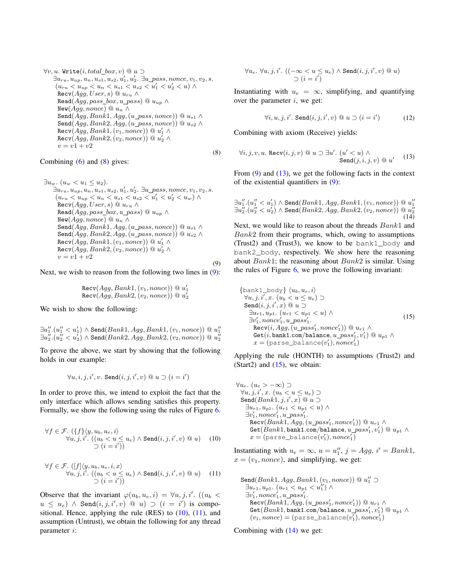$\forall v, u$ . Write $(i, total\_box, v) \ @ \ u \supset$  $\exists u_{ru}, u_{up}, u_n, u_{s1}, u_{s2}, u'_1, u'_2$ .  $\exists u\_pass, none, v_1, v_2, s$ .  $(u_{ru} < u_{up} < u_n < u_{s1} < u_{s2} < u'_1 < u'_2 < u) \wedge$  $\text{Recv}(Agg, User, s) \t\t@ u_{ru} \wedge$ Read $(Agg, pass\_box, u\_pass) \ @ \ u_{up} \wedge$ New( $Agg, nonce$ ) @  $u_n \wedge$ Send $(Agg, Bank1, Agg, (u\_pass, nonce))$  @  $u_{s1} \wedge$  $\texttt{Send}(\textit{Agg}, \textit{Bank2}, \textit{Agg}, (u\_pass, \textit{none}))$ @  $u_{s2} \land$  $\mathtt{Recv}(Agg, Bank1, (v_1, nonce)) \ @ \ u_1' \wedge$  $\mathtt{Recv}(Agg, Bank2, (v_2, nonce)) \ @\ u_2' \wedge$  $v = v_1 + v_2$ (8)

## Combining  $(6)$  and  $(8)$  gives:

```
\exists u_w \ldotp (u_w < u_1 \leq u_2).\exists u_{ru}, u_{up}, u_n, u_{s1}, u_{s2}, u'_1, u'_2. \exists u\_pass, none, v_1, v_2, s.
     (u_{ru} < u_{up} < u_n < u_{s1} < u_{s2} < u'_1 < u'_2 < u_w) \wedge\mathrm{Recv}(Agg,User, s) \ @ \ u_{ru} \wedgeRead(Agg, pass\_box, u\_pass) \ @ \ u_{up} \wedgeNew(Agg, nonce) @u_n ∧Send(Agg, Bank1, Agg, (u\_pass, nonce)) @ u_{s1} \wedgeSend(Agg, Bank2, Agg, (u\_pass, nonce)) @ u_{s2} \wedge\mathtt{Recv}(Agg, Bank1, (v_1, nonce)) \ @ \ u_1' \wedge\mathtt{Recv}(Agg, Bank2, (v_2, nonce)) \ @\ u_2' \wedgev = v_1 + v_2(9)
```
Next, we wish to reason from the following two lines in (9):

$$
Recv(Agg, Bank1, (v_1, nonce)) @ u'_1Recv(Agg, Bank2, (v_2, nonce)) @ u'_2
$$

We wish to show the following:

 $\exists u''_1.(u''_1 < u'_1) \land \texttt{Send}(Bank1, Agg, Bank1, (v_1, nonce)) \ @\ u''_1$  $\exists u''_2.(u''_2 < u'_2) \wedge \texttt{Send}(Bank2, Agg, Bank2,(v_2, nonce)) \ @\ u''_2$ 

To prove the above, we start by showing that the following holds in our example:

 $\forall u,i,j,i',v.$  Send $(i,j,i',v) \ @ \ u \supset (i=i')$ 

In order to prove this, we intend to exploit the fact that the only interface which allows sending satisfies this property. Formally, we show the following using the rules of Figure 6.

$$
\forall f \in \mathcal{F}. (\{f\}\langle y, u_b, u_e, i \rangle \forall u, j, i'. ((u_b < u \le u_e) \land \text{Send}(i, j, i', v) @ u) \quad (10)\n\supset (i = i'))
$$

$$
\forall f \in \mathcal{F}. ([f]\langle y, u_b, u_e, i, x \rangle
$$
  

$$
\forall u, j, i'. ((u_b < u \le u_e) \land \text{Send}(i, j, i', v) @ u)
$$
 (11)  

$$
\supset (i = i'))
$$

Observe that the invariant  $\varphi(u_b, u_e, i) = \forall u, j, i'.$  ( $(u_b <$  $u \leq u_e)$   $\wedge$  Send $(i,j,i',v)$  @  $u)$   $\supset$   $(i \ = \ i')$  is compositional. Hence, applying the rule (RES) to (10), (11), and assumption (Untrust), we obtain the following for any thread parameter i:

$$
\forall u_e. \ \forall u, j, i'. \ ((-\infty < u \leq u_e) \land \texttt{Send}(i, j, i', v) \ @ \ u)
$$
  

$$
\supset (i = i')
$$

Instantiating with  $u_e = \infty$ , simplifying, and quantifying over the parameter  $i$ , we get:

$$
\forall i, u, j, i'. \text{ Send}(i, j, i', v) \text{ @ } u \supset (i = i') \tag{12}
$$

Combining with axiom (Receive) yields:

$$
\forall i, j, v, u. \ \text{Recv}(i, j, v) \ @ \ u \supset \exists u'. \ (u' < u) \land \text{Send}(j, i, j, v) \ @ \ u' \tag{13}
$$

From  $(9)$  and  $(13)$ , we get the following facts in the context of the existential quantifiers in (9):

$$
\exists u_1''.(u_1''
$$

Next, we would like to reason about the threads  $Bank1$  and  $Bank2$  from their programs, which, owing to assumptions (Trust2) and (Trust3), we know to be bank1\_body and bank2\_body, respectively. We show here the reasoning about  $Bank1$ ; the reasoning about  $Bank2$  is similar. Using the rules of Figure 6, we prove the following invariant:

$$
\begin{array}{l}\n\{\text{bank1}\_\text{body}\}\langle u_b, u_e, i \rangle \\
\forall u, j, i', x. \ (u_b < u \le u_e) \supset \\
\text{Send}(i, j, i', x) @ u \supset \\
\exists u_{r1}, u_{p1}. \ (u_{r1} < u_{p1} < u) \land \\
\exists v'_1, nonce'_1, u\_pass'_1. \\
\text{Recv}(i, Agg, (u\_pass'_1, nonce'_1)) @ u_{r1} \land \\
\text{Get}(i, \text{bank1.com/balance}, u\_pass'_1, v'_1) @ u_{p1} \land \\
x = (\text{parse_balance}(v'_1), nonce'_1)\n\end{array}
$$
\n(15)

Applying the rule (HONTH) to assumptions (Trust2) and (Start2) and  $(15)$ , we obtain:

 $\forall u_e.$   $(u_e > -\infty)$  ⊃  $\forall u, j, i', x.$   $(u_b < u \leq u_e) \supset$ Send $(Bank1, j, i', x) @ u \supset$  $\exists u_{r1}, u_{p1}.$   $(u_{r1} < u_{p1} < u) \wedge$  $\exists v_1', nonce_1', u\_pass_1'.$  $\texttt{Recv}(Bank1, Agg, (u\_pass_1', nonce_1')) @ \textit{u}_{r1} \wedge$  $\mathtt{Get}(Bank1, \mathtt{bank1.com/balance}, u\_pass_1', v_1')@u_{p1} \wedge$  $x = ($ parse\_balance $(v_1'),$ nonce $_1')$ 

Instantiating with  $u_e = \infty$ ,  $u = u''_1$ ,  $j = Agg$ ,  $i' = Bank1$ ,  $x = (v_1, \text{none})$ , and simplifying, we get:

 $\texttt{Send}(Bank1, Agg, Bank1, (v_1, nonce)) \ @ \ u''_1 \supset$  $\exists u_{r1}, u_{p1}.$   $(u_{r1} < u_{p1} < u''_1) \wedge$  $\exists v_1', nonce_1', u\_pass_1'.$  $\texttt{Recv}(Bank1, Agg, (u\_pass_1', nonce_1')) @ \textit{u}_{r1} \wedge$  $\mathtt{Get}(Bank1, \mathtt{bank1}.\mathtt{com/balance}, u\_pass'_1, v'_1) \ @\ u_{p1} \wedge$  $(v_1, \textit{nonce}) = (\texttt{parse\_balance}(v_1'), \textit{nonce}_1')$ 

Combining with (14) we get: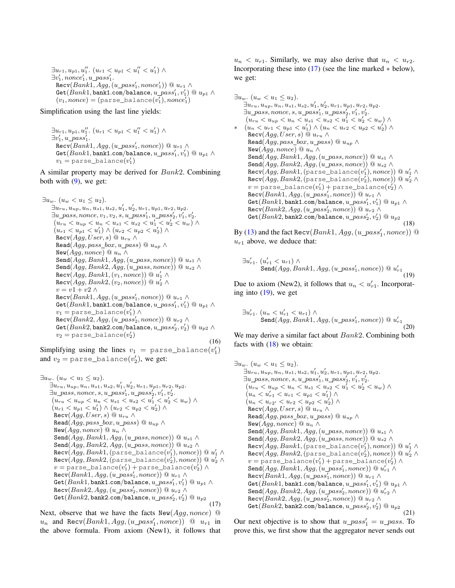```
\exists u_{r1}, u_{p1}, u_1''. (u_{r1} < u_{p1} < u_1'' < u_1')\exists v_1', nonce_1', u\_pass_1'.\texttt{Recv}(Bank1, Agg, (u\_pass_1', nonce_1')) @ \textit{u}_{r1} \wedge\mathtt{Get}(Bank1, \mathtt{bank1}.\mathtt{com/balance}, u\_pass'_1, v'_1)@u_{p1} \wedge(v_1, \textit{nonce}) = (\texttt{parse\_balance}(v_1'), \textit{nonce}_1')
```
Simplification using the last line yields:

 $\exists u_{r1}, u_{p1}, u_1''$ .  $(u_{r1} < u_{p1} < u_1'' < u_1')$  $\exists v_1', u\_pass_1'.$  $\texttt{Recv}(Bank1, Agg, (u\_pass_1', nonce)) @ \textit{u}_{r1} \wedge$  $\mathtt{Get}(Bank1, \mathtt{bank1}.\mathtt{com/balance}, u\_pass'_1, v'_1) \ @\ u_{p1} \wedge$  $v_1 = \mathtt{parse\_balance}(v_1')$ 

A similar property may be derived for Bank2. Combining both with  $(9)$ , we get:

```
\exists u_w. (u_w < u_1 \leq u_2).\exists u_{ru}, u_{up}, u_n, u_{s1}, u_{s2}, u'_1, u'_2, u_{r1}, u_{p1}, u_{r2}, u_{p2}.\exists u\_pass, nonce, v_1, v_2, s, u\_pass_1', u\_pass_2', v_1', v_2'.(u_{ru} < u_{up} < u_n < u_{s1} < u_{s2} < u'_1 < u'_2 < u_w) \wedge(u_{r1} < u_{p1} < u'_1) \wedge (u_{r2} < u_{p2} < u'_2) \wedgeRecv(Agg, User, s) @ u_{ru} \wedgeRead(Agg, pass\_box, u\_pass) \ @ \ u_{up} \wedgeNew(Agg, nonce) @u_n ∧Send(Agg, Bank1, Agg, (u\_pass, nonce)) \t@ u<sub>s1</sub> \wedgeSend(Agg, Bank2, Agg, (u\_pass, nonce)) @ u_{s2} \wedge\mathtt{Recv}(Agg, Bank1, (v_1, nonce)) \ @ \ u_1' \wedge\mathtt{Recv}(Agg, Bank2, (v_2, nonce)) \ @\ u_2' \wedgev=v1+v2 \wedge\texttt{Recv}(Bank1, Agg, (u\_pass_1', nonce)) \ @ \ u_{r1} \wedge\mathtt{Get}(Bank1, \mathtt{bank1}.\mathtt{com/balance}, u\_pass'_1, v'_1) \ @\ u_{p1} \wedgev_1 = \texttt{parse\_balance}(v_1') \land\texttt{Recv}(Bank2, Agg, (u\_pass_2', nonce)) \ @ \ u_{r2} \wedge\mathtt{Get}(Bank2, \mathtt{bank2}.\mathtt{com/balance}, u\_pass'_2, v'_2)@u_{p2} \wedgev_2 = \mathtt{parse\_balance}(v_2')(16)
```
Simplifying using the lines  $v_1 = \text{parse\_balance}(v_1')$ and  $v_2 = \text{parse\_balance}(v_2')$ , we get:

```
\exists u_w \ldotp (u_w < u_1 \leq u_2).\exists u_{ru}, u_{up}, u_n, u_{s1}, u_{s2}, u'_1, u'_2, u_{r1}, u_{p1}, u_{r2}, u_{p2}.\exists u\_pass, nonce, s, u\_pass_1', u\_pass_2', v_1', v_2'.(u_{ru} < u_{up} < u_n < u_{s1} < u_{s2} < u'_1 < u'_2 < u_w) \wedge(u_{r1} < u_{p1} < u'_1) \wedge (u_{r2} < u_{p2} < u'_2) \wedge\text{Recv}(Agg, User, s) \ @ \ u_{ru} \ \wedgeRead(Agg, pass\_box, u\_pass) @ u_{up} \wedgeNew(Agg, nonce) @ u_n \wedgeSend(Agg, Bank1, Agg, (u\_pass, nonce)) @ u_{s1} \wedgeSend(Agg, Bank2, Agg, (u\_pass, nonce)) @ u_{s2} \wedge\mathtt{Recv}(Agg, Bank1,(\mathtt{parse\_balance}(v_1'),none)) \ @\ u_1' \wedge\mathtt{Recv}(Agg, Bank2, \mathtt{(parse\_balance}(v_2'), \mathit{nonce}))@u_2' \landv = \texttt{parse\_balance}(v_1') + \texttt{parse\_balance}(v_2') \land\texttt{Recv}(Bank1, Agg, (u\_pass_1', nonce)) @ \textit{u}_{r1} \wedge\mathtt{Get}(Bank1, \mathtt{bank1.com/balance}, u\_pass'_1, v'_1) @ \; u_{p1} \wedge\texttt{Recv}(Bank2, Agg, (u\_pass_2', nonce)) @ \textit{u}_{r2} \wedge\mathtt{Get}(Bank2, \mathtt{bank2.com/balance}, u\_pass_2', v_2') \ @\ u_{p2}(17)
```
Next, observe that we have the facts  $New(Agg, nonce)$   $@$  $u_n$  and Recv( $Bank1, Agg, (u\_pass'_1, nonce)$ ) @  $u_{r1}$  in the above formula. From axiom (New1), it follows that  $u_n < u_{r1}$ . Similarly, we may also derive that  $u_n < u_{r2}$ . Incorporating these into  $(17)$  (see the line marked  $*$  below), we get:

```
\exists u_w. (u_w < u_1 \leq u_2).\exists u_{ru}, u_{up}, u_n, u_{s1}, u_{s2}, u'_1, u'_2, u_{r1}, u_{p1}, u_{r2}, u_{p2}.\exists u\_pass, nonce, s, u\_pass_1', u\_pass_2', v_1', v_2'.(u_{ru} < u_{up} < u_n < u_{s1} < u_{s2} < u'_1 < u'_2 < u_w) \wedge∗ (u_n < u_{r1} < u_{p1} < u'_1) ∧ (u_n < u_{r2} < u_{p2} < u'_2) ∧
      \texttt{Recv}(Agg, User, s) \ @ \ u_{ru} \wedgeRead(Agg, pass\_box, u\_pass) \ @ \ u_{up} \wedgeNew(Agg, nonce) @ u_n ∧
      Send(Agg, Bank1, Agg, (u\_pass, nonce)) @ u_{s1} \wedgeSend(Agg, Bank2, Agg, (u\_pass, nonce)) @ u_{s2} \wedge\mathtt{Recv}(Agg, Bank1, \mathtt{(parse\_balance}(v_1'), nonce))@u_1' \land\mathtt{Recv}(Agg, Bank2, \mathtt{(parse\_balance}(v_2'), nonce))@u_2' \landv = \texttt{parse\_balance}(v_1') + \texttt{parse\_balance}(v_2') \land\texttt{Recv}(Bank1, Agg, (u\_pass_1', nonce)) \ @ \ u_{r1} \wedge\mathtt{Get}(Bank1, \mathtt{bank1}.\mathtt{com/balance}, u\_pass'_1, v'_1)@u_{p1} \wedge\texttt{Recv}(Bank2, Agg, (u\_pass_2', nonce)) \ @ \ u_{r2} \wedge\mathtt{Get}(Bank2, \mathtt{bank2}.\mathtt{com/balance}, u\_pass'_2, v'_2)@u_{p2}(18)
```
By (13) and the fact Recv $(Bank1, Agg, (u\_pass_1', nonce))$  @  $u_{r1}$  above, we deduce that:

$$
\exists u'_{r1}. (u'_{r1} < u_{r1}) \land \text{Send}(Agg, Bank1, Agg, (u\_pass'_1, nonce)) \text{@} u'_{r1} \tag{19}
$$

Due to axiom (New2), it follows that  $u_n < u_{r1}'$ . Incorporating into (19), we get

$$
\exists u'_{r1}. (u_n < u'_{r1} < u_{r1}) \land
$$
\n
$$
\text{Send}(Agg, Bank1, Agg, (u\_pass'_1, nonce)) \text{ @ } u'_{r1} \tag{20}
$$

We may derive a similar fact about  $Bank2$ . Combining both facts with  $(18)$  we obtain:

```
\exists u_w \ldotp (u_w < u_1 \leq u_2).\exists u_{ru}, u_{up}, u_n, u_{s1}, u_{s2}, u'_1, u'_2, u_{r1}, u_{p1}, u_{r2}, u_{p2}.\exists u\_pass, nonce, s, u\_pass_1', u\_pass_2', v_1', v_2'.(u_{ru} < u_{up} < u_n < u_{s1} < u_{s2} < u'_1 < u'_2 < u_w) \wedge(u_n < u'_{r1} < u_{r1} < u_{p1} < u'_1) \wedge(u_n < u_{r2'} < u_{r2} < u_{p2} < u'_2) \wedge\text{Recv}(Agg, User, s) \t\t@ u_{ru} \wedgeRead(Agg, pass\_box, u\_pass) @ u_{up} \wedgeNew(Aqq, nonce) @ u_n \wedgeSend(Agg, Bank1, Agg, (u\_pass, nonce)) @ u_{s1} \wedgeSend(Agg, Bank2, Agg, (u\_pass, nonce)) @ u_{s2} \wedge\mathtt{Recv}(Agg, Bank1, \mathtt{(parse\_balance}(v_1'), nonce))@u_1' \land\mathtt{Recv}(Agg, Bank2, \mathtt{(parse\_balance}(v_2'), nonce))@u_2' \landv = \texttt{parse\_balance}(v_1') + \texttt{parse\_balance}(v_2') \land\texttt{Send}(\textit{Agg},\textit{Bank1},\textit{Agg},(u\_pass_1',\textit{nonce})) @ u_{r1}' \wedge\texttt{Recv}(Bank1, Agg, (u\_pass_1', nonce)) \ @ \ u_{r1} \wedge\mathtt{Get}(Bank1, \mathtt{bank1}.\mathtt{com/balance}, u\_pass'_1, v'_1)@u_{p1} \wedge\texttt{Send}(\textit{Agg},\textit{Bank2},\textit{Agg},(u\_pass_2',\textit{nonce})) @ u_{r2}' \wedge\texttt{Recv}(Bank2, Agg, (u\_pass_2', nonce)) \ @ \ u_{r2} \wedge\mathtt{Get}(Bank2, \mathtt{bank2}.\mathtt{com/balance}, u\_pass'_2, v'_2)@u_{p2}(21)
```
Our next objective is to show that  $u\_pass'_1 = u\_pass$ . To prove this, we first show that the aggregator never sends out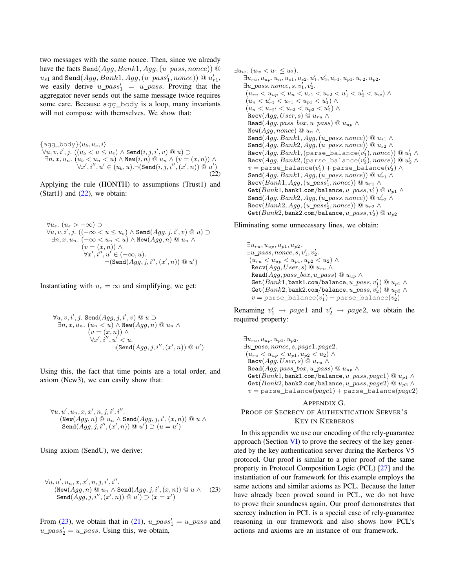two messages with the same nonce. Then, since we already have the facts Send $(Agg, Bank1, Agg, (u\_pass, nonce))$  @  $u_{s1}$  and Send $(Agg, Bank1, Agg, (u\_pass_1', nonce)) \ @ \ u_{r1}',$ we easily derive  $u\_pass'_1 = u\_pass$ . Proving that the aggregator never sends out the same message twice requires some care. Because agg\_body is a loop, many invariants will not compose with themselves. We show that:

 $\{agg\_body\}\langle u_b, u_e, i\rangle$  $\forall u, v, i', j.~ ((u_b < u \leq u_e) \land \texttt{Send}(i,j,i',v) @u) \supset$  $\exists n, x, u_n. \ (u_b < u_n < u) \land \mathtt{New}(i,n) \ @ \ u_n \land (v = (x,n)) \land$  $\forall x',i'',u'\in (u_b,u). \neg(\texttt{Send}(i,j,i'',(x',n))\ @\ u')$ (22)

Applying the rule (HONTH) to assumptions (Trust1) and (Start1) and  $(22)$ , we obtain:

$$
\forall u_e. (u_e > -\infty) \supset
$$
  
\n
$$
\forall u, v, i', j. ((-\infty < u \le u_e) \land \text{Send}(Agg, j, i', v) \text{ @ } u) \supset
$$
  
\n
$$
\exists n, x, u_n. (-\infty < u_n < u) \land \text{New}(Agg, n) \text{ @ } u_n \land
$$
  
\n
$$
(v = (x, n)) \land
$$
  
\n
$$
\forall x', i'', u' \in (-\infty, u).
$$
  
\n
$$
\neg(\text{Send}(Agg, j, i'', (x', n)) \text{ @ } u')
$$

Instantiating with  $u_e = \infty$  and simplifying, we get:

$$
\forall u, v, i', j. \text{ Send}(Agg, j, i', v) \text{ @ } u \supset
$$
  
\n
$$
\exists n, x, u_n. (u_n < u) \land \text{New}(Agg, n) \text{ @ } u_n \land
$$
  
\n
$$
(v = (x, n)) \land
$$
  
\n
$$
\forall x', i'', u' < u.
$$
  
\n
$$
\neg(\text{Send}(Agg, j, i'', (x', n)) \text{ @ } u')
$$

Using this, the fact that time points are a total order, and axiom (New3), we can easily show that:

$$
\forall u, u', u_n, x, x', n, j, i', i''.
$$
  
(New( $Agg, n$ ) @  $u_n \wedge \text{Send}(Agg, j, i', (x, n))$  @  $u \wedge$   
Send( $Agg, j, i'', (x', n)$ ) @  $u' \supset (u = u')$ 

Using axiom (SendU), we derive:

$$
\forall u, u', u_n, x, x', n, j, i', i''.
$$
  
\n
$$
(\text{New}(Agg, n) \text{ @ } u_n \land \text{Send}(Agg, j, i', (x, n)) \text{ @ } u \land (23)
$$
  
\n
$$
\text{Send}(Agg, j, i'', (x', n)) \text{ @ } u') \supset (x = x')
$$

From (23), we obtain that in (21),  $u_{\text{L}}pass_1' = u_{\text{L}}pass$  and  $u_pass_2' = u_pass$ . Using this, we obtain,

 $\exists u_w \ldotp (u_w < u_1 \leq u_2).$  $\exists u_{ru}, u_{up}, u_n, u_{s1}, u_{s2}, u'_1, u'_2, u_{r1}, u_{p1}, u_{r2}, u_{p2}.$  $\exists u\_pass, nonce, s, v'_1, v'_2.$  $(u_{ru} < u_{up} < u_n < u_{s1} < u_{s2} < u'_1 < u'_2 < u_w) \wedge$  $(u_n < u'_{r1} < u_{r1} < u_{p1} < u'_1) \wedge$  $(u_n < u_{r2'} < u_{r2} < u_{p2} < u'_2) \wedge$  $\text{Recv}(Agg, User, s) \t\t@ u_{ru} \wedge$ Read( $Agg, pass\_box, u\_pass$ ) @  $u_{up} \wedge$ New( $Agg, nonce$ ) @  $u_n$  ∧ Send $(\overline{Agg}, Bank1, Agg, (u\_pass, nonce))$  @  $u_{s1} \wedge$ Send $(Agg, Bank2, Agg, (u\_pass, nonce))$  @  $u_{s2} \wedge$  $\mathtt{Recv}(Agg, Bank1,(\mathtt{parse\_balance}(v_1'),none)) \ @\ u_1' \wedge$  $\mathtt{Recv}(Agg, Bank2, \mathtt{(parse\_balance}(v_2'), \mathit{nonce}))@u_2' \land$  $v = \texttt{parse\_balance}(v_1') + \texttt{parse\_balance}(v_2') \land$  $\texttt{Send}(\textit{Agg}, \textit{Bank1}, \textit{Agg}, (u\_pass, \textit{nonce}))$  @  $u_{r1}' \wedge$  $\texttt{Recv}(Bank1, Agg, (u\_pass_1', nonce)) @ \textit{u}_{r1} \wedge$  $\mathtt{Get}(Bank1, \mathtt{bank1}.\mathtt{com/balance}, u\_pass, v_1')@u_{p1} \wedge$  $\texttt{Send}(\textit{Agg}, \textit{Bank2}, \textit{Agg}, (u\_pass, \textit{nonce}))$  @  $u'_{r2} \wedge$  $\texttt{Recv}(Bank2, Agg, (u\_pass_2', nonce)) @ \textit{u}_{r2} \wedge$  $\mathtt{Get}(Bank2, \mathtt{bank2}.\mathtt{com/balance}, u\_pass, v_2')@u_{p2}$ 

Eliminating some unnecessary lines, we obtain:

 $\exists u_{ru}, u_{up}, u_{p1}, u_{p2}.$  $\exists u\_pass, nonce, s, v'_1, v'_2.$  $(u_{ru} < u_{up} < u_{p1}, u_{p2} < u_2) \wedge$  $\text{Recv}(Agg, User, s) @ u_{ru} \wedge$ Read( $Agg, pass\_box, u\_pass$ ) @  $u_{up} \wedge$  $\mathtt{Get}(Bank1, \mathtt{bank1.com/balance}, u\_pass, v_1')@u_{p1} \wedge$  $\mathtt{Get}(Bank2, \mathtt{bank2.com/balance}, u\_pass, v_2')@u_{p2} \wedge$  $v = \mathtt{parse\_balance}(v_1') + \mathtt{parse\_balance}(v_2')$ 

Renaming  $v'_1 \rightarrow page1$  and  $v'_2 \rightarrow page2$ , we obtain the required property:

 $\exists u_{ru}, u_{up}, u_{p1}, u_{p2}.$  $\exists u\_pass, nonce, s, page1, page2$ .  $(u_{ru} < u_{up} < u_{p1}, u_{p2} < u_2) \wedge$  $\texttt{Recv}(Agg, User, s) \ @ \ u_{ru} \ \wedge$ Read $(Agg, pass\_box, u\_pass) \ @ \ u_{up} \wedge$ Get $(Bank1,$ bank1.com/balance,  $u\_pass, page1)$  @  $u_{p1} \wedge$ Get( $Bank2$ , bank2.com/balance,  $u\_pass, page2)$  @  $u_{p2} \wedge$  $v =$  parse\_balance( $page1$ ) + parse\_balance( $page2$ )

# APPENDIX G. PROOF OF SECRECY OF AUTHENTICATION SERVER'S KEY IN KERBEROS

In this appendix we use our encoding of the rely-guarantee approach (Section VI) to prove the secrecy of the key generated by the key authentication server during the Kerberos V5 protocol. Our proof is similar to a prior proof of the same property in Protocol Composition Logic (PCL) [27] and the instantiation of our framework for this example employs the same actions and similar axioms as PCL. Because the latter have already been proved sound in PCL, we do not have to prove their soundness again. Our proof demonstrates that secrecy induction in PCL is a special case of rely-guarantee reasoning in our framework and also shows how PCL's actions and axioms are an instance of our framework.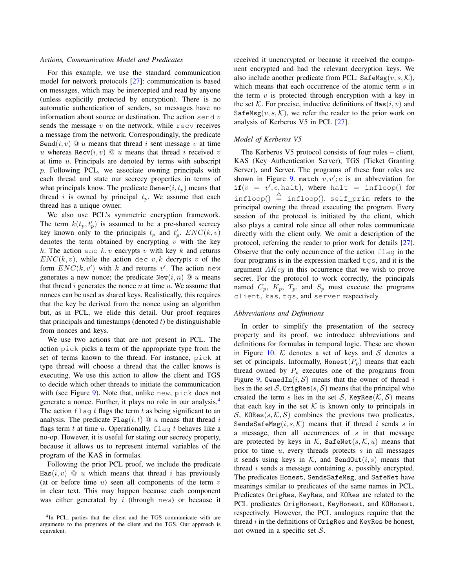## *Actions, Communication Model and Predicates*

For this example, we use the standard communication model for network protocols [27]: communication is based on messages, which may be intercepted and read by anyone (unless explicitly protected by encryption). There is no automatic authentication of senders, so messages have no information about source or destination. The action send  $v$ sends the message  $v$  on the network, while  $r$ ecv receives a message from the network. Correspondingly, the predicate Send $(i, v)$  @ u means that thread i sent message v at time u whereas Recv $(i, v) \odot u$  means that thread i received v at time  $u$ . Principals are denoted by terms with subscript p. Following PCL, we associate owning principals with each thread and state our secrecy properties in terms of what principals know. The predicate  $\text{Owner}(i, t_p)$  means that thread i is owned by principal  $t_p$ . We assume that each thread has a unique owner.

We also use PCL's symmetric encryption framework. The term  $k(t_p, t_p)$  is assumed to be a pre-shared secrecy key known only to the principals  $t_p$  and  $t'_p$ .  $ENC(k, v)$ denotes the term obtained by encrypting  $v$  with the key k. The action enc k, v encrypts v with key k and returns  $ENC(k, v)$ , while the action dec v, k decrypts v of the form  $ENC(k, v')$  with k and returns v'. The action new generates a new nonce; the predicate  $\text{New}(i, n) \text{ @ } u$  means that thread  $i$  generates the nonce  $n$  at time  $u$ . We assume that nonces can be used as shared keys. Realistically, this requires that the key be derived from the nonce using an algorithm but, as in PCL, we elide this detail. Our proof requires that principals and timestamps (denoted  $t$ ) be distinguishable from nonces and keys.

We use two actions that are not present in PCL. The action pick picks a term of the appropriate type from the set of terms known to the thread. For instance, pick at type thread will choose a thread that the caller knows is executing. We use this action to allow the client and TGS to decide which other threads to initiate the communication with (see Figure 9). Note that, unlike new, pick does not generate a nonce. Further, it plays no role in our analysis.<sup>4</sup> The action  $f \text{lag } t$  flags the term t as being significant to an analysis. The predicate  $Flag(i, t) @ u$  means that thread i flags term  $t$  at time  $u$ . Operationally,  $\text{flag } t$  behaves like a no-op. However, it is useful for stating our secrecy property, because it allows us to represent internal variables of the program of the KAS in formulas.

Following the prior PCL proof, we include the predicate  $\text{Has}(i, v) \quad \textcircled{u}$  which means that thread i has previously (at or before time  $u$ ) seen all components of the term  $v$ in clear text. This may happen because each component was either generated by  $i$  (through new) or because it received it unencrypted or because it received the component encrypted and had the relevant decryption keys. We also include another predicate from PCL:  $\texttt{SafeMsg}(v, s, \mathcal{K})$ , which means that each occurrence of the atomic term s in the term  $v$  is protected through encryption with a key in the set K. For precise, inductive definitions of Has $(i, v)$  and SafeMsg $(v, s, \mathcal{K})$ , we refer the reader to the prior work on analysis of Kerberos V5 in PCL [27].

# *Model of Kerberos V5*

The Kerberos V5 protocol consists of four roles – client, KAS (Key Authentication Server), TGS (Ticket Granting Server), and Server. The programs of these four roles are shown in Figure 9. match  $v, v'; e$  is an abbreviation for  $if(v = v', e, \text{halt}),$  where halt = infloop() for infloop()  $\triangleq$  infloop(). self\_prin refers to the principal owning the thread executing the program. Every session of the protocol is initiated by the client, which also plays a central role since all other roles communicate directly with the client only. We omit a description of the protocol, referring the reader to prior work for details [27]. Observe that the only occurrence of the action flag in the four programs is in the expression marked  $\tau$ qs, and it is the argument AKey in this occurrence that we wish to prove secret. For the protocol to work correctly, the principals named  $C_p$ ,  $K_p$ ,  $T_p$ , and  $S_p$  must execute the programs client, kas, tgs, and server respectively.

## *Abbreviations and Definitions*

In order to simplify the presentation of the secrecy property and its proof, we introduce abbreviations and definitions for formulas in temporal logic. These are shown in Figure 10.  $K$  denotes a set of keys and  $S$  denotes a set of principals. Informally, Honest $(P_p)$  means that each thread owned by  $P_p$  executes one of the programs from Figure 9, OwnedIn $(i, S)$  means that the owner of thread i lies in the set S, OrigRes $(s, S)$  means that the principal who created the term s lies in the set S, KeyRes $(\mathcal{K}, \mathcal{S})$  means that each key in the set  $K$  is known only to principals in S, KORes $(s, \mathcal{K}, \mathcal{S})$  combines the previous two predicates, SendsSafeMsg $(i, s, \mathcal{K})$  means that if thread i sends s in a message, then all occurrences of  $s$  in that message are protected by keys in K, SafeNet $(s, K, u)$  means that prior to time  $u$ , every threads protects  $s$  in all messages it sends using keys in  $K$ , and SendOut $(i, s)$  means that thread i sends a message containing s, possibly encrypted. The predicates Honest, SendsSafeMsg, and SafeNet have meanings similar to predicates of the same names in PCL. Predicates OrigRes, KeyRes, and KORes are related to the PCL predicates OrigHonest, KeyHonest, and KOHonest, respectively. However, the PCL analogues require that the thread  $i$  in the definitions of  $OrigRes$  and KeyRes be honest, not owned in a specific set  $S$ .

<sup>4</sup> In PCL, parties that the client and the TGS communicate with are arguments to the programs of the client and the TGS. Our approach is equivalent.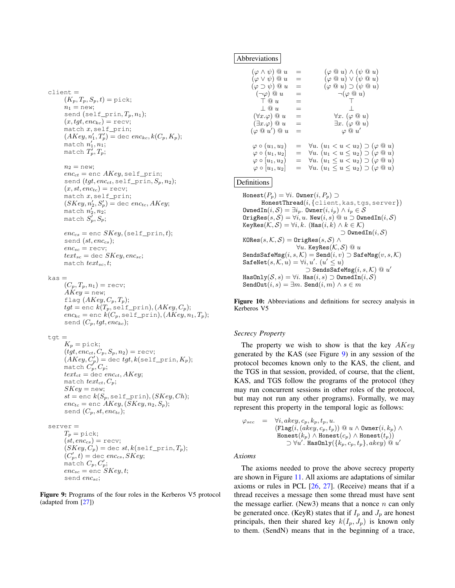# client =  $(K_p, T_p, S_p, t) =$ pick;  $n_1 =$  new; send (self\_prin,  $T_p$ ,  $n_1$ );  $(x, tyt, enc_{kc}) = recv;$ match x, self\_prin;  $(AKey, n'_1, T'_p) = \text{dec } enc_{kc}, k(C_p, K_p);$ match  $n_1', n_1;$ match  $T_p^\prime, T_p;$

 $n_2 =$  new;

```
enc_{ct} = enc AKey, self_prin;
send (tgt, enc_{ct}, \text{self\_prin}, S_p, n_2);(x, st, enc_{tc}) = recv;match x, self_prin;
(SKey, n'_2, S'_p) = \text{dec} enc_{tc}, AKey;match n_2', n_2;match S'_p,S_p;
```

```
enc_{cs} = enc SKey, (self_prin, t);
send (st, enc_{cs});enc_{sc} = recv;
text_{sc} = dec SKey, enc_{sc};match text_{sc}, t;
```
 $kas =$ 

 $(C_p, T_p, n_1) = \text{recv};$  $AKey = new;$ flag  $(AKey, C_p, T_p);$  $tgt =$  enc  $k(T_p, \text{self\_prin}), (AKey, C_p);$  $enc_{kc}$  = enc  $k(C_p, \text{self\_prin}), (AKey, n_1, T_p);$ send  $(C_p, tg_t, enc_{kc});$ 

 $tqt =$ 

 $K_p = \text{pick};$  $(tgt, enc_{ct}, C_p, S_p, n_2)$  = recv;  $(AKey, C'_p) = \text{dec }tgt, k(\text{self\_prin}, K_p);$ match  $C_p^\prime, C_p;$  $text_{ct} =$  dec enc<sub>ct</sub>, AKey; match  $text_{ct}, C_p$ ;  $SKey = new;$  $st =$ enc  $k(S_p, \text{self\_prin}), (SKey, Ch);$  $enc_{tc}$  = enc  $AKey$ ,  $(SKey, n_2, S_p);$ send  $(C_p, st, enc_{tc});$ 

#### server =

 $T_p = \text{pick};$  $(st, enc_{cs}) = recv;$  $(SKey, C_p) = \text{dec } st, k(\text{self\_prin}, T_p);$  $(C_p', t) =$  dec  $enc_{cs}, SKey;$ match  $C_p, C_p^\prime;$  $enc_{sc}$  = enc  $SKey, t;$ send encsc;

Figure 9: Programs of the four roles in the Kerberos V5 protocol (adapted from [27])

## Abbreviations

| $(\varphi \wedge \psi) \ @ \ u$                          | $=$ | $(\varphi \otimes u) \wedge (\psi \otimes u)$                                                                                    |
|----------------------------------------------------------|-----|----------------------------------------------------------------------------------------------------------------------------------|
| $(\varphi \vee \psi) \ @u$                               | $=$ | $(\varphi \circ u) \vee (\psi \circ u)$                                                                                          |
| $(\varphi \supset \psi) \ @ \ u$                         | $=$ | $(\varphi \otimes u) \supset (\psi \otimes u)$                                                                                   |
| $(\neg \varphi) \ @ \ u$                                 | $=$ | $\neg(\varphi \ @\ u)$                                                                                                           |
| $\top @u$                                                | $=$ | $\top$                                                                                                                           |
| $\perp 0 u$                                              | $=$ | $\perp$                                                                                                                          |
| $(\forall x.\varphi) \ @\ u$                             | $=$ | $\forall x. (\varphi \otimes u)$                                                                                                 |
| $(\exists x.\varphi) \ @\ u$                             | $=$ | $\exists x.$ $(\varphi \otimes u)$                                                                                               |
| $(\varphi \otimes u') \otimes u$                         | $=$ | $\varphi \ @\ u'$                                                                                                                |
| $\varphi \circ (u_1, u_2)$                               |     | $= \forall u. (u_1 < u < u_2) \supset (\varphi \otimes u)$                                                                       |
| $\varphi \circ (u_1, u_2)$<br>$\varphi \circ [u_1, u_2]$ | $=$ | $= \forall u. (u_1 < u \leq u_2) \supset (\varphi \otimes u)$<br>$\forall u.$ $(u_1 \leq u \lt u_2) \supset (\varphi \otimes u)$ |
| $\varphi \circ [u_1, u_2]$                               | $=$ | $\forall u.$ $(u_1 \leq u \leq u_2) \supset (\varphi \otimes u)$                                                                 |

# Definitions

Honest $(P_p) = \forall i$ . Owner $(i, P_p) \supset$  $HonestThread(i, {client, kas, ts, server})$ OwnedIn $(i, \mathcal{S}) = \exists i_p$ . Owner $(i, i_p) \wedge i_p \in \mathcal{S}$  $OcrigRes(s, S) = \forall i, u$ . New $(i, s) \ @ \ u \supset O$ wnedIn $(i, S)$ KeyRes $(\mathcal{K}, \mathcal{S}) = \forall i, k$ . (Has $(i, k) \wedge k \in \mathcal{K}$ )  $\neg$  OwnedIn(*i*, *S*)  $\texttt{KORes}(s, \mathcal{K}, \mathcal{S}) = \texttt{OrigRes}(s, \mathcal{S}) \land$  $\forall u$ . KeyRes $(\mathcal{K}, \mathcal{S}) \ @ \ u$ SendsSafeMsg $(i, s, \mathcal{K})$  = Send $(i, v)$   $\supset$  SafeMsg $(v, s, \mathcal{K})$  $\texttt{SafeNet}(s, \mathcal{K}, u) = \forall i, u'. \; (u' \leq u)$  $\supset$  SendsSafeMsg $(i, s, \mathcal{K}) \ @ \ u'$  $\texttt{HasOnly}(\mathcal{S}, s) = \forall i. \ \texttt{Has}(i, s) \supset \texttt{OwnedIn}(i, \mathcal{S})$ SendOut $(i, s) = \exists m$ . Send $(i, m) \wedge s \in m$ 

Figure 10: Abbreviations and definitions for secrecy analysis in Kerberos V5

#### *Secrecy Property*

The property we wish to show is that the key  $AKey$ generated by the KAS (see Figure 9) in any session of the protocol becomes known only to the KAS, the client, and the TGS in that session, provided, of course, that the client, KAS, and TGS follow the programs of the protocol (they may run concurrent sessions in other roles of the protocol, but may not run any other programs). Formally, we may represent this property in the temporal logic as follows:

$$
\varphi_{sec} = \forall i, akey, c_p, k_p, t_p, u.
$$
  
\n
$$
(\text{Flag}(i, (akey, c_p, t_p)) \text{ @ } u \land \text{Owner}(i, k_p) \land
$$
  
\n
$$
\text{Honest}(k_p) \land \text{Honest}(c_p) \land \text{Honest}(t_p))
$$
  
\n
$$
\supset \forall u'.
$$
 HasOnly( $\{k_p, c_p, t_p\}, akey$ ) @  $u'$ 

*Axioms*

The axioms needed to prove the above secrecy property are shown in Figure 11. All axioms are adaptations of similar axioms or rules in PCL [26, 27]. (Receive) means that if a thread receives a message then some thread must have sent the message earlier. (New3) means that a nonce  $n$  can only be generated once. (KeyR) states that if  $I_p$  and  $J_p$  are honest principals, then their shared key  $k(I_p, J_p)$  is known only to them. (SendN) means that in the beginning of a trace,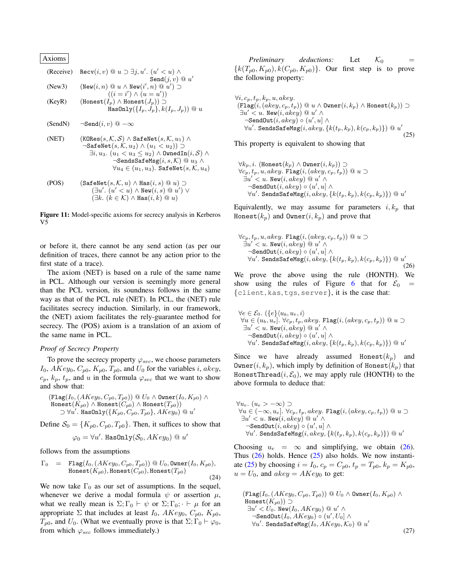| Axioms                                                 | Recv(i, v) @ u \supset \exists j, u'. (u' < u) \land | Send(j, v) @ u' |
|--------------------------------------------------------|------------------------------------------------------|-----------------|
| (New3)                                                 | (New(i, n) @ u \land New(i', n) @ u') \supset        |                 |
| ((i = i') \land (u = u'))                              |                                                      |                 |
| (KeyR)                                                 | (Honest(I_p) \land Honest(J_p)) \supset              |                 |
| HasOnly(\{I_p, J_p\}, k(I_p, J_p)) @ u                 |                                                      |                 |
| (SendN)                                                | \neg Send(i, v) @ -\infty                            |                 |
| (NET)                                                  | (KOREs(s, K, S) \land SafeNet(s, K, u_1) \land       |                 |
| \negSafeNet(s, K, u_2) \land (u_1 < u_2)) \supset      |                                                      |                 |
| \exists i, u_3. (u_1 < u_3 \le u_2) \land Uvend{align} |                                                      |                 |
| \n $\forall u_4 \in (u_1, u_3)$ . SafeNet(s, K, u_4)   |                                                      |                 |

(POS) 
$$
(\texttt{SafeNet}(s, \mathcal{K}, u) \land \texttt{Has}(i, s) @ u) \supset \\ (\exists u'. (u' < u) \land \texttt{New}(i, s) @ u') \lor \\ (\exists k. (k \in \mathcal{K}) \land \texttt{Has}(i, k) @ u)
$$

Figure 11: Model-specific axioms for secrecy analysis in Kerberos V5

or before it, there cannot be any send action (as per our definition of traces, there cannot be any action prior to the first state of a trace).

The axiom (NET) is based on a rule of the same name in PCL. Although our version is seemingly more general than the PCL version, its soundness follows in the same way as that of the PCL rule (NET). In PCL, the (NET) rule facilitates secrecy induction. Similarly, in our framework, the (NET) axiom facilitates the rely-guarantee method for secrecy. The (POS) axiom is a translation of an axiom of the same name in PCL.

#### *Proof of Secrecy Property*

To prove the secrecy property  $\varphi_{sec}$ , we choose parameters  $I_0$ ,  $AKey_0$ ,  $C_{p0}$ ,  $K_{p0}$ ,  $T_{p0}$ , and  $U_0$  for the variables *i*, akey,  $c_p, k_p, t_p$ , and u in the formula  $\varphi_{\text{sec}}$  that we want to show and show that:

$$
\begin{array}{l}(\mathop{\mathtt{Flag}}(I_0,(AKey_0,C_{p0},T_{p0}))\ @V_0\wedge\mathop{\mathtt{Owner}}(I_0,K_{p0})\wedge\\ \mathop{\mathtt{Honest}}(K_{p0})\wedge\mathop{\mathtt{Honest}}(C_{p0})\wedge\mathop{\mathtt{Honest}}(T_{p0}))\\ \supset \forall u'.\ \mathop{\mathtt{HasOnly}}(\{K_{p0},C_{p0},T_{p0}\},AKey_0)\ @\ u'\end{array}
$$

Define  $S_0 = \{K_{p0}, C_{p0}, T_{p0}\}\.$  Then, it suffices to show that

$$
\varphi_0 = \forall u' . \ \texttt{HasOnly}(\mathcal{S}_0, AKey_0) \ @ \ u'
$$

follows from the assumptions

Γ<sup>0</sup> = Flag(I0,(AKey0, Cp0, Tp0)) @ U0, Owner(I0, Kp0), Honest(Kp0), Honest(Cp0), Honest(Tp0) (24)

We now take  $\Gamma_0$  as our set of assumptions. In the sequel, whenever we derive a modal formula  $\psi$  or assertion  $\mu$ , what we really mean is  $\Sigma$ ;  $\Gamma_0 \vdash \psi$  or  $\Sigma$ ;  $\Gamma_0$ ;  $\vdash \mu$  for an appropriate  $\Sigma$  that includes at least  $I_0$ ,  $AKey_0$ ,  $C_{p0}$ ,  $K_{p0}$ ,  $T_{p0}$ , and  $U_0$ . (What we eventually prove is that  $\Sigma$ ;  $\Gamma_0 \vdash \varphi_0$ , from which  $\varphi_{sec}$  follows immediately.)

*Preliminary deductions:* Let  $K_0$  ${k(T_{p0}, K_{p0}), k(C_{p0}, K_{p0})}.$  Our first step is to prove the following property:

$$
\forall i, c_p, t_p, k_p, u, akey.
$$
\n
$$
(\texttt{Flag}(i, (akey, c_p, t_p)) \t\t@ u \wedge \texttt{Owner}(i, k_p) \wedge \texttt{Honest}(k_p)) \supset
$$
\n
$$
\exists u' < u. \texttt{New}(i, akey) \t\t@ u' \wedge
$$
\n
$$
\neg \texttt{SendOut}(i, akey) \circ (u', u] \wedge
$$
\n
$$
\forall u'.
$$
\n
$$
\texttt{SendSafelMsg}(i, akey, \{k(t_p, k_p), k(c_p, k_p)\}) \t\t@ u'
$$
\n
$$
(25)
$$

(25)

 $\forall k_p, i$ . (Honest $(k_p) \land$  Owner $(i, k_p)$ ) ⊃  $\forall c_p, t_p, u, a key. \; \texttt{Flag}(i, (a key, c_p, t_p)) \; @ \; u \supset$  $\exists u' < u.$  New $(i, a key) \ @ \ u' \wedge \$  $\lnot$ SendOut $(i, a key) \circ (u', u] \land$  $\forall u'.$  <code>SendsSafeMsg</code> $(i, a key, \{k(t_p, k_p), k(c_p, k_p)\})$  @  $u'$ 

This property is equivalent to showing that

Equivalently, we may assume for parameters  $i, k_p$  that Honest $(k_p)$  and Owner $(i, k_p)$  and prove that

$$
\forall c_p, t_p, u, akey. \; \text{Flag}(i, (akey, c_p, t_p)) \; @\; u \supset
$$
  
\n
$$
\exists u' < u. \; \text{New}(i, akey) \; @\; u' \land
$$
  
\n
$$
\neg \text{SendOut}(i, akey) \circ (u', u] \land
$$
  
\n
$$
\forall u'. \; \text{SendSSafeMsg}(i, akey, \{k(t_p, k_p), k(c_p, k_p)\}) \; @\; u'
$$
\n(26)

We prove the above using the rule (HONTH). We show using the rules of Figure 6 that for  $\mathcal{E}_0$  = {client, kas, tgs, server}, it is the case that:

$$
\forall e \in \mathcal{E}_0. \ ( \{e\} \langle u_b, u_e, i \rangle \n\forall u \in (u_b, u_e], \forall c_p, t_p, akey. \ \mathbf{Flag}(i, (akey, c_p, t_p)) \ @u \supset \exists u' < u. \ \mathbf{New}(i, akey) \ @u' \land \n\neg \mathbf{SendOut}(i, akey) \circ (u', u] \land \forall u'. \ \mathbf{SendSSafeMsg}(i, akey, \{k(t_p, k_p), k(c_p, k_p)\}) \ @u'
$$

Since we have already assumed Honest $(k_p)$  and Owner $(i, k_p)$ , which imply by definition of Honest $(k_p)$  that HonestThread( $i, \mathcal{E}_0$ ), we may apply rule (HONTH) to the above formula to deduce that:

$$
\forall u_e. (u_e > -\infty) \supset
$$
  
\n
$$
\forall u \in (-\infty, u_e]. \ \forall c_p, t_p, akey. \ \text{Flag}(i, (akey, c_p, t_p)) \ @u \supset
$$
  
\n
$$
\exists u' < u. \ \text{New}(i, akey) \ @u' \land
$$
  
\n
$$
\neg \text{SendOut}(i, akey) \circ (u', u] \land
$$
  
\n
$$
\forall u'. \ \text{SendSSafeMsg}(i, akey, \{k(t_p, k_p), k(c_p, k_p)\}) \ @u'
$$

Choosing  $u_e = \infty$  and simplifying, we obtain (26). Thus  $(26)$  holds. Hence  $(25)$  also holds. We now instantiate (25) by choosing  $i = I_0$ ,  $c_p = C_{p0}$ ,  $t_p = T_{p0}$ ,  $k_p = K_{p0}$ ,  $u = U_0$ , and  $akey = AKey_0$  to get:

$$
(\text{Flag}(I_0, (AKey_0, C_{p0}, T_{p0})) \t\t@ U_0 \wedge \text{Owner}(I_0, K_{p0}) \wedge \text{Honest}(K_{p0})) \supset
$$
  
\n
$$
\exists u' < U_0. \text{ New}(I_0, AKey_0) \t@ u' \wedge \text{--}\text{SendOut}(I_0, AKey_0) \t@ (u', U_0] \wedge \text{--}\text{SendOut}(I_0, AKey_0, K_0) \t@ u' \tag{27}
$$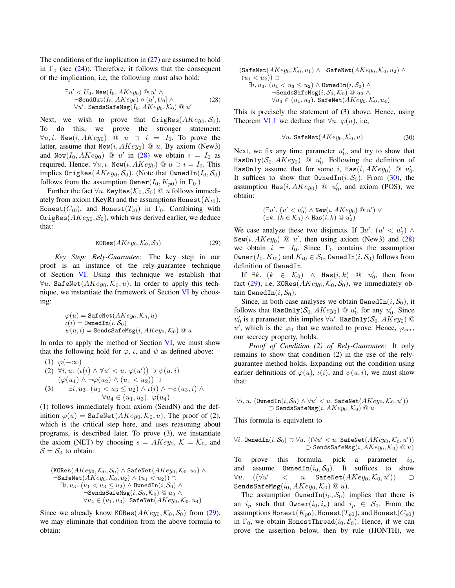The conditions of the implication in  $(27)$  are assumed to hold in  $\Gamma_0$  (see (24)). Therefore, it follows that the consequent of the implication, i.e, the following must also hold:

∃u <sup>0</sup> < U0. New(I0, AKey0) @ u <sup>0</sup> ∧ ¬SendOut(I0, AKey0) ◦ (u 0 , U0] ∧ ∀u 0 . SendsSafeMsg(I0, AKey0, K0) @ u 0 (28)

Next, we wish to prove that  $0 \text{rigRes}(AKey_0, \mathcal{S}_0)$ . To do this, we prove the stronger statement:  $\forall u, i$ . New $(i, AKey_0)$  @  $u \supset i = I_0$ . To prove the latter, assume that  $New(i, AKey_0) \t\t@ u.$  By axiom (New3) and New $(I_0, AKey_0)$  @ u' in (28) we obtain  $i = I_0$  as required. Hence,  $\forall u, i$ . New $(i, AKey_0) \ @ \ u \supset i = I_0$ . This implies  $0 \rightarrow \text{rigRes}(AKey_0, \mathcal{S}_0)$ . (Note that  $0 \rightarrow \text{wnedIn}(I_0, \mathcal{S}_0)$ follows from the assumption  $\text{Owner}(I_0, K_{p0})$  in  $\Gamma_0$ .)

Further the fact  $\forall u$ . KeyRes( $\mathcal{K}_0$ ,  $\mathcal{S}_0$ ) @ u follows immediately from axiom (KeyR) and the assumptions Honest( $K_{t0}$ ), Honest( $C_{t0}$ ), and Honest( $T_{t0}$ ) in  $\Gamma_0$ . Combining with OrigRes( $AKey_0$ ,  $S_0$ ), which was derived earlier, we deduce that:

$$
KORes(AKey_0, \mathcal{K}_0, \mathcal{S}_0)
$$
 (29)

*Key Step: Rely-Guarantee:* The key step in our proof is an instance of the rely-guarantee technique of Section VI. Using this technique we establish that  $\forall u$ . SafeNet( $AKey_0, K_0, u$ ). In order to apply this technique, we instantiate the framework of Section VI by choosing:

$$
\begin{array}{l} \varphi(u) = \mathtt{SafeNet}(AKey_0, \mathcal{K}_0, u) \\ \iota(i) = \mathtt{OwnedIn}(i, \mathcal{S}_0) \\ \psi(u, i) = \mathtt{SendssafeMsg}(i, AKey_0, \mathcal{K}_0) @u \end{array}
$$

In order to apply the method of Section VI, we must show that the following hold for  $\varphi$ ,  $\iota$ , and  $\psi$  as defined above:

(1) 
$$
\varphi(-\infty)
$$
  
\n(2)  $\forall i, u. \ (\iota(i) \land \forall u' < u. \ \varphi(u')) \supset \psi(u, i)$   
\n $(\varphi(u_1) \land \neg \varphi(u_2) \land (u_1 < u_2)) \supset$   
\n(3)  $\exists i, u_3. \ (u_1 < u_3 \leq u_2) \land \iota(i) \land \neg \psi(u_3, i) \land \forall u_4 \in (u_1, u_3). \ \varphi(u_4)$ 

(1) follows immediately from axiom (SendN) and the definition  $\varphi(u) =$  SafeNet( $AKey_0, K_0, u$ ). The proof of (2), which is the critical step here, and uses reasoning about programs, is described later. To prove (3), we instantiate the axiom (NET) by choosing  $s = AKey_0, K = K_0$ , and  $S = S_0$  to obtain:

(KORES 
$$
(AKey_0, K_0, S_0) \wedge
$$
 SafeNet $(AKey_0, K_0, u_1) \wedge$   
\n $\neg$ SafeNet $(AKey_0, K_0, u_2) \wedge (u_1 < u_2)) \supset$   
\n $\exists i, u_3. (u_1 < u_3 \le u_2) \wedge$ ØvmedIn $(i, S_0) \wedge$   
\n $\neg$ SendsSafeMsg $(i, S_0, K_0) \circledast u_3 \wedge$   
\n $\forall u_4 \in (u_1, u_3)$ . SafeNet $(AKey_0, K_0, u_4)$ 

Since we already know KORes( $AKey_0$ ,  $\mathcal{K}_0$ ,  $\mathcal{S}_0$ ) from (29), we may eliminate that condition from the above formula to obtain:

$$
\begin{matrix}(\texttt{SafeNet}(AKey_0, \mathcal{K}_0, u_1) \wedge \neg \texttt{SafeNet}(AKey_0, \mathcal{K}_0, u_2) \wedge \\ (u_1 < u_2)) \supset \\ \exists i, u_3. \ (u_1 < u_3 \leq u_2) \wedge \texttt{OwnedIn}(i, \mathcal{S}_0) \wedge \\ \neg \texttt{SendsSafeMsg}(i, \mathcal{S}_0, \mathcal{K}_0) \ @ \ u_3 \wedge \\ \forall u_4 \in (u_1, u_3). \ \texttt{SafeNet}(AKey_0, \mathcal{K}_0, u_4)\end{matrix}
$$

This is precisely the statement of (3) above. Hence, using Theorem VI.1 we deduce that  $\forall u$ .  $\varphi(u)$ , i.e,

$$
\forall u. \; \texttt{SafeNet}(AKey_0, \mathcal{K}_0, u) \tag{30}
$$

Next, we fix any time parameter  $u'_0$ , and try to show that HasOnly $(\mathcal{S}_0, AKey_0)$  @  $u_0'$ . Following the definition of HasOnly assume that for some i,  $\texttt{Has}(i, AKey_0) \ @ \ u_0'.$ It suffices to show that  $OwnedIn(i, S_0)$ . From (30), the assumption  $\text{Has}(i, AKey_0) \ @ \ u_0', \text{ and axiom (POS)}, \text{ we}$ obtain:

$$
(\exists u'. (u' < u_0') \land \text{New}(i, AKey_0) \text{ @ } u') \lor (\exists k. (k \in \mathcal{K}_0) \land \text{Has}(i, k) \text{ @ } u_0')
$$

We case analyze these two disjuncts. If  $\exists u'. (u' < u'_0) \land$ New $(i, AKey_0)$  @ u', then using axiom (New3) and (28) we obtain  $i = I_0$ . Since  $\Gamma_0$  contains the assumption Owner( $I_0, K_{t0}$ ) and  $K_{t0} \in S_0$ , OwnedIn( $i, S_0$ ) follows from definition of OwnedIn.

If  $\exists k. (k \in \mathcal{K}_0) \land \text{Has}(i,k) \text{ @ } u'_0$ , then from fact (29), i.e, KORes $(AKey_0, \mathcal{K}_0, \mathcal{S}_0)$ , we immediately obtain OwnedIn $(i, \mathcal{S}_0)$ .

Since, in both case analyses we obtain  $\text{OwnedIn}(i, \mathcal{S}_0)$ , it follows that  $\text{HasOnly}(\mathcal{S}_0, Akey_0) \ @ \ u_0'$  for any  $u_0'$ . Since  $u'_0$  is a parameter, this implies  $\forall u'$ . HasOnly $(\mathcal{S}_0, AKey_0)$  @ u', which is the  $\varphi_0$  that we wanted to prove. Hence,  $\varphi_{sec}$ , our secrecy property, holds.

*Proof of Condition (2) of Rely-Guarantee:* It only remains to show that condition (2) in the use of the relyguarantee method holds. Expanding out the condition using earlier definitions of  $\varphi(u)$ ,  $\iota(i)$ , and  $\psi(u, i)$ , we must show that:

$$
\forall i, u. \ (\mathtt{OwnedIn}(i, \mathcal{S}_0) \land \forall u' < u. \ \mathtt{SafeNet}(AKey_0, \mathcal{K}_0, u')) \newline \supset \mathtt{SendsSafeMsg}(i, AKey_0, \mathcal{K}_0) @ u
$$

This formula is equivalent to

$$
\forall i. \; \mathsf{OwnedIn}(i, \mathcal{S}_0) \supset \forall u. \; ((\forall u' < u. \; \mathsf{SafeNet}(AKey_0, \mathcal{K}_0, u')) \newline \supset \mathsf{SendsSafeMsg}(i, AKey_0, \mathcal{K}_0) \; @\; u)
$$

To prove this formula, pick a parameter  $i_0$ , and assume  $0$ wnedIn $(i_0, S_0)$ . It suffices to show  $\forall u.$  ( $(\forall u'$ )  $'\qquad\lt\qquad u. \quad \mathtt{SafeNet}(AKey_0, \mathcal{K}_0, u')) \quad\supset\quad$ SendsSafeMsg $(i_0, AKey_0, K_0) \t@ u$ ).

The assumption  $0$ wnedIn $(i_0, S_0)$  implies that there is an  $i_p$  such that  $\text{Owner}(i_0, i_p)$  and  $i_p \in S_0$ . From the assumptions Honest $(K_{p0})$ , Honest $(T_{p0})$ , and Honest $(C_{p0})$ in  $\Gamma_0$ , we obtain HonestThread $(i_0, \mathcal{E}_0)$ . Hence, if we can prove the assertion below, then by rule (HONTH), we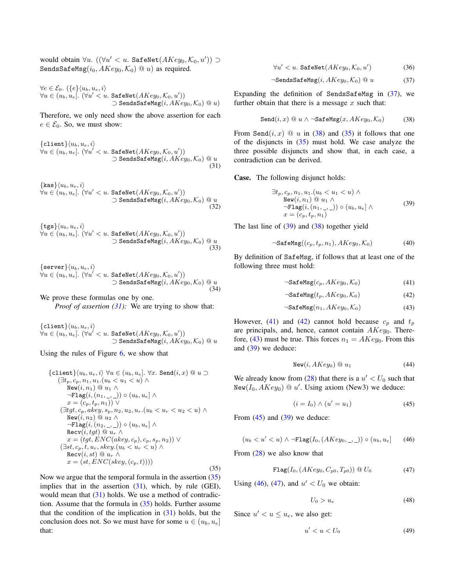would obtain  $\forall u. \ ((\forall u' < u. \ \ \texttt{SafeNet}(AKey_0, \mathcal{K}_0, u')) \supset$ SendsSafeMsg( $i_0$ ,  $AKey_0$ ,  $\mathcal{K}_0$ ) @ u) as required.

$$
\forall e \in \mathcal{E}_0. \ ( \{e\} \langle u_b, u_e, i \rangle \n\forall u \in (u_b, u_e]. \ (\forall u' < u. \ \texttt{SafeNet}(AKey_0, \mathcal{K}_0, u')) \n\quad \texttt{D sendsSafeMsg}(i, AKey_0, \mathcal{K}_0) @ u)
$$

Therefore, we only need show the above assertion for each  $e \in \mathcal{E}_0$ . So, we must show:

{client}\langle u\_b, u\_e, i \rangle  
\forall u \in (u\_b, u\_e]. (\forall u' < u. \ SafeNet(AKey\_0, K\_0, u'))  
\n
$$
\supset \text{SendsSafeMsg}(i, AKey_0, K_0) @ u
$$
\n(31)

$$
\{\text{kas}\}\langle u_b, u_e, i \rangle
$$
  
\n
$$
\forall u \in (u_b, u_e]. \ (\forall u' < u. \ \text{SafeNet}(AKey_0, \mathcal{K}_0, u'))
$$
  
\n
$$
\supset \text{Sendssafelsg}(i, AKey_0, \mathcal{K}_0) \ @u \tag{32}
$$

$$
\begin{aligned} \{\mathtt{tgs}\} \langle u_b, u_e, i \rangle \\ \forall u \in (u_b, u_e]. \ (\forall u' < u. \ \mathtt{SafeNet}(AKey_0, \mathcal{K}_0, u')) \\ > \mathtt{SendsSafeMsg}(i, AKey_0, \mathcal{K}_0) \ @ \ u \\ \tag{33} \end{aligned}
$$

$$
\{\texttt{server}\}\langle u_b, u_e, i \rangle \forall u \in (u_b, u_e]. \ (\forall u' < u. \ \texttt{SafeNet}(AKey_0, \mathcal{K}_0, u')) \n\supset \texttt{SendsSafeMsg}(i, AKey_0, \mathcal{K}_0) \ @u \tag{34}
$$

We prove these formulas one by one. *Proof of assertion (31):* We are trying to show that:

 $\{\texttt{client}\}\langle u_b, u_e, i\rangle$  $\forall u \in (u_b, u_e]$ .  $(\forall u' < u$ . SafeNet $(AKey_0, \mathcal{K}_0, u'))$  $\supset$  SendsSafeMsg(*i*, *AKey*<sub>0</sub>,  $\mathcal{K}_0$ ) <sup>*Q*</sup> *u* 

Using the rules of Figure 6, we show that

{
$$
{\begin{aligned}\n\{\text{client}\} \langle u_b, u_e, i \rangle \ \forall u \in (u_b, u_e], \ \forall x. \ \text{Send}(i, x) \ @ \ u \supset \\
& (\exists t_p, c_p, n_1, u_1. (u_b < u_1 < u) \land \\
& \text{New}(i, n_1) \ @ \ u_1 \land \\
& \neg \text{Flag}(i, (n_1, \_, \_)) \circ (u_b, u_e] \land \\
& x = (c_p, t_p, n_1)) \lor \\
(\exists tgt, c_p, akey, s_p, n_2, u_2, u_r. (u_b < u_r < u_2 < u) \land \\
& \text{New}(i, n_2) \ @ \ u_2 \land \\
& \neg \text{Flag}(i, (n_2, \_, \_)) \circ (u_b, u_e] \land \\
& \text{Rec}(i, tgt) \ @ \ u_r \land \\
& x = (tgt, ENC(akey, c_p), c_p, s_p, n_2)) \lor \\
(\exists st, c_p, t, u_r, skey. (u_b < u_r < u) \land \\
& \text{Rec}(i, st) \ @ \ u_r \land \\
& x = (st, ENC(skey, (c_p, t))))\n\end{aligned}
$$
\n(35)

Now we argue that the temporal formula in the assertion  $(35)$ implies that in the assertion  $(31)$ , which, by rule (GEI), would mean that  $(31)$  holds. We use a method of contradiction. Assume that the formula in  $(35)$  holds. Further assume that the condition of the implication in  $(31)$  holds, but the conclusion does not. So we must have for some  $u \in (u_b, u_e]$ that:

 $\forall u^{\prime} < u.$  SafeNet $(AKey_0, \mathcal{K}_0, u^{\prime})$ ) (36)

$$
\neg \mathsf{SendsSafeMsg}(i, AKey_0, \mathcal{K}_0) \, @ \, u \tag{37}
$$

Expanding the definition of SendsSafeMsg in (37), we further obtain that there is a message  $x$  such that:

$$
Send(i, x) @ u \wedge \neg SafeMsg(x, AKey_0, \mathcal{K}_0) \tag{38}
$$

From Send $(i, x) \odot u$  in (38) and (35) it follows that one of the disjuncts in  $(35)$  must hold. We case analyze the three possible disjuncts and show that, in each case, a contradiction can be derived.

Case. The following disjunct holds:

$$
\exists t_p, c_p, n_1, u_1.(u_b < u_1 < u) \land \n\text{New}(i, n_1) \t\t@ u_1 \land \n\neg \text{Flag}(i, (n_1, \_,)) \circ (u_b, u_e] \land \nx = (c_p, t_p, n_1)
$$
\n(39)

The last line of  $(39)$  and  $(38)$  together yield

$$
\neg \text{SafeMsg}((c_p, t_p, n_1), AKey_0, \mathcal{K}_0) \tag{40}
$$

By definition of SafeMsg, if follows that at least one of the following three must hold:

$$
\neg \texttt{SafeMsg}(c_p, AKey_0, \mathcal{K}_0) \tag{41}
$$

$$
\neg \texttt{SafeMsg}(t_p, AKey_0, \mathcal{K}_0) \tag{42}
$$

$$
\neg \texttt{SafeMsg}(n_1, AKey_0, \mathcal{K}_0) \tag{43}
$$

However, (41) and (42) cannot hold because  $c_p$  and  $t_p$ are principals, and, hence, cannot contain  $AKey_0$ . Therefore, (43) must be true. This forces  $n_1 = AKey_0$ . From this and (39) we deduce:

$$
New(i, AKey_0) \t\t@ u_1 \t\t(44)
$$

We already know from  $(28)$  that there is a  $u' < U_0$  such that New( $I_0, AKey_0$ )  $@u'$ . Using axiom (New3) we deduce:

$$
(i = I_0) \land (u' = u_1) \tag{45}
$$

From  $(45)$  and  $(39)$  we deduce:

$$
(u_b < u' < u) \land \neg \text{Flag}(I_0, (AKey_0, \_, \_)) \circ (u_b, u_e] \tag{46}
$$

From (28) we also know that

$$
\mathbf{Flag}(I_0, (AKey_0, C_{p0}, T_{p0})) \circledcirc U_0 \tag{47}
$$

Using (46), (47), and  $u' < U_0$  we obtain:

$$
U_0 > u_e \tag{48}
$$

Since  $u' < u \leq u_e$ , we also get:

$$
u' < u < U_0 \tag{49}
$$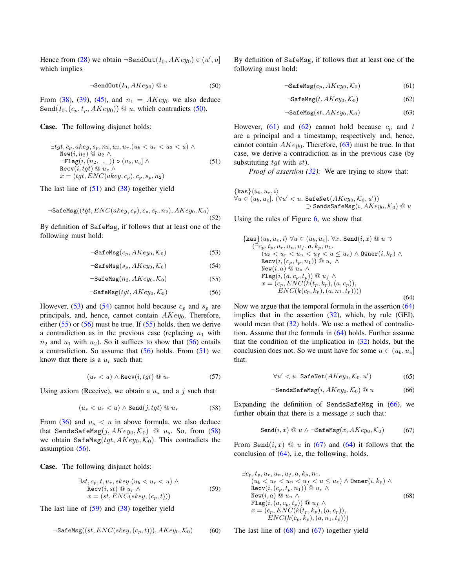Hence from (28) we obtain  $\neg$ SendOut $(I_0, AKey_0) \circ (u', u]$ which implies

$$
\neg \texttt{SendOut}(I_0, AKey_0) \ @ \ u \tag{50}
$$

From (38), (39), (45), and  $n_1 = AKey_0$  we also deduce Send( $I_0$ ,  $(c_p, t_p, AKey_0)$ ) @ u, which contradicts (50).

# Case. The following disjunct holds:

$$
\exists tgt, c_p, akey, s_p, n_2, u_2, u_r.(u_b < u_r < u_2 < u) \land
$$
\n
$$
\begin{array}{ll}\n\text{New}(i, n_2) \text{ @ } u_2 \land \\
\neg \text{Flag}(i, (n_2, \_, \_)) \circ (u_b, u_e] \land \\
\text{Rev}(i, tgt) \text{ @ } u_r \land \\
x = (tgt, ENC(akey, c_p), c_p, s_p, n_2)\n\end{array} \tag{51}
$$

The last line of  $(51)$  and  $(38)$  together yield

$$
\neg \text{SafeMsg}(\langle \text{tgt}, \text{ENC}(akey, c_p), c_p, s_p, n_2), \text{AKey}_0, \mathcal{K}_0)
$$
\n
$$
(52)
$$

By definition of SafeMsg, if follows that at least one of the following must hold:

$$
\neg \texttt{SafeMsg}(c_p, AKey_0, \mathcal{K}_0) \tag{53}
$$

$$
\neg \texttt{SafeMsg}(s_p, AKey_0, \mathcal{K}_0) \tag{54}
$$

$$
\neg \texttt{SafeMsg}(n_2, AKey_0, \mathcal{K}_0) \tag{55}
$$

$$
\neg \texttt{SafeMsg}(tgt, AKey_0, \mathcal{K}_0) \tag{56}
$$

However, (53) and (54) cannot hold because  $c_p$  and  $s_p$  are principals, and, hence, cannot contain  $AKey_0$ . Therefore, either  $(55)$  or  $(56)$  must be true. If  $(55)$  holds, then we derive a contradiction as in the previous case (replacing  $n_1$  with  $n_2$  and  $u_1$  with  $u_2$ ). So it suffices to show that (56) entails a contradiction. So assume that  $(56)$  holds. From  $(51)$  we know that there is a  $u_r$  such that:

$$
(u_r < u) \land \text{Recv}(i, tgt) \text{ @ } u_r \tag{57}
$$

Using axiom (Receive), we obtain a  $u_s$  and a j such that:

$$
(u_s < u_r < u) \land \text{Send}(j, tgt) \text{ @ } u_s \tag{58}
$$

From (36) and  $u_s < u$  in above formula, we also deduce that SendsSafeMsg $(j, AKey_0, K_0)$  @  $u_s$ . So, from (58) we obtain SafeMsg( $tgt, AKey_0, K_0$ ). This contradicts the assumption (56).

Case. The following disjunct holds:

$$
\exists st, c_p, t, u_r, \text{skey.}(u_b < u_r < u) \land
$$
\n
$$
\text{Recv}(i, st) \text{ @ } u_r \land \text{ } (59)
$$
\n
$$
x = (st, ENC(\text{skey.}(c_p, t)))
$$

The last line of  $(59)$  and  $(38)$  together yield

$$
\neg \text{SafeMsg}((st, ENC(skey, (c_p, t))), \text{AKey}_0, \mathcal{K}_0) \tag{60}
$$

By definition of SafeMsg, if follows that at least one of the following must hold:

$$
\neg \texttt{SafeMsg}(c_p, AKey_0, \mathcal{K}_0) \tag{61}
$$

$$
\neg \texttt{SafeMsg}(t, AKey_0, \mathcal{K}_0) \tag{62}
$$

$$
\neg \texttt{SafeMsg}(st, AKey_0, \mathcal{K}_0) \tag{63}
$$

However, (61) and (62) cannot hold because  $c_p$  and t are a principal and a timestamp, respectively and, hence, cannot contain  $AKey_0$ . Therefore, (63) must be true. In that case, we derive a contradiction as in the previous case (by substituting  $tqt$  with  $st$ ).

*Proof of assertion (32):* We are trying to show that:

$$
\{\text{kas}\}\langle u_b, u_e, i \rangle
$$
  
\n
$$
\forall u \in (u_b, u_e]. \ (\forall u' < u. \ \text{SafeNet}(AKey_0, \mathcal{K}_0, u'))
$$
  
\n
$$
\supset \text{SendSSafel}_(i, AKey_0, \mathcal{K}_0) \ @u
$$

Using the rules of Figure 6, we show that

$$
\{\text{kas}\}\langle u_b, u_e, i \rangle \ \forall u \in (u_b, u_e]. \ \forall x. \ \text{Send}(i, x) \ @ \ u \supset
$$
  
\n
$$
(\exists c_p, t_p, u_r, u_n, u_f, a, k_p, n_1. \n(u_b < u_r < u_n < u_f < u \le u_e) \land \text{Owner}(i, k_p) \land
$$
  
\n
$$
\text{Recv}(i, (c_p, t_p, n_1)) \ @ \ u_r \land
$$
  
\n
$$
\text{New}(i, a) \ @ \ u_n \land
$$
  
\n
$$
\text{Flag}(i, (a, c_p, t_p)) \ @ \ u_f \land
$$
  
\n
$$
x = (c_p, ENC(k(t_p, k_p), (a, c_p)),\nENC(k(c_p, k_p), (a, n_1, t_p)))) \tag{64}
$$

Now we argue that the temporal formula in the assertion (64) implies that in the assertion (32), which, by rule (GEI), would mean that (32) holds. We use a method of contradiction. Assume that the formula in (64) holds. Further assume that the condition of the implication in (32) holds, but the conclusion does not. So we must have for some  $u \in (u_b, u_e]$ that:

$$
\forall u' < u. \text{ SafeNet}(AKey_0, \mathcal{K}_0, u') \tag{65}
$$

$$
\neg \mathsf{SendsSafeMsg}(i, AKey_0, \mathcal{K}_0) @ u \tag{66}
$$

Expanding the definition of SendsSafeMsg in (66), we further obtain that there is a message  $x$  such that:

$$
Send(i, x) @ u \wedge \neg SafeMsg(x, AKey_0, \mathcal{K}_0) \tag{67}
$$

From Send $(i, x)$  @ u in (67) and (64) it follows that the conclusion of (64), i.e, the following, holds.

$$
\exists c_p, t_p, u_r, u_n, u_f, a, k_p, n_1.
$$
  
\n
$$
(u_b < u_r < u_n < u_f < u \le u_e) \land \text{Owner}(i, k_p) \land
$$
  
\n
$$
\text{Recv}(i, (c_p, t_p, n_1)) \circledcirc u_r \land
$$
  
\n
$$
\text{New}(i, a) \circledcirc u_n \land
$$
  
\n
$$
\text{Flag}(i, (a, c_p, t_p)) \circledcirc u_f \land
$$
  
\n
$$
x = (c_p, ENC(k(t_p, k_p), (a, c_p)),
$$
  
\n
$$
ENC(k(c_p, k_p), (a, n_1, t_p)))
$$

The last line of  $(68)$  and  $(67)$  together yield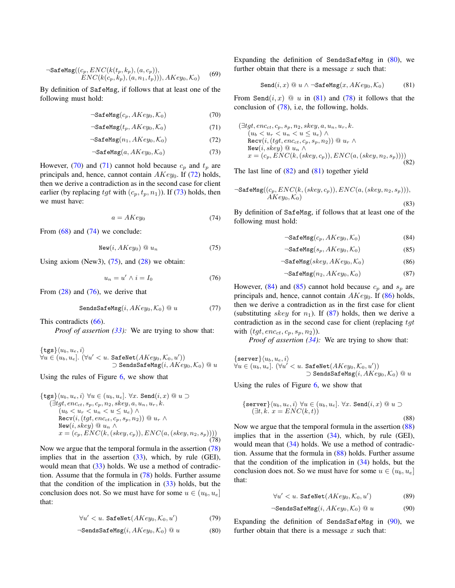$$
\neg \text{SafeMsg}((c_p, ENC(k(t_p, k_p), (a, c_p)),ENC(k(c_p, k_p), (a, n_1, t_p))), AKey_0, \mathcal{K}_0)
$$
 (69)

By definition of SafeMsg, if follows that at least one of the following must hold:

$$
\neg \texttt{SafeMsg}(c_p, AKey_0, \mathcal{K}_0) \tag{70}
$$

$$
\neg \texttt{SafeMsg}(t_p, AKey_0, \mathcal{K}_0) \tag{71}
$$

$$
\neg \texttt{SafeMsg}(n_1, AKey_0, \mathcal{K}_0) \tag{72}
$$

$$
\neg \texttt{SafeMsg}(a, AKey_0, \mathcal{K}_0) \tag{73}
$$

However, (70) and (71) cannot hold because  $c_p$  and  $t_p$  are principals and, hence, cannot contain  $AKey_0$ . If (72) holds, then we derive a contradiction as in the second case for client earlier (by replacing tgt with  $(c_p, t_p, n_1)$ ). If (73) holds, then we must have:

$$
a = AKey_0 \tag{74}
$$

From  $(68)$  and  $(74)$  we conclude:

$$
\text{New}(i, AKey_0) \ @ \ u_n \tag{75}
$$

Using axiom (New3),  $(75)$ , and  $(28)$  we obtain:

$$
u_n = u' \wedge i = I_0 \tag{76}
$$

From  $(28)$  and  $(76)$ , we derive that

$$
\text{SendsSafeMsg}(i, AKey_0, \mathcal{K}_0) @ u \tag{77}
$$

This contradicts (66).

*Proof of assertion (33):* We are trying to show that:

$$
\{ \mathbf{tgs} \} \langle u_b, u_e, i \rangle
$$
  
\n
$$
\forall u \in (u_b, u_e]. \ (\forall u' < u. \ \mathbf{SafeNet}(AKey_0, \mathcal{K}_0, u'))
$$
  
\n
$$
\supset \mathbf{SendsSafeMs}(i, AKey_0, \mathcal{K}_0) \ @\ u
$$

Using the rules of Figure 6, we show that

$$
\{\texttt{tgs}\}(u_b, u_e, i) \forall u \in (u_b, u_e]. \forall x. \texttt{Send}(i, x) @ u \supset
$$
  
\n
$$
(\exists \textit{tgt}, \textit{enc}_{ct}, s_p, c_p, n_2, \textit{key}, a, u_n, u_r, k. \n(u_b < u_r < u_n < u \le u_e) \land
$$
  
\n
$$
\texttt{Recv}(i, (\textit{tgt}, \textit{enc}_{ct}, c_p, s_p, n_2)) @ u_r \land
$$
  
\n
$$
\texttt{New}(i, \textit{key}) @ u_n \land
$$
  
\n
$$
x = (c_p, ENC(k, (\textit{key}, c_p)), ENC(a, (\textit{key}, n_2, s_p)))) \tag{78}
$$

Now we argue that the temporal formula in the assertion (78) implies that in the assertion (33), which, by rule (GEI), would mean that (33) holds. We use a method of contradiction. Assume that the formula in (78) holds. Further assume that the condition of the implication in  $(33)$  holds, but the conclusion does not. So we must have for some  $u \in (u_b, u_e]$ that:

$$
\forall u' < u. \text{ SafeNet}(AKey_0, \mathcal{K}_0, u') \tag{79}
$$

$$
\neg \texttt{SendsSafeMsg}(i, AKey_0, \mathcal{K}_0) @ u \tag{80}
$$

Expanding the definition of SendsSafeMsg in  $(80)$ , we further obtain that there is a message  $x$  such that:

$$
\texttt{Send}(i, x) \ @ \ u \wedge \neg \texttt{SafeMsg}(x, AKey_0, \mathcal{K}_0) \tag{81}
$$

From Send $(i, x) \odot u$  in (81) and (78) it follows that the conclusion of (78), i.e, the following, holds.

$$
(\exists tgt, enc_{ct}, c_p, s_p, n_2, skew, a, u_n, u_r, k. \n(u_b < u_r < u_n < u \le u_e) \land \n\text{Recv}(i, (tgt, enc_{ct}, c_p, s_p, n_2)) @ u_r \land \n\text{New}(i, skew) @ u_n \land \nx = (c_p, ENC(k, (skey, c_p)), ENC(a, (skey, n_2, s_p))))
$$
\n(82)

The last line of  $(82)$  and  $(81)$  together yield

$$
\neg \text{SafeMsg}((c_p, ENC(k, (skey, c_p)), ENC(a, (skey, n_2, s_p))), \newline AKey_0, \mathcal{K}_0)
$$
\n(83)

By definition of SafeMsg, if follows that at least one of the following must hold:

$$
\neg \texttt{SafeMsg}(c_p, AKey_0, \mathcal{K}_0) \tag{84}
$$

$$
\neg \text{SafeMsg}(s_p, AKey_0, \mathcal{K}_0) \tag{85}
$$

$$
\neg \texttt{SafeMsg}(skey, AKey_0, \mathcal{K}_0) \tag{86}
$$

$$
\neg \texttt{SafeMsg}(n_2, AKey_0, \mathcal{K}_0) \tag{87}
$$

However, (84) and (85) cannot hold because  $c_p$  and  $s_p$  are principals and, hence, cannot contain  $AKey_0$ . If (86) holds, then we derive a contradiction as in the first case for client (substituting skey for  $n_1$ ). If (87) holds, then we derive a contradiction as in the second case for client (replacing  $tgt$ with  $(tgt, enc_{ct}, c_p, s_p, n_2)$ ).

*Proof of assertion (34):* We are trying to show that:

 $\{\texttt{server}\}\langle u_b, u_e, i\rangle$  $\forall u \in (u_b, u_e]$ .  $(\forall u' < u$ . SafeNet $(AKey_0, \mathcal{K}_0, u'))$  $□$  SendsSafeMsg $(i, AKey_0, \mathcal{K}_0)$  @  $u$ 

Using the rules of Figure 6, we show that

$$
\{\text{server}\}\langle u_b, u_e, i \rangle \,\forall u \in (u_b, u_e]. \,\forall x. \,\text{Send}(i, x) \, @ \, u \supset
$$

$$
(\exists t, k. \, x = ENC(k, t))
$$
\n(88)

Now we argue that the temporal formula in the assertion (88) implies that in the assertion (34), which, by rule (GEI), would mean that (34) holds. We use a method of contradiction. Assume that the formula in (88) holds. Further assume that the condition of the implication in (34) holds, but the conclusion does not. So we must have for some  $u \in (u_b, u_e]$ that:

$$
\forall u' < u. \text{ SafeNet}(AKey_0, \mathcal{K}_0, u') \tag{89}
$$

$$
\neg \mathsf{SendsSafeMsg}(i, AKey_0, \mathcal{K}_0) \, @ \, u \tag{90}
$$

Expanding the definition of SendsSafeMsg in (90), we further obtain that there is a message  $x$  such that: